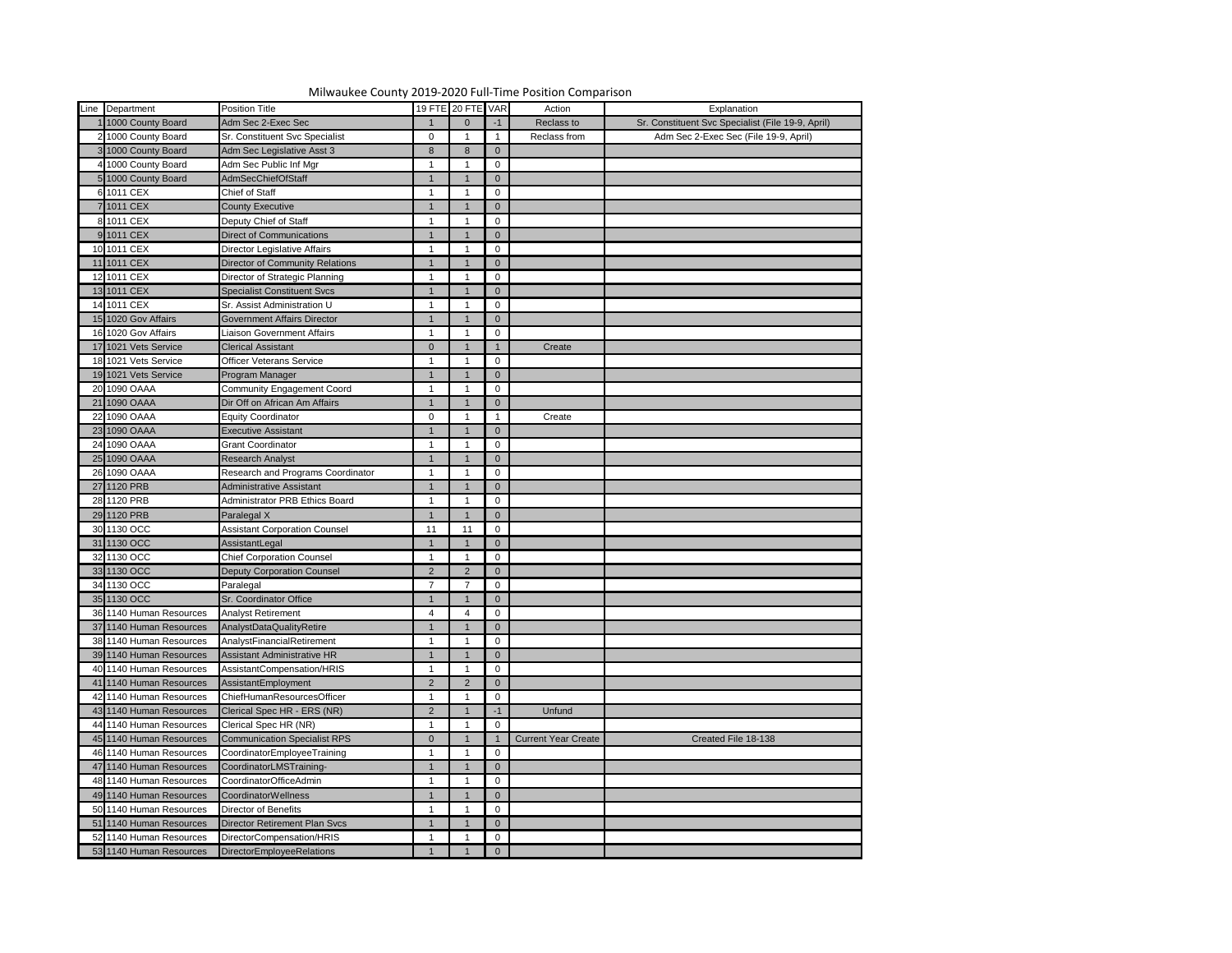| Line Department         | <b>Position Title</b>                |                | 19 FTE 20 FTE VAR |                | Action                     | Explanation                                       |
|-------------------------|--------------------------------------|----------------|-------------------|----------------|----------------------------|---------------------------------------------------|
| 11000 County Board      | Adm Sec 2-Exec Sec                   |                | $\Omega$          | $-1$           | Reclass to                 | Sr. Constituent Svc Specialist (File 19-9, April) |
| 2 1000 County Board     | Sr. Constituent Svc Specialist       | $\mathbf 0$    |                   |                | Reclass from               | Adm Sec 2-Exec Sec (File 19-9, April)             |
| 3 1000 County Board     | Adm Sec Legislative Asst 3           | 8              | 8                 | $\overline{0}$ |                            |                                                   |
| 4 1000 County Board     | Adm Sec Public Inf Mgr               |                |                   | 0              |                            |                                                   |
| 5 1000 County Board     | AdmSecChiefOfStaff                   |                |                   | $\overline{0}$ |                            |                                                   |
| 6 1011 CEX              | Chief of Staff                       |                |                   | 0              |                            |                                                   |
| 7 1011 CEX              | <b>County Executive</b>              |                |                   | $\overline{0}$ |                            |                                                   |
| 8 1011 CEX              | Deputy Chief of Staff                |                |                   | 0              |                            |                                                   |
| 9 1011 CEX              | <b>Direct of Communications</b>      |                |                   | $\overline{0}$ |                            |                                                   |
| 10 1011 CEX             | Director Legislative Affairs         |                |                   | $\mathbf 0$    |                            |                                                   |
| 11 1011 CEX             | Director of Community Relations      |                |                   | $\overline{0}$ |                            |                                                   |
| 12 1011 CEX             | Director of Strategic Planning       |                |                   | 0              |                            |                                                   |
| 13 1011 CEX             | <b>Specialist Constituent Svcs</b>   | $\mathbf 1$    |                   | $\overline{0}$ |                            |                                                   |
| 14 1011 CEX             | Sr. Assist Administration U          |                |                   | $\mathbf{0}$   |                            |                                                   |
| 15 1020 Gov Affairs     | <b>Government Affairs Director</b>   | $\mathbf 1$    |                   | $\overline{0}$ |                            |                                                   |
| 16 1020 Gov Affairs     | <b>Liaison Government Affairs</b>    |                |                   | 0              |                            |                                                   |
| 17 1021 Vets Service    | <b>Clerical Assistant</b>            | $\overline{0}$ |                   |                | Create                     |                                                   |
| 18 1021 Vets Service    | <b>Officer Veterans Service</b>      |                |                   | $\mathbf 0$    |                            |                                                   |
| 19 1021 Vets Service    | Program Manager                      |                |                   | $\overline{0}$ |                            |                                                   |
| 20 1090 OAAA            | Community Engagement Coord           |                |                   | 0              |                            |                                                   |
| 21 1090 OAAA            | Dir Off on African Am Affairs        |                |                   | $\Omega$       |                            |                                                   |
| 22 1090 OAAA            | <b>Equity Coordinator</b>            | $\mathbf 0$    |                   |                | Create                     |                                                   |
| 23 1090 OAAA            | <b>Executive Assistant</b>           | $\mathbf 1$    |                   | $\overline{0}$ |                            |                                                   |
| 24 1090 OAAA            | <b>Grant Coordinator</b>             |                |                   | $\mathbf 0$    |                            |                                                   |
| 25 1090 OAAA            | <b>Research Analyst</b>              | $\mathbf 1$    |                   | $\overline{0}$ |                            |                                                   |
| 26 1090 OAAA            | Research and Programs Coordinator    |                |                   | 0              |                            |                                                   |
| 27 1120 PRB             | <b>Administrative Assistant</b>      | $\mathbf 1$    |                   | $\overline{0}$ |                            |                                                   |
| 28 1120 PRB             | Administrator PRB Ethics Board       |                |                   | 0              |                            |                                                   |
| 29 1120 PRB             | Paralegal X                          | $\vert$ 1      | $\overline{1}$    | $\overline{0}$ |                            |                                                   |
| 30 1130 OCC             | <b>Assistant Corporation Counsel</b> | 11             | 11                | $\overline{0}$ |                            |                                                   |
| 31 1130 OCC             | AssistantLegal                       | $\mathbf 1$    |                   | $\overline{0}$ |                            |                                                   |
| 32 1130 OCC             | <b>Chief Corporation Counsel</b>     |                |                   | 0              |                            |                                                   |
| 33 1130 OCC             | <b>Deputy Corporation Counsel</b>    | 2              | $\mathcal{P}$     | $\overline{0}$ |                            |                                                   |
| 34 1130 OCC             | Paralegal                            | $\overline{7}$ |                   | 0              |                            |                                                   |
| 35 1130 OCC             | Sr. Coordinator Office               |                |                   | $\overline{0}$ |                            |                                                   |
| 36 1140 Human Resources | <b>Analyst Retirement</b>            | $\overline{4}$ |                   | $\mathbf 0$    |                            |                                                   |
| 37 1140 Human Resources | AnalystDataQualityRetire             |                |                   | $\overline{0}$ |                            |                                                   |
| 38 1140 Human Resources | AnalystFinancialRetirement           |                |                   | 0              |                            |                                                   |
| 39 1140 Human Resources | <b>Assistant Administrative HR</b>   | $\mathbf 1$    |                   | $\overline{0}$ |                            |                                                   |
| 40 1140 Human Resources | AssistantCompensation/HRIS           |                |                   | $\mathbf{0}$   |                            |                                                   |
| 41 1140 Human Resources | AssistantEmployment                  | $2^{\circ}$    | $\mathcal{P}$     | $\overline{0}$ |                            |                                                   |
| 42 1140 Human Resources | ChiefHumanResourcesOfficer           |                |                   | 0              |                            |                                                   |
| 43 1140 Human Resources | Clerical Spec HR - ERS (NR)          | $2^{\circ}$    |                   |                | Unfund                     |                                                   |
| 44 1140 Human Resources | Clerical Spec HR (NR)                |                |                   | $\mathbf 0$    |                            |                                                   |
| 45 1140 Human Resources | <b>Communication Specialist RPS</b>  | $\overline{0}$ |                   |                | <b>Current Year Create</b> | Created File 18-138                               |
| 46 1140 Human Resources | CoordinatorEmployeeTraining          |                |                   | 0              |                            |                                                   |
| 47 1140 Human Resources | CoordinatorLMSTraining-              | $\mathbf 1$    |                   | $\overline{0}$ |                            |                                                   |
| 48 1140 Human Resources | CoordinatorOfficeAdmin               |                |                   | 0              |                            |                                                   |
| 49 1140 Human Resources | CoordinatorWellness                  |                |                   | $\overline{0}$ |                            |                                                   |
| 50 1140 Human Resources | <b>Director of Benefits</b>          |                |                   | 0              |                            |                                                   |
| 51 1140 Human Resources | Director Retirement Plan Svcs        |                |                   | $\overline{0}$ |                            |                                                   |
| 52 1140 Human Resources | DirectorCompensation/HRIS            |                |                   | $\mathbf 0$    |                            |                                                   |
| 53 1140 Human Resources | DirectorEmployeeRelations            |                |                   | $\Omega$       |                            |                                                   |

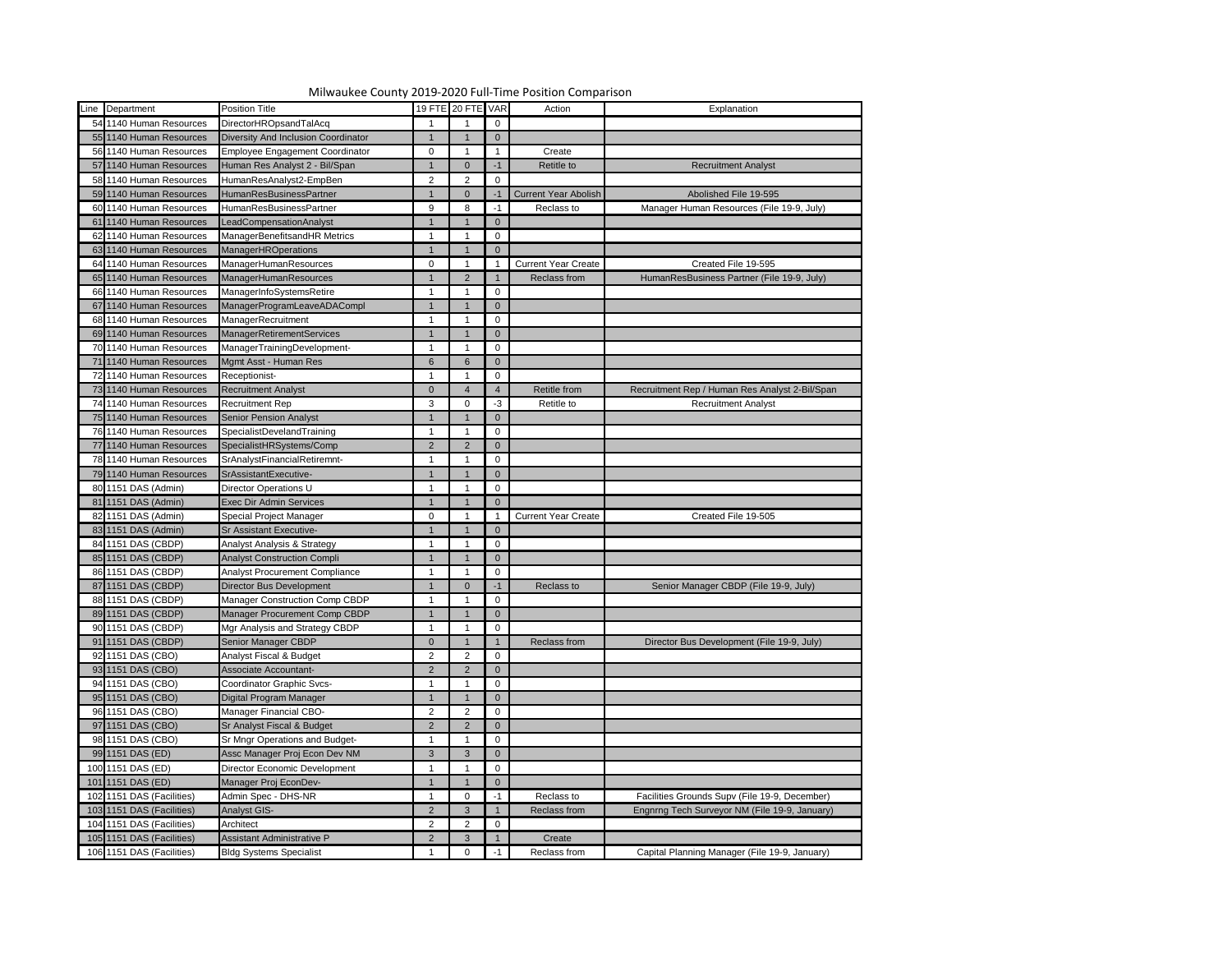| Line Department           | <b>Position Title</b>                  |                | 19 FTE 20 FTE VAR |                |                             | Explanation                                    |
|---------------------------|----------------------------------------|----------------|-------------------|----------------|-----------------------------|------------------------------------------------|
|                           |                                        |                |                   |                | Action                      |                                                |
| 54 1140 Human Resources   | DirectorHROpsandTalAcq                 |                |                   | $\mathbf 0$    |                             |                                                |
| 55 1140 Human Resources   | Diversity And Inclusion Coordinator    |                |                   | $\mathbf 0$    |                             |                                                |
| 56 1140 Human Resources   | <b>Employee Engagement Coordinator</b> | $\mathbf 0$    |                   |                | Create                      |                                                |
| 57 1140 Human Resources   | Human Res Analyst 2 - Bil/Span         |                |                   | -1             | <b>Retitle to</b>           | <b>Recruitment Analyst</b>                     |
| 58 1140 Human Resources   | HumanResAnalyst2-EmpBen                | 2              | 2                 | 0              |                             |                                                |
| 59 1140 Human Resources   | <b>HumanResBusinessPartner</b>         |                |                   |                | <b>Current Year Abolish</b> | Abolished File 19-595                          |
| 60 1140 Human Resources   | HumanResBusinessPartner                | 9              | 8                 | -1             | Reclass to                  | Manager Human Resources (File 19-9, July)      |
| 61 1140 Human Resources   | LeadCompensationAnalyst                |                |                   | $\mathbf 0$    |                             |                                                |
| 62 1140 Human Resources   | ManagerBenefitsandHR Metrics           |                |                   | 0              |                             |                                                |
| 63 1140 Human Resources   | <b>ManagerHROperations</b>             |                |                   | $\Omega$       |                             |                                                |
| 64 1140 Human Resources   | ManagerHumanResources                  | $\mathbf 0$    |                   |                | <b>Current Year Create</b>  | Created File 19-595                            |
| 65 1140 Human Resources   | ManagerHumanResources                  |                |                   |                | Reclass from                | HumanResBusiness Partner (File 19-9, July)     |
| 66 1140 Human Resources   | ManagerInfoSystemsRetire               |                |                   | 0              |                             |                                                |
| 67 1140 Human Resources   | ManagerProgramLeaveADACompl            |                |                   | $\mathbf 0$    |                             |                                                |
| 68 1140 Human Resources   | ManagerRecruitment                     |                |                   | 0              |                             |                                                |
| 69 1140 Human Resources   | <b>ManagerRetirementServices</b>       |                |                   | $\mathbf 0$    |                             |                                                |
| 70 1140 Human Resources   | ManagerTrainingDevelopment-            |                |                   | 0              |                             |                                                |
| 71 1140 Human Resources   | Mgmt Asst - Human Res                  | 6              |                   | $\mathbf 0$    |                             |                                                |
| 72 1140 Human Resources   | Receptionist-                          |                |                   | 0              |                             |                                                |
| 73 1140 Human Resources   | <b>Recruitment Analyst</b>             | $\overline{0}$ |                   | 4              | Retitle from                | Recruitment Rep / Human Res Analyst 2-Bil/Span |
| 74 1140 Human Resources   | <b>Recruitment Rep</b>                 | 3              |                   | -3             | Retitle to                  | <b>Recruitment Analyst</b>                     |
| 75 1140 Human Resources   | <b>Senior Pension Analyst</b>          |                |                   | $\mathbf 0$    |                             |                                                |
| 76 1140 Human Resources   | SpecialistDevelandTraining             |                |                   | 0              |                             |                                                |
| 77 1140 Human Resources   | SpecialistHRSystems/Comp               | 2              |                   | $\mathbf 0$    |                             |                                                |
| 78 1140 Human Resources   | SrAnalystFinancialRetiremnt-           |                |                   | 0              |                             |                                                |
| 79 1140 Human Resources   | SrAssistantExecutive-                  |                |                   | $\mathbf 0$    |                             |                                                |
| 80 1151 DAS (Admin)       | <b>Director Operations U</b>           |                |                   | 0              |                             |                                                |
| 81 1151 DAS (Admin)       | <b>Exec Dir Admin Services</b>         |                |                   | $\mathbf 0$    |                             |                                                |
| 82 1151 DAS (Admin)       | Special Project Manager                | $\overline{0}$ |                   |                | 1 Current Year Create       | Created File 19-505                            |
| 83 1151 DAS (Admin)       | <b>Sr Assistant Executive-</b>         |                |                   | $\overline{0}$ |                             |                                                |
| 84 1151 DAS (CBDP)        | Analyst Analysis & Strategy            |                |                   | $\mathbf 0$    |                             |                                                |
|                           |                                        |                |                   |                |                             |                                                |
| 85 1151 DAS (CBDP)        | <b>Analyst Construction Compli</b>     |                |                   | $\mathbf 0$    |                             |                                                |
| 86 1151 DAS (CBDP)        | <b>Analyst Procurement Compliance</b>  |                |                   | 0              |                             |                                                |
| 87 1151 DAS (CBDP)        | Director Bus Development               |                |                   | -1             | Reclass to                  | Senior Manager CBDP (File 19-9, July)          |
| 88 1151 DAS (CBDP)        | <b>Manager Construction Comp CBDP</b>  |                |                   | 0              |                             |                                                |
| 89 1151 DAS (CBDP)        | Manager Procurement Comp CBDP          |                |                   | $\overline{0}$ |                             |                                                |
| 90 1151 DAS (CBDP)        | Mgr Analysis and Strategy CBDP         |                |                   | 0              |                             |                                                |
| 91 1151 DAS (CBDP)        | Senior Manager CBDP                    | $\overline{0}$ |                   |                | Reclass from                | Director Bus Development (File 19-9, July)     |
| 92 1151 DAS (CBO)         | Analyst Fiscal & Budget                | $\overline{2}$ |                   | $\mathbf 0$    |                             |                                                |
| 93 1151 DAS (CBO)         | Associate Accountant-                  | $\overline{2}$ |                   | $\overline{0}$ |                             |                                                |
| 94 1151 DAS (CBO)         | Coordinator Graphic Svcs-              |                |                   | 0              |                             |                                                |
| 95 1151 DAS (CBO)         | Digital Program Manager                |                |                   | $\mathbf 0$    |                             |                                                |
| 96 1151 DAS (CBO)         | Manager Financial CBO-                 | 2              |                   | 0              |                             |                                                |
| 97 1151 DAS (CBO)         | Sr Analyst Fiscal & Budget             | $\overline{2}$ |                   | $\overline{0}$ |                             |                                                |
| 98 1151 DAS (CBO)         | Sr Mngr Operations and Budget-         |                |                   | 0              |                             |                                                |
| 99 1151 DAS (ED)          | Assc Manager Proj Econ Dev NM          | $\mathbf{3}$   |                   | $\overline{0}$ |                             |                                                |
| 100 1151 DAS (ED)         | Director Economic Development          |                |                   | 0              |                             |                                                |
| 101 1151 DAS (ED)         | Manager Proj EconDev-                  |                |                   | $\mathbf 0$    |                             |                                                |
| 102 1151 DAS (Facilities) | Admin Spec - DHS-NR                    |                |                   | $-1$           | Reclass to                  | Facilities Grounds Supv (File 19-9, December)  |
| 103 1151 DAS (Facilities) | <b>Analyst GIS-</b>                    | $\overline{2}$ |                   |                | Reclass from                | Engnrng Tech Surveyor NM (File 19-9, January)  |
| 104 1151 DAS (Facilities) | Architect                              | 2              |                   | $\mathbf 0$    |                             |                                                |
| 105 1151 DAS (Facilities) | Assistant Administrative P             | $\overline{2}$ |                   |                | Create                      |                                                |
| 106 1151 DAS (Facilities) | <b>Bldg Systems Specialist</b>         |                |                   |                | Reclass from                | Capital Planning Manager (File 19-9, January)  |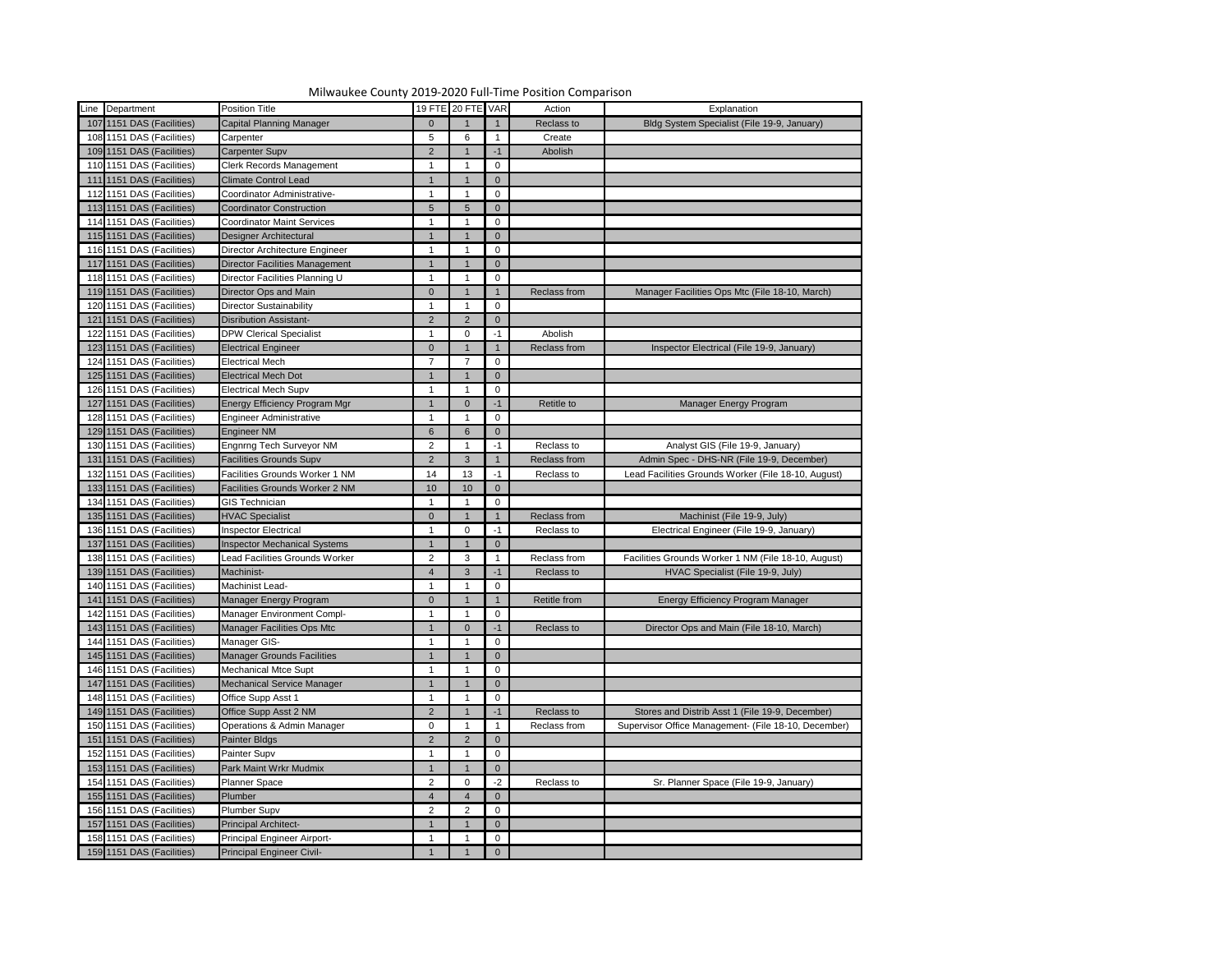

| Line Department           | <b>Position Title</b>                 |                 | 19 FTE 20 FTE VAR |                | Action       | Explanation                                          |
|---------------------------|---------------------------------------|-----------------|-------------------|----------------|--------------|------------------------------------------------------|
| 107 1151 DAS (Facilities) | <b>Capital Planning Manager</b>       | $\Omega$        |                   |                | Reclass to   | Bldg System Specialist (File 19-9, January)          |
| 108 1151 DAS (Facilities) | Carpenter                             | $5\overline{)}$ | 6                 |                | Create       |                                                      |
| 109 1151 DAS (Facilities) | <b>Carpenter Supv</b>                 | 2               |                   |                | Abolish      |                                                      |
| 110 1151 DAS (Facilities) | <b>Clerk Records Management</b>       |                 |                   | 0              |              |                                                      |
| 111 151 DAS (Facilities)  | <b>Climate Control Lead</b>           |                 |                   | $\overline{0}$ |              |                                                      |
| 112 1151 DAS (Facilities) | Coordinator Administrative-           |                 |                   | 0              |              |                                                      |
| 113 1151 DAS (Facilities) | <b>Coordinator Construction</b>       | $5\phantom{.}$  | 5                 | $\overline{0}$ |              |                                                      |
| 114 1151 DAS (Facilities) | <b>Coordinator Maint Services</b>     |                 |                   | 0              |              |                                                      |
| 115 1151 DAS (Facilities) | <b>Designer Architectural</b>         |                 |                   | $\overline{0}$ |              |                                                      |
| 116 1151 DAS (Facilities) | Director Architecture Engineer        |                 |                   | 0              |              |                                                      |
| 117 1151 DAS (Facilities) | <b>Director Facilities Management</b> |                 |                   | $\overline{0}$ |              |                                                      |
| 118 1151 DAS (Facilities) | Director Facilities Planning U        |                 |                   | 0              |              |                                                      |
| 119 1151 DAS (Facilities) | Director Ops and Main                 | $\Omega$        |                   |                | Reclass from | Manager Facilities Ops Mtc (File 18-10, March)       |
| 120 1151 DAS (Facilities) | <b>Director Sustainability</b>        |                 |                   | $\mathbf 0$    |              |                                                      |
| 121 1151 DAS (Facilities) | <b>Disribution Assistant-</b>         | $\overline{2}$  | 2                 | $\overline{0}$ |              |                                                      |
| 122 1151 DAS (Facilities) | <b>DPW Clerical Specialist</b>        |                 | 0                 | -1             | Abolish      |                                                      |
| 123 1151 DAS (Facilities) | <b>Electrical Engineer</b>            | $\Omega$        |                   |                | Reclass from | Inspector Electrical (File 19-9, January)            |
| 124 1151 DAS (Facilities) | <b>Electrical Mech</b>                |                 |                   | 0              |              |                                                      |
| 125 1151 DAS (Facilities) | <b>Electrical Mech Dot</b>            |                 |                   | $\overline{0}$ |              |                                                      |
| 126 1151 DAS (Facilities) | <b>Electrical Mech Supv</b>           |                 |                   | 0              |              |                                                      |
| 127 1151 DAS (Facilities) | <b>Energy Efficiency Program Mgr</b>  |                 | $\Omega$          | $-1$           | Retitle to   | Manager Energy Program                               |
| 128 1151 DAS (Facilities) | <b>Engineer Administrative</b>        |                 |                   | 0              |              |                                                      |
| 129 1151 DAS (Facilities) | <b>Engineer NM</b>                    | $6\phantom{1}$  | 6                 | $\overline{0}$ |              |                                                      |
| 130 1151 DAS (Facilities) | Engnrng Tech Surveyor NM              | $\overline{2}$  |                   | -1             | Reclass to   | Analyst GIS (File 19-9, January)                     |
| 131 1151 DAS (Facilities) | <b>Facilities Grounds Supv</b>        | 2               | 3                 |                | Reclass from | Admin Spec - DHS-NR (File 19-9, December)            |
| 132 1151 DAS (Facilities) | Facilities Grounds Worker 1 NM        | 14              | 13                | -1             | Reclass to   | Lead Facilities Grounds Worker (File 18-10, August)  |
| 133 1151 DAS (Facilities) | Facilities Grounds Worker 2 NM        | 10              | 10                | $\overline{0}$ |              |                                                      |
| 134 1151 DAS (Facilities) | <b>GIS Technician</b>                 |                 |                   | 0              |              |                                                      |
| 135 1151 DAS (Facilities) | <b>HVAC Specialist</b>                | $\overline{0}$  | $\overline{1}$    | $\vert$ 1      | Reclass from | Machinist (File 19-9, July)                          |
| 136 1151 DAS (Facilities) |                                       |                 | 0                 |                |              | Electrical Engineer (File 19-9, January)             |
|                           | Inspector Electrical                  |                 |                   | -1             | Reclass to   |                                                      |
| 137 1151 DAS (Facilities) | <b>Inspector Mechanical Systems</b>   |                 |                   | $\overline{0}$ |              |                                                      |
| 138 1151 DAS (Facilities) | Lead Facilities Grounds Worker        | $\overline{2}$  |                   |                | Reclass from | Facilities Grounds Worker 1 NM (File 18-10, August)  |
| 139 1151 DAS (Facilities) | Machinist-                            |                 | 3                 |                | Reclass to   | HVAC Specialist (File 19-9, July)                    |
| 140 1151 DAS (Facilities) | Machinist Lead-                       |                 |                   | 0              |              |                                                      |
| 141 1151 DAS (Facilities) | Manager Energy Program                | $\Omega$        |                   |                | Retitle from | Energy Efficiency Program Manager                    |
| 142 1151 DAS (Facilities) | <b>Manager Environment Compl-</b>     |                 |                   | 0              |              |                                                      |
| 143 1151 DAS (Facilities) | <b>Manager Facilities Ops Mtc</b>     |                 |                   | $-1$           | Reclass to   | Director Ops and Main (File 18-10, March)            |
| 144 1151 DAS (Facilities) | Manager GIS-                          |                 |                   | 0              |              |                                                      |
| 145 1151 DAS (Facilities) | <b>Manager Grounds Facilities</b>     |                 |                   | 0              |              |                                                      |
| 146 1151 DAS (Facilities) | <b>Mechanical Mtce Supt</b>           |                 |                   | 0              |              |                                                      |
| 147 1151 DAS (Facilities) | Mechanical Service Manager            |                 |                   | 0              |              |                                                      |
| 148 1151 DAS (Facilities) | Office Supp Asst 1                    |                 |                   |                |              |                                                      |
| 149 1151 DAS (Facilities) | Office Supp Asst 2 NM                 | 2               |                   |                | Reclass to   | Stores and Distrib Asst 1 (File 19-9, December)      |
| 150 1151 DAS (Facilities) | Operations & Admin Manager            | $\mathbf{0}$    |                   |                | Reclass from | Supervisor Office Management- (File 18-10, December) |
| 151 1151 DAS (Facilities) | Painter Bldgs                         | 2               | $\mathcal{P}$     | $\overline{0}$ |              |                                                      |
| 152 1151 DAS (Facilities) | Painter Supv                          |                 |                   | 0              |              |                                                      |
| 153 1151 DAS (Facilities) | Park Maint Wrkr Mudmix                |                 |                   | $\Omega$       |              |                                                      |
| 154 1151 DAS (Facilities) | <b>Planner Space</b>                  | $\overline{2}$  |                   | $-2$           | Reclass to   | Sr. Planner Space (File 19-9, January)               |
| 155 1151 DAS (Facilities) | Plumber                               |                 |                   | 0              |              |                                                      |
| 156 1151 DAS (Facilities) | <b>Plumber Supv</b>                   | $\overline{2}$  | 2                 | 0              |              |                                                      |
| 157 1151 DAS (Facilities) | Principal Architect-                  |                 |                   | 0              |              |                                                      |
| 158 1151 DAS (Facilities) | Principal Engineer Airport-           |                 |                   |                |              |                                                      |
| 159 1151 DAS (Facilities) | <b>Principal Engineer Civil-</b>      |                 |                   |                |              |                                                      |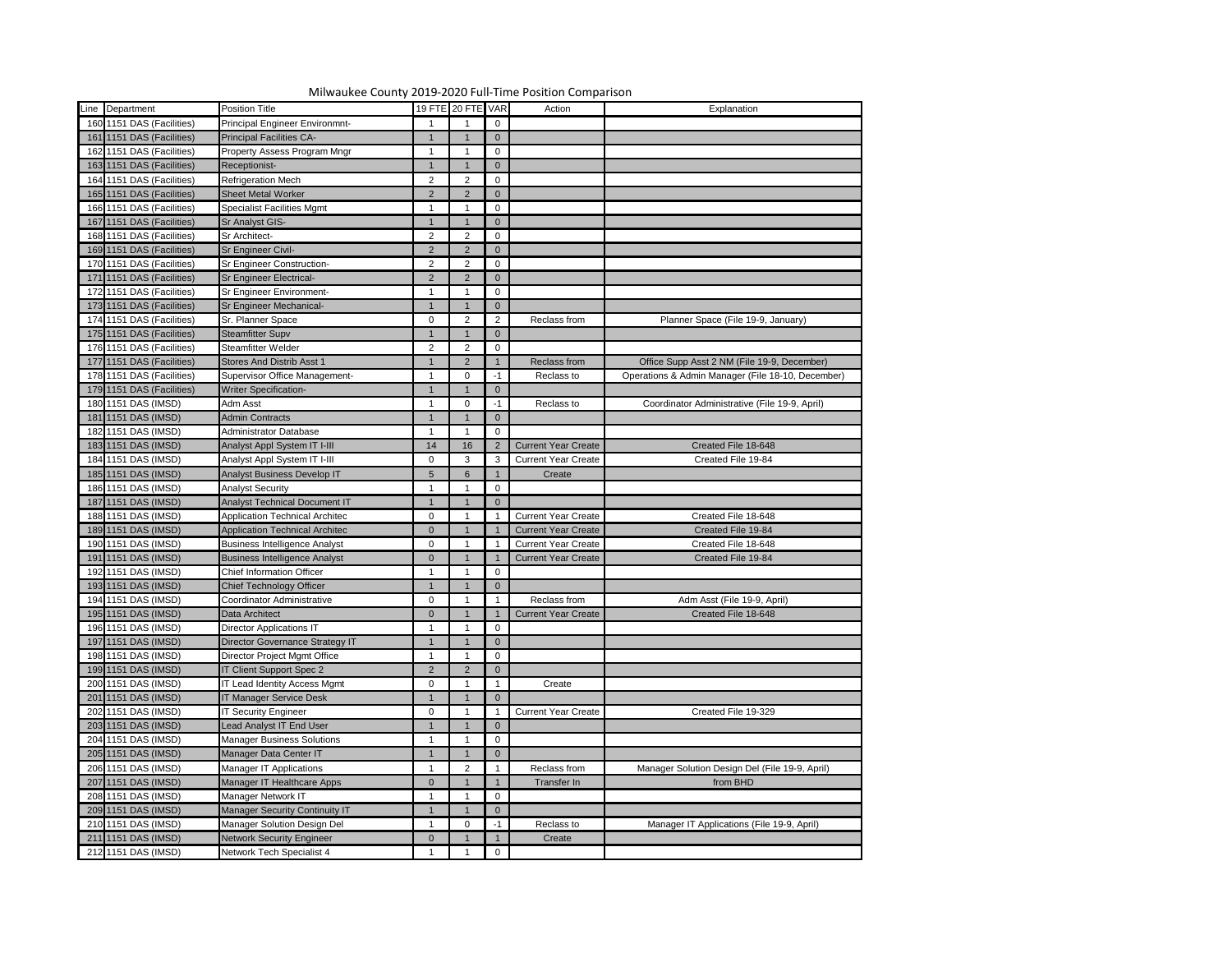| Line Department           | Position Title                        |                | 19 FTE 20 FTE VAR |                | Action                     | Explanation                                       |
|---------------------------|---------------------------------------|----------------|-------------------|----------------|----------------------------|---------------------------------------------------|
| 160 1151 DAS (Facilities) | Principal Engineer Environmnt-        |                |                   | 0              |                            |                                                   |
| 161 1151 DAS (Facilities) | <b>Principal Facilities CA-</b>       | $\overline{1}$ |                   | $\overline{0}$ |                            |                                                   |
| 162 1151 DAS (Facilities) | Property Assess Program Mngr          | $\mathbf 1$    |                   |                |                            |                                                   |
|                           |                                       |                |                   | 0              |                            |                                                   |
| 163 1151 DAS (Facilities) | Receptionist-                         | $\mathbf 1$    |                   | $\overline{0}$ |                            |                                                   |
| 164 1151 DAS (Facilities) | <b>Refrigeration Mech</b>             | $\overline{2}$ | 2                 | 0              |                            |                                                   |
| 165 1151 DAS (Facilities) | <b>Sheet Metal Worker</b>             | $\overline{2}$ |                   | $\overline{0}$ |                            |                                                   |
| 166 1151 DAS (Facilities) | <b>Specialist Facilities Mgmt</b>     | $\mathbf{1}$   |                   | 0              |                            |                                                   |
| 167 1151 DAS (Facilities) | Sr Analyst GIS-                       | $\mathbf 1$    |                   | $\overline{0}$ |                            |                                                   |
| 168 1151 DAS (Facilities) | Sr Architect-                         | $\overline{2}$ | 2                 | 0              |                            |                                                   |
| 169 1151 DAS (Facilities) | Sr Engineer Civil-                    | $\overline{2}$ |                   | $\overline{0}$ |                            |                                                   |
| 170 1151 DAS (Facilities) | <b>Sr Engineer Construction-</b>      | $\overline{2}$ | 2                 | 0              |                            |                                                   |
| 171 1151 DAS (Facilities) | <b>Sr Engineer Electrical-</b>        | $\overline{2}$ |                   | $\overline{0}$ |                            |                                                   |
| 172 1151 DAS (Facilities) | Sr Engineer Environment-              | $\mathbf 1$    |                   | 0              |                            |                                                   |
| 173 1151 DAS (Facilities) | Sr Engineer Mechanical-               | 1              |                   | $\overline{0}$ |                            |                                                   |
| 174 1151 DAS (Facilities) | Sr. Planner Space                     | $\overline{0}$ |                   | $\overline{2}$ | Reclass from               | Planner Space (File 19-9, January)                |
| 175 1151 DAS (Facilities) | <b>Steamfitter Supv</b>               | 1              |                   | $\overline{0}$ |                            |                                                   |
| 176 1151 DAS (Facilities) | <b>Steamfitter Welder</b>             | $\overline{2}$ |                   | 0              |                            |                                                   |
| 177 1151 DAS (Facilities) | Stores And Distrib Asst 1             | 1              | 2                 |                | Reclass from               | Office Supp Asst 2 NM (File 19-9, December)       |
| 178 1151 DAS (Facilities) | Supervisor Office Management-         |                | $\Omega$          | -1             | Reclass to                 | Operations & Admin Manager (File 18-10, December) |
| 179 1151 DAS (Facilities) | <b>Writer Specification-</b>          | $\mathbf 1$    |                   | $\overline{0}$ |                            |                                                   |
| 180 1151 DAS (IMSD)       | Adm Asst                              | $\mathbf 1$    | $\Omega$          | -1             | Reclass to                 | Coordinator Administrative (File 19-9, April)     |
| 181 1151 DAS (IMSD)       | <b>Admin Contracts</b>                | 1              |                   | $\overline{0}$ |                            |                                                   |
| 182 1151 DAS (IMSD)       | <b>Administrator Database</b>         | $\mathbf 1$    |                   | 0              |                            |                                                   |
| 183 1151 DAS (IMSD)       | Analyst Appl System IT I-III          | 14             | 16                |                | <b>Current Year Create</b> | Created File 18-648                               |
| 184 1151 DAS (IMSD)       | Analyst Appl System IT I-III          | $\overline{0}$ | 3                 |                | <b>Current Year Create</b> | Created File 19-84                                |
|                           |                                       |                | 6                 | 3              | Create                     |                                                   |
| 185 1151 DAS (IMSD)       | Analyst Business Develop IT           | 5 <sup>5</sup> |                   |                |                            |                                                   |
| 186 1151 DAS (IMSD)       | <b>Analyst Security</b>               | $\mathbf{1}$   |                   | 0              |                            |                                                   |
| 187 1151 DAS (IMSD)       | <b>Analyst Technical Document IT</b>  |                |                   | $\overline{0}$ |                            |                                                   |
| 188 1151 DAS (IMSD)       | Application Technical Architec        | $\Omega$       |                   |                | <b>Current Year Create</b> | Created File 18-648                               |
| 189 1151 DAS (IMSD)       | <b>Application Technical Architec</b> | $\overline{0}$ |                   |                | <b>Current Year Create</b> | Created File 19-84                                |
| 190 1151 DAS (IMSD)       | <b>Business Intelligence Analyst</b>  | $\overline{0}$ |                   |                | <b>Current Year Create</b> | Created File 18-648                               |
| 191 1151 DAS (IMSD)       | <b>Business Intelligence Analyst</b>  | $\overline{0}$ |                   |                | <b>Current Year Create</b> | Created File 19-84                                |
| 192 1151 DAS (IMSD)       | <b>Chief Information Officer</b>      | -1             |                   | 0              |                            |                                                   |
| 193 1151 DAS (IMSD)       | <b>Chief Technology Officer</b>       |                |                   | $\overline{0}$ |                            |                                                   |
| 194 1151 DAS (IMSD)       | Coordinator Administrative            | $\overline{0}$ |                   |                | Reclass from               | Adm Asst (File 19-9, April)                       |
| 195 1151 DAS (IMSD)       | Data Architect                        | $\overline{0}$ |                   |                | <b>Current Year Create</b> | Created File 18-648                               |
| 196 1151 DAS (IMSD)       | <b>Director Applications IT</b>       |                |                   | 0              |                            |                                                   |
| 197 1151 DAS (IMSD)       | Director Governance Strategy IT       |                |                   | $\overline{0}$ |                            |                                                   |
| 198 1151 DAS (IMSD)       | Director Project Mgmt Office          |                |                   | 0              |                            |                                                   |
| 199 1151 DAS (IMSD)       | IT Client Support Spec 2              | $2^{\circ}$    |                   | $\overline{0}$ |                            |                                                   |
| 200 1151 DAS (IMSD)       | IT Lead Identity Access Mgmt          | $\overline{0}$ |                   |                | Create                     |                                                   |
| 201 1151 DAS (IMSD)       | <b>IT Manager Service Desk</b>        |                |                   | $\overline{0}$ |                            |                                                   |
| 202 1151 DAS (IMSD)       | <b>IT Security Engineer</b>           | $\overline{0}$ |                   |                | <b>Current Year Create</b> | Created File 19-329                               |
| 203 1151 DAS (IMSD)       | Lead Analyst IT End User              |                |                   | $\Omega$       |                            |                                                   |
| 204 1151 DAS (IMSD)       | <b>Manager Business Solutions</b>     |                |                   | 0              |                            |                                                   |
|                           |                                       |                |                   |                |                            |                                                   |
| 205 1151 DAS (IMSD)       | Manager Data Center IT                |                |                   | $\overline{0}$ |                            |                                                   |
| 206 1151 DAS (IMSD)       | Manager IT Applications               | $\mathbf 1$    |                   |                | Reclass from               | Manager Solution Design Del (File 19-9, April)    |
| 207 1151 DAS (IMSD)       | Manager IT Healthcare Apps            | $\overline{0}$ |                   |                | Transfer In                | from BHD                                          |
| 208 1151 DAS (IMSD)       | Manager Network IT                    | $\mathbf 1$    |                   | 0              |                            |                                                   |
| 209 1151 DAS (IMSD)       | Manager Security Continuity IT        |                |                   | $\overline{0}$ |                            |                                                   |
| 210 1151 DAS (IMSD)       | Manager Solution Design Del           | $\mathbf 1$    |                   |                | Reclass to                 | Manager IT Applications (File 19-9, April)        |
| 211 1151 DAS (IMSD)       | <b>Network Security Engineer</b>      | $\overline{0}$ |                   |                | Create                     |                                                   |
| 212 1151 DAS (IMSD)       | Network Tech Specialist 4             |                |                   | 0              |                            |                                                   |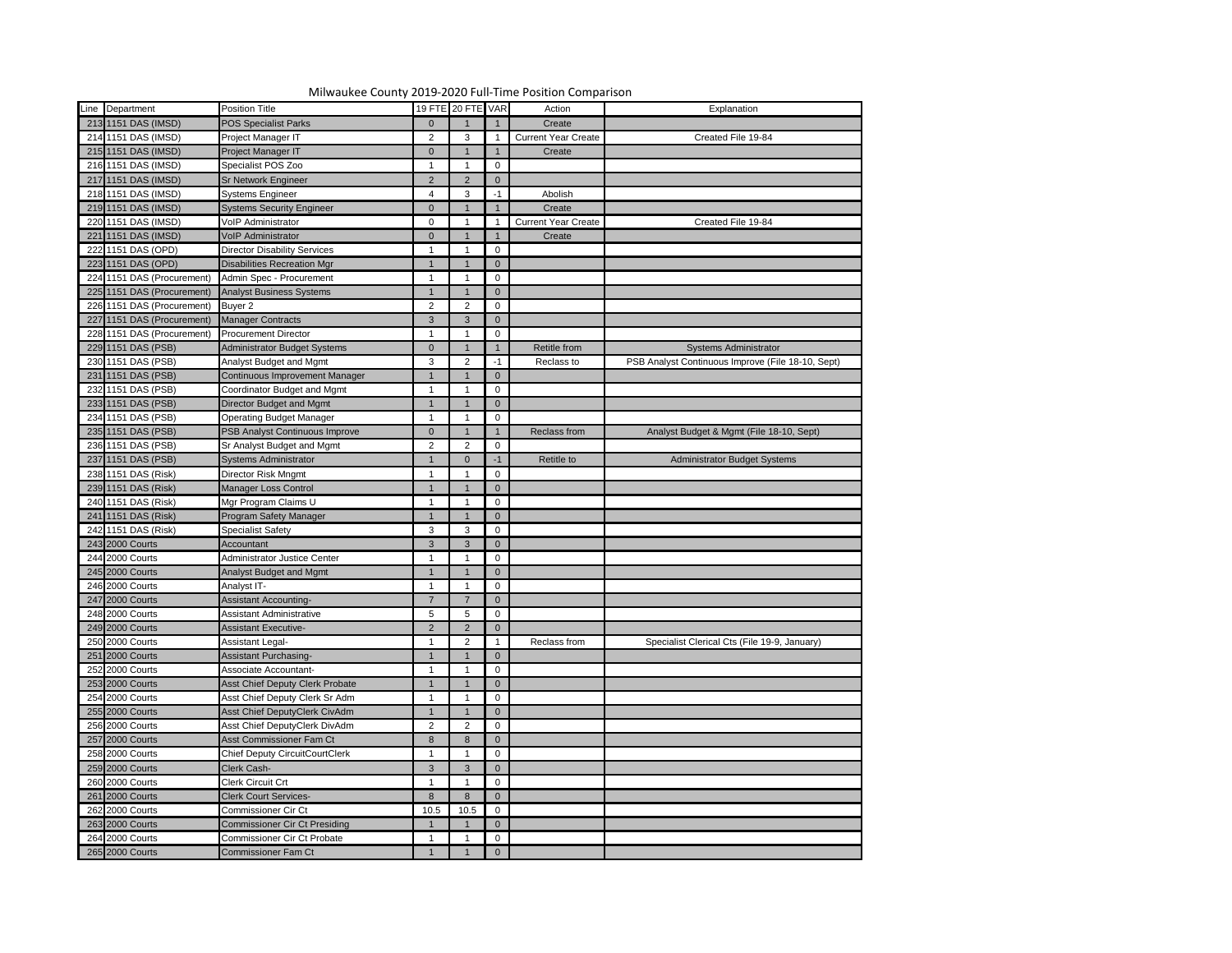

| Line Department            | <b>Position Title</b>                 |                  | 19 FTE 20 FTE VAR |                | Action                     | Explanation                                       |
|----------------------------|---------------------------------------|------------------|-------------------|----------------|----------------------------|---------------------------------------------------|
| 213 1151 DAS (IMSD)        | <b>POS Specialist Parks</b>           | $\overline{0}$   |                   |                | Create                     |                                                   |
| 214 1151 DAS (IMSD)        | Project Manager IT                    | $\overline{2}$   | 3                 |                | <b>Current Year Create</b> | Created File 19-84                                |
| 215 1151 DAS (IMSD)        | Project Manager IT                    | $\mathbf{0}$     |                   |                | Create                     |                                                   |
| 216 1151 DAS (IMSD)        | Specialist POS Zoo                    |                  |                   |                |                            |                                                   |
| 217 1151 DAS (IMSD)        | <b>Sr Network Engineer</b>            | 2                | 2                 | $\mathbf 0$    |                            |                                                   |
| 218 1151 DAS (IMSD)        | <b>Systems Engineer</b>               | $\boldsymbol{4}$ | 3                 | -1             | Abolish                    |                                                   |
| 219 1151 DAS (IMSD)        | <b>Systems Security Engineer</b>      | $\mathbf{0}$     |                   |                | Create                     |                                                   |
| 220 1151 DAS (IMSD)        | VoIP Administrator                    | 0                |                   |                | <b>Current Year Create</b> | Created File 19-84                                |
| 221 1151 DAS (IMSD)        | VoIP Administrator                    | $\mathbf{0}$     |                   |                | Create                     |                                                   |
| 222 1151 DAS (OPD)         | <b>Director Disability Services</b>   |                  |                   |                |                            |                                                   |
| 223 1151 DAS (OPD)         | <b>Disabilities Recreation Mgr</b>    |                  |                   | 0              |                            |                                                   |
| 224 1151 DAS (Procurement) | Admin Spec - Procurement              |                  |                   |                |                            |                                                   |
| 225 1151 DAS (Procurement) | <b>Analyst Business Systems</b>       |                  |                   | $\mathbf 0$    |                            |                                                   |
| 226 1151 DAS (Procurement) | Buyer 2                               | $\overline{2}$   |                   | 0              |                            |                                                   |
| 227 1151 DAS (Procurement) | <b>Manager Contracts</b>              | 3                | 3                 | $\mathbf 0$    |                            |                                                   |
| 228 1151 DAS (Procurement) | <b>Procurement Director</b>           |                  |                   | 0              |                            |                                                   |
| 229 1151 DAS (PSB)         | Administrator Budget Systems          | $\mathbf{0}$     |                   |                | Retitle from               | <b>Systems Administrator</b>                      |
| 230 1151 DAS (PSB)         | Analyst Budget and Mgmt               | 3                |                   | -1             | Reclass to                 | PSB Analyst Continuous Improve (File 18-10, Sept) |
| 231 1151 DAS (PSB)         | Continuous Improvement Manager        |                  |                   | $\overline{0}$ |                            |                                                   |
| 232 1151 DAS (PSB)         | Coordinator Budget and Mgmt           |                  |                   | 0              |                            |                                                   |
| 233 1151 DAS (PSB)         | Director Budget and Mgmt              |                  |                   | $\overline{0}$ |                            |                                                   |
| 234 1151 DAS (PSB)         | <b>Operating Budget Manager</b>       |                  |                   | 0              |                            |                                                   |
| 235 1151 DAS (PSB)         | PSB Analyst Continuous Improve        | $\mathbf{0}$     |                   |                | Reclass from               | Analyst Budget & Mgmt (File 18-10, Sept)          |
| 236 1151 DAS (PSB)         | Sr Analyst Budget and Mgmt            | $\overline{2}$   |                   | 0              |                            |                                                   |
| 237 1151 DAS (PSB)         | <b>Systems Administrator</b>          |                  |                   | $-1$           | Retitle to                 | <b>Administrator Budget Systems</b>               |
| 238 1151 DAS (Risk)        | Director Risk Mngmt                   |                  |                   | 0              |                            |                                                   |
| 239 1151 DAS (Risk)        | Manager Loss Control                  |                  |                   | $\mathbf 0$    |                            |                                                   |
| 240 1151 DAS (Risk)        | Mgr Program Claims U                  |                  |                   | 0              |                            |                                                   |
| 241 1151 DAS (Risk)        | Program Safety Manager                | 1 <sup>1</sup>   | $\overline{1}$    | $\overline{0}$ |                            |                                                   |
| 242 1151 DAS (Risk)        | <b>Specialist Safety</b>              | 3                | 3                 | 0              |                            |                                                   |
| 243 2000 Courts            | Accountant                            | 3                | 3                 | $\overline{0}$ |                            |                                                   |
| 244 2000 Courts            | Administrator Justice Center          |                  |                   | 0              |                            |                                                   |
| 245 2000 Courts            | Analyst Budget and Mgmt               |                  |                   | $\mathbf 0$    |                            |                                                   |
| 246 2000 Courts            | Analyst IT-                           |                  |                   | 0              |                            |                                                   |
| 247 2000 Courts            | <b>Assistant Accounting-</b>          | $\overline{7}$   |                   | $\overline{0}$ |                            |                                                   |
| 248 2000 Courts            | <b>Assistant Administrative</b>       | 5                |                   | 0              |                            |                                                   |
| 249 2000 Courts            | <b>Assistant Executive-</b>           | $\overline{2}$   |                   | $\mathbf 0$    |                            |                                                   |
| 250 2000 Courts            | <b>Assistant Legal-</b>               |                  | 2                 |                | Reclass from               | Specialist Clerical Cts (File 19-9, January)      |
| 251 2000 Courts            |                                       |                  |                   |                |                            |                                                   |
|                            | Assistant Purchasing-                 |                  |                   | $\overline{0}$ |                            |                                                   |
| 252 2000 Courts            | Associate Accountant-                 |                  |                   | 0              |                            |                                                   |
| 253 2000 Courts            | Asst Chief Deputy Clerk Probate       |                  |                   | $\overline{0}$ |                            |                                                   |
| 254 2000 Courts            | Asst Chief Deputy Clerk Sr Adm        |                  |                   | 0              |                            |                                                   |
| 255 2000 Courts            | Asst Chief DeputyClerk CivAdm         |                  |                   | $\overline{0}$ |                            |                                                   |
| 256 2000 Courts            | Asst Chief DeputyClerk DivAdm         | $\overline{2}$   |                   | 0              |                            |                                                   |
| 257 2000 Courts            | Asst Commissioner Fam Ct              | 8                |                   | $\overline{0}$ |                            |                                                   |
| 258 2000 Courts            | <b>Chief Deputy CircuitCourtClerk</b> |                  |                   | 0              |                            |                                                   |
| 259 2000 Courts            | Clerk Cash-                           | $\mathbf{3}$     | 3                 | $\overline{0}$ |                            |                                                   |
| 260 2000 Courts            | <b>Clerk Circuit Crt</b>              |                  |                   | 0              |                            |                                                   |
| 261 2000 Courts            | <b>Clerk Court Services-</b>          | 8                |                   | $\overline{0}$ |                            |                                                   |
| 262 2000 Courts            | <b>Commissioner Cir Ct</b>            | 10.5             | 10.5              | 0              |                            |                                                   |
| 263 2000 Courts            | <b>Commissioner Cir Ct Presiding</b>  |                  |                   | $\overline{0}$ |                            |                                                   |
| 264 2000 Courts            | <b>Commissioner Cir Ct Probate</b>    |                  |                   | 0              |                            |                                                   |
| 265 2000 Courts            | <b>Commissioner Fam Ct</b>            |                  |                   | $\Omega$       |                            |                                                   |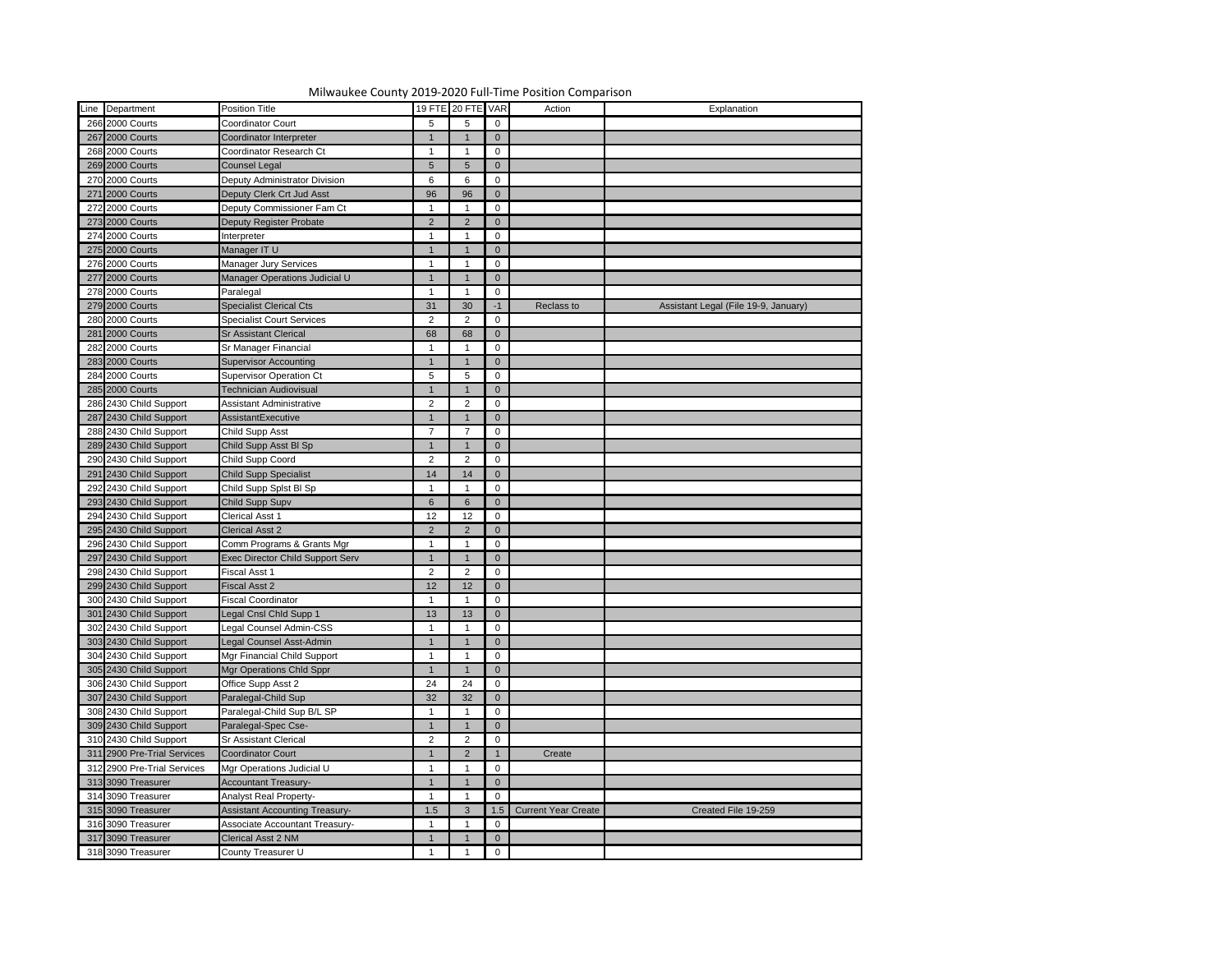|                             | Milwaukee County 2019-2020 Full-Time Position Comparison |                 |                   |                |                            |                                      |
|-----------------------------|----------------------------------------------------------|-----------------|-------------------|----------------|----------------------------|--------------------------------------|
| Line Department             | <b>Position Title</b>                                    |                 | 19 FTE 20 FTE VAR |                | Action                     | Explanation                          |
| 266 2000 Courts             | Coordinator Court                                        | $5\overline{)}$ | 5                 | $\mathbf 0$    |                            |                                      |
| 267 2000 Courts             | Coordinator Interpreter                                  |                 |                   | $\Omega$       |                            |                                      |
| 268 2000 Courts             | Coordinator Research Ct                                  |                 |                   | 0              |                            |                                      |
| 269 2000 Courts             | <b>Counsel Legal</b>                                     | $5\overline{)}$ | $\overline{5}$    | $\overline{0}$ |                            |                                      |
| 270 2000 Courts             | Deputy Administrator Division                            | 6               |                   | $\mathbf 0$    |                            |                                      |
| 271 2000 Courts             | Deputy Clerk Crt Jud Asst                                | 96              | 96                | $\overline{0}$ |                            |                                      |
| 272 2000 Courts             | Deputy Commissioner Fam Ct                               |                 |                   | 0              |                            |                                      |
| 273 2000 Courts             | Deputy Register Probate                                  | $\overline{2}$  | $\mathcal{P}$     | $\overline{0}$ |                            |                                      |
| 274 2000 Courts             | Interpreter                                              |                 |                   | $\mathbf{0}$   |                            |                                      |
| 275 2000 Courts             | Manager IT U                                             |                 |                   | $\Omega$       |                            |                                      |
| 276 2000 Courts             | Manager Jury Services                                    |                 |                   | 0              |                            |                                      |
| 277 2000 Courts             | Manager Operations Judicial U                            |                 |                   | $\overline{0}$ |                            |                                      |
| 278 2000 Courts             | Paralegal                                                |                 |                   | 0              |                            |                                      |
| 279 2000 Courts             | <b>Specialist Clerical Cts</b>                           | 31              | 30                | -1             | Reclass to                 | Assistant Legal (File 19-9, January) |
| 280 2000 Courts             | <b>Specialist Court Services</b>                         | $\overline{2}$  | 2                 | 0              |                            |                                      |
| 281 2000 Courts             | <b>Sr Assistant Clerical</b>                             | 68              | 68                | $\overline{0}$ |                            |                                      |
| 282 2000 Courts             | Sr Manager Financial                                     |                 |                   | 0              |                            |                                      |
| 283 2000 Courts             | <b>Supervisor Accounting</b>                             |                 |                   | $\Omega$       |                            |                                      |
| 284 2000 Courts             | <b>Supervisor Operation Ct</b>                           | $5\phantom{.0}$ |                   | 0              |                            |                                      |
| 285 2000 Courts             | <b>Technician Audiovisual</b>                            |                 |                   | $\overline{0}$ |                            |                                      |
| 286 2430 Child Support      | Assistant Administrative                                 | $\overline{2}$  | ົ                 | 0              |                            |                                      |
| 287 2430 Child Support      | AssistantExecutive                                       | $\mathbf 1$     |                   | $\overline{0}$ |                            |                                      |
| 288 2430 Child Support      | <b>Child Supp Asst</b>                                   | $\overline{7}$  |                   | 0              |                            |                                      |
| 289 2430 Child Support      | Child Supp Asst BI Sp                                    | $\mathbf 1$     |                   | $\Omega$       |                            |                                      |
| 290 2430 Child Support      | Child Supp Coord                                         | $\overline{2}$  | ာ                 | 0              |                            |                                      |
| 291 2430 Child Support      | <b>Child Supp Specialist</b>                             | 14              | 14                | $\mathbf 0$    |                            |                                      |
| 292 2430 Child Support      | Child Supp Splst BI Sp                                   |                 |                   | 0              |                            |                                      |
| 293 2430 Child Support      | Child Supp Supv                                          | $6\overline{6}$ | 6                 | $\overline{0}$ |                            |                                      |
| 294 2430 Child Support      | <b>Clerical Asst 1</b>                                   | 12              | 12                | $\mathbf 0$    |                            |                                      |
| 295 2430 Child Support      | <b>Clerical Asst 2</b>                                   | $\overline{2}$  | $\mathcal{P}$     | $\overline{0}$ |                            |                                      |
| 296 2430 Child Support      | Comm Programs & Grants Mgr                               |                 |                   | 0              |                            |                                      |
| 297 2430 Child Support      | <b>Exec Director Child Support Serv</b>                  |                 |                   | $\mathbf 0$    |                            |                                      |
| 298 2430 Child Support      | Fiscal Asst 1                                            | $\overline{2}$  |                   | 0              |                            |                                      |
| 299 2430 Child Support      | <b>Fiscal Asst 2</b>                                     | 12              | 12                | $\overline{0}$ |                            |                                      |
| 300 2430 Child Support      | <b>Fiscal Coordinator</b>                                |                 |                   | $\mathbf 0$    |                            |                                      |
| 301 2430 Child Support      | Legal Cnsl Chld Supp 1                                   | 13              | 13                | $\mathbf 0$    |                            |                                      |
| 302 2430 Child Support      | Legal Counsel Admin-CSS                                  |                 |                   | 0              |                            |                                      |
| 303 2430 Child Support      | Legal Counsel Asst-Admin                                 |                 |                   | $\Omega$       |                            |                                      |
| 304 2430 Child Support      | Mgr Financial Child Support                              |                 |                   | 0              |                            |                                      |
| 305 2430 Child Support      | Mgr Operations Chld Sppr                                 |                 |                   | $\Omega$       |                            |                                      |
| 306 2430 Child Support      | Office Supp Asst 2                                       | 24              | 24                | 0              |                            |                                      |
| 307 2430 Child Support      | Paralegal-Child Sup                                      | 32              | 32                | $\overline{0}$ |                            |                                      |
| 308 2430 Child Support      | Paralegal-Child Sup B/L SP                               |                 |                   | 0              |                            |                                      |
| 309 2430 Child Support      | Paralegal-Spec Cse-                                      |                 |                   | $\Omega$       |                            |                                      |
| 310 2430 Child Support      | <b>Sr Assistant Clerical</b>                             | $\overline{2}$  |                   | 0              |                            |                                      |
| 311 2900 Pre-Trial Services | <b>Coordinator Court</b>                                 |                 | $\mathcal{P}$     |                | Create                     |                                      |
| 312 2900 Pre-Trial Services | Mgr Operations Judicial U                                |                 |                   | 0              |                            |                                      |
| 313 3090 Treasurer          | <b>Accountant Treasury-</b>                              |                 |                   | $\overline{0}$ |                            |                                      |
| 314 3090 Treasurer          | <b>Analyst Real Property-</b>                            |                 |                   | 0              |                            |                                      |
| 315 3090 Treasurer          | <b>Assistant Accounting Treasury-</b>                    | 1.5             | 3                 | 1.5            | <b>Current Year Create</b> | Created File 19-259                  |
| 316 3090 Treasurer          | <b>Associate Accountant Treasury-</b>                    |                 |                   | $\mathbf 0$    |                            |                                      |
| 317 3090 Treasurer          | Clerical Asst 2 NM                                       |                 |                   | $\mathbf 0$    |                            |                                      |
| 318 3090 Treasurer          | County Treasurer U                                       |                 |                   | $\mathbf 0$    |                            |                                      |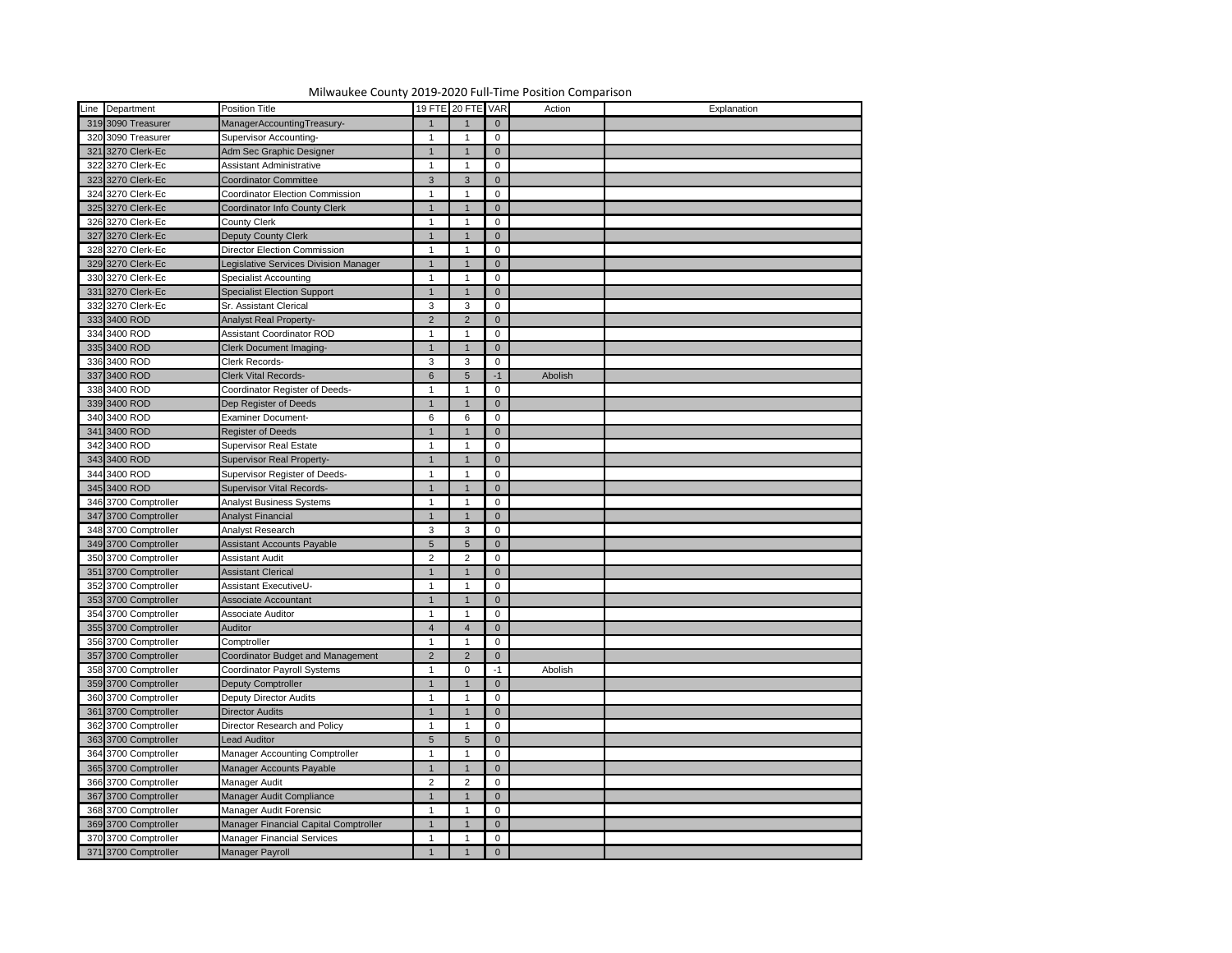

| Line Department      | <b>Position Title</b>                    |                | 19 FTE 20 FTE VAR |                | Action  | Explanation |
|----------------------|------------------------------------------|----------------|-------------------|----------------|---------|-------------|
|                      |                                          |                |                   |                |         |             |
| 319 3090 Treasurer   | ManagerAccountingTreasury-               |                |                   | $\overline{0}$ |         |             |
| 320 3090 Treasurer   | <b>Supervisor Accounting-</b>            | -1             |                   | $\mathbf 0$    |         |             |
| 321 3270 Clerk-Ec    | Adm Sec Graphic Designer                 | 1              |                   | $\overline{0}$ |         |             |
| 322 3270 Clerk-Ec    | <b>Assistant Administrative</b>          |                |                   | $\mathbf 0$    |         |             |
| 323 3270 Clerk-Ec    | <b>Coordinator Committee</b>             | $\mathbf{3}$   | 3                 | $\overline{0}$ |         |             |
| 324 3270 Clerk-Ec    | Coordinator Election Commission          |                |                   | 0              |         |             |
| 325 3270 Clerk-Ec    | <b>Coordinator Info County Clerk</b>     |                |                   | $\overline{0}$ |         |             |
| 326 3270 Clerk-Ec    | <b>County Clerk</b>                      |                |                   | 0              |         |             |
| 327 3270 Clerk-Ec    | <b>Deputy County Clerk</b>               | -1             |                   | $\overline{0}$ |         |             |
| 328 3270 Clerk-Ec    | <b>Director Election Commission</b>      |                |                   | 0              |         |             |
| 329 3270 Clerk-Ec    | Legislative Services Division Manager    | -1             |                   | $\overline{0}$ |         |             |
| 330 3270 Clerk-Ec    | <b>Specialist Accounting</b>             | -1             |                   | 0              |         |             |
| 331 3270 Clerk-Ec    | <b>Specialist Election Support</b>       | $\mathbf 1$    |                   | $\overline{0}$ |         |             |
| 332 3270 Clerk-Ec    | Sr. Assistant Clerical                   | $\mathbf{3}$   |                   | 0              |         |             |
| 333 3400 ROD         | <b>Analyst Real Property-</b>            | $\overline{2}$ | $\mathcal{P}$     | $\overline{0}$ |         |             |
| 334 3400 ROD         | <b>Assistant Coordinator ROD</b>         |                |                   | 0              |         |             |
| 335 3400 ROD         | <b>Clerk Document Imaging-</b>           | 1              |                   | $\overline{0}$ |         |             |
| 336 3400 ROD         | Clerk Records-                           | $\mathbf{3}$   |                   | 0              |         |             |
| 337 3400 ROD         | <b>Clerk Vital Records-</b>              | $6\phantom{1}$ | $5\overline{5}$   | $-1$           | Abolish |             |
| 338 3400 ROD         | Coordinator Register of Deeds-           |                |                   | 0              |         |             |
| 339 3400 ROD         | Dep Register of Deeds                    | $\mathbf 1$    |                   | $\overline{0}$ |         |             |
| 340 3400 ROD         | <b>Examiner Document-</b>                | 6              |                   | 0              |         |             |
| 341 3400 ROD         | <b>Register of Deeds</b>                 | $\mathbf 1$    |                   | $\overline{0}$ |         |             |
| 342 3400 ROD         | <b>Supervisor Real Estate</b>            | $\mathbf 1$    |                   | $\mathbf 0$    |         |             |
| 343 3400 ROD         | Supervisor Real Property-                | 1              |                   | $\overline{0}$ |         |             |
| 344 3400 ROD         | Supervisor Register of Deeds-            |                |                   | 0              |         |             |
| 345 3400 ROD         | <b>Supervisor Vital Records-</b>         | $\mathbf 1$    |                   | $\overline{0}$ |         |             |
| 346 3700 Comptroller | <b>Analyst Business Systems</b>          |                |                   | 0              |         |             |
| 347 3700 Comptroller | Analyst Financial                        | $\overline{1}$ |                   | $\overline{0}$ |         |             |
| 348 3700 Comptroller | Analyst Research                         | $\mathbf{3}$   | 3                 | $\mathbf 0$    |         |             |
| 349 3700 Comptroller | <b>Assistant Accounts Payable</b>        | 5 <sup>5</sup> |                   | $\overline{0}$ |         |             |
| 350 3700 Comptroller | Assistant Audit                          | $\overline{2}$ |                   | 0              |         |             |
|                      |                                          |                |                   |                |         |             |
| 351 3700 Comptroller | <b>Assistant Clerical</b>                |                |                   | $\overline{0}$ |         |             |
| 352 3700 Comptroller | <b>Assistant ExecutiveU-</b>             |                |                   | 0              |         |             |
| 353 3700 Comptroller | Associate Accountant                     | $\overline{1}$ |                   | $\overline{0}$ |         |             |
| 354 3700 Comptroller | Associate Auditor                        |                |                   | 0              |         |             |
| 355 3700 Comptroller | Auditor                                  |                |                   | $\overline{0}$ |         |             |
| 356 3700 Comptroller | Comptroller                              |                |                   | 0              |         |             |
| 357 3700 Comptroller | <b>Coordinator Budget and Management</b> | 2              |                   | $\overline{0}$ |         |             |
| 358 3700 Comptroller | <b>Coordinator Payroll Systems</b>       |                | $\Omega$          |                | Abolish |             |
| 359 3700 Comptroller | Deputy Comptroller                       |                |                   | $\overline{0}$ |         |             |
| 360 3700 Comptroller | <b>Deputy Director Audits</b>            |                |                   | 0              |         |             |
| 361 3700 Comptroller | <b>Director Audits</b>                   |                |                   | $\overline{0}$ |         |             |
| 362 3700 Comptroller | Director Research and Policy             |                |                   | 0              |         |             |
| 363 3700 Comptroller | Lead Auditor                             | 5 <sup>5</sup> |                   | $\overline{0}$ |         |             |
| 364 3700 Comptroller | <b>Manager Accounting Comptroller</b>    |                |                   | 0              |         |             |
| 365 3700 Comptroller | Manager Accounts Payable                 |                |                   | $\overline{0}$ |         |             |
| 366 3700 Comptroller | Manager Audit                            | $\overline{2}$ |                   | 0              |         |             |
| 367 3700 Comptroller | Manager Audit Compliance                 |                |                   | $\overline{0}$ |         |             |
| 368 3700 Comptroller | Manager Audit Forensic                   |                |                   | 0              |         |             |
| 369 3700 Comptroller | Manager Financial Capital Comptroller    |                |                   | $\overline{0}$ |         |             |
| 370 3700 Comptroller | <b>Manager Financial Services</b>        |                |                   | 0              |         |             |
| 371 3700 Comptroller | Manager Payroll                          |                |                   | $\Omega$       |         |             |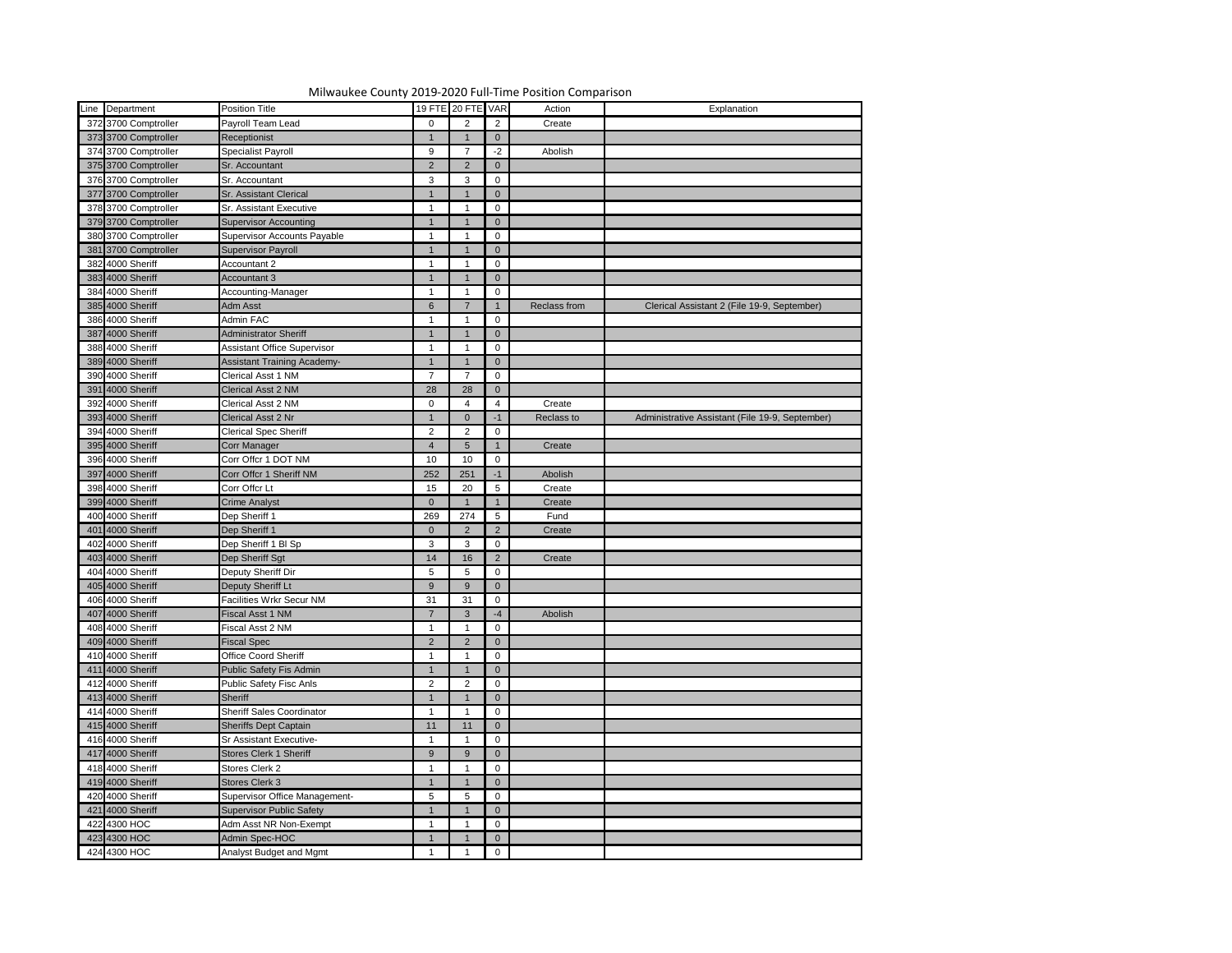| Line Department                      | Position Title                     |                 | 19 FTE 20 FTE VAR |                | Action       | Explanation                                     |
|--------------------------------------|------------------------------------|-----------------|-------------------|----------------|--------------|-------------------------------------------------|
| 372 3700 Comptroller                 | Payroll Team Lead                  | $\mathbf 0$     | 2                 | $\overline{2}$ | Create       |                                                 |
| 373 3700 Comptroller                 | Receptionist                       |                 |                   | $\overline{0}$ |              |                                                 |
| 374 3700 Comptroller                 | Specialist Payroll                 | 9               |                   | $-2$           | Abolish      |                                                 |
| 375 3700 Comptroller                 | Sr. Accountant                     | 2               |                   | $\mathbf{0}$   |              |                                                 |
| 376 3700 Comptroller                 | Sr. Accountant                     | $\mathbf{3}$    | 3                 | $\mathbf 0$    |              |                                                 |
| 377 3700 Comptroller                 | <b>Sr. Assistant Clerical</b>      |                 |                   | $\mathbf{0}$   |              |                                                 |
| 378 3700 Comptroller                 | Sr. Assistant Executive            |                 |                   | $\mathbf 0$    |              |                                                 |
| 379 3700 Comptroller                 | <b>Supervisor Accounting</b>       |                 |                   | $\mathbf{0}$   |              |                                                 |
| 380 3700 Comptroller                 | <b>Supervisor Accounts Payable</b> |                 |                   | $\mathbf 0$    |              |                                                 |
| 381 3700 Comptroller                 | Supervisor Payroll                 |                 |                   | $\mathbf{0}$   |              |                                                 |
| 382 4000 Sheriff                     | Accountant 2                       |                 |                   | $\mathbf 0$    |              |                                                 |
| 383 4000 Sheriff                     | Accountant 3                       |                 |                   | $\mathbf{0}$   |              |                                                 |
| 384 4000 Sheriff                     | Accounting-Manager                 |                 |                   | $\mathbf 0$    |              |                                                 |
| 385 4000 Sheriff                     | Adm Asst                           | $6\phantom{1}$  |                   |                | Reclass from | Clerical Assistant 2 (File 19-9, September)     |
| 386 4000 Sheriff                     | Admin FAC                          |                 |                   | 0              |              |                                                 |
| 387 4000 Sheriff                     | <b>Administrator Sheriff</b>       |                 |                   | $\mathbf{0}$   |              |                                                 |
| 388 4000 Sheriff                     | <b>Assistant Office Supervisor</b> |                 |                   | $\mathbf 0$    |              |                                                 |
| 389 4000 Sheriff                     | <b>Assistant Training Academy-</b> |                 |                   | $\mathbf{0}$   |              |                                                 |
| 390 4000 Sheriff                     | Clerical Asst 1 NM                 | $\overline{7}$  |                   | $\mathbf 0$    |              |                                                 |
| 391 4000 Sheriff                     | Clerical Asst 2 NM                 | 28              | 28                | $\mathbf{0}$   |              |                                                 |
| 392 4000 Sheriff                     | Clerical Asst 2 NM                 | $\overline{0}$  |                   | 4              | Create       |                                                 |
| 393 4000 Sheriff                     | Clerical Asst 2 Nr                 |                 |                   | $-1$           | Reclass to   | Administrative Assistant (File 19-9, September) |
| 394 4000 Sheriff                     | <b>Clerical Spec Sheriff</b>       | 2               | 2                 | $\mathbf 0$    |              |                                                 |
| 395 4000 Sheriff                     | Corr Manager                       | $\overline{4}$  | 5                 |                | Create       |                                                 |
|                                      | Corr Offcr 1 DOT NM                |                 |                   |                |              |                                                 |
| 396 4000 Sheriff<br>397 4000 Sheriff | Corr Offcr 1 Sheriff NM            | 10              | 10                | $\mathbf 0$    |              |                                                 |
|                                      |                                    | 252             | 251               | $-1$           | Abolish      |                                                 |
| 398 4000 Sheriff                     | Corr Offcr Lt                      | 15              | 20                | 5              | Create       |                                                 |
| 399 4000 Sheriff                     | Crime Analyst                      | $\overline{0}$  |                   |                | Create       |                                                 |
| 400 4000 Sheriff                     | Dep Sheriff 1                      | 269             | 274               | 5 <sub>5</sub> | Fund         |                                                 |
| 401 4000 Sheriff                     | Dep Sheriff 1                      | $\overline{0}$  | 2                 | 2 <sup>1</sup> | Create       |                                                 |
| 402 4000 Sheriff                     | Dep Sheriff 1 BI Sp                | $\mathbf{3}$    | 3                 | $\mathbf 0$    |              |                                                 |
| 403 4000 Sheriff                     | Dep Sheriff Sgt                    | 14              | 16                | $\overline{2}$ | Create       |                                                 |
| 404 4000 Sheriff                     | Deputy Sheriff Dir                 | $5\overline{)}$ |                   | 0              |              |                                                 |
| 405 4000 Sheriff                     | Deputy Sheriff Lt                  | 9               |                   | $\overline{0}$ |              |                                                 |
| 406 4000 Sheriff                     | Facilities Wrkr Secur NM           | 31              | 31                | $\overline{0}$ |              |                                                 |
| 407 4000 Sheriff                     | Fiscal Asst 1 NM                   | 7               | 3                 | $-4$           | Abolish      |                                                 |
| 408 4000 Sheriff                     | Fiscal Asst 2 NM                   |                 |                   | 0              |              |                                                 |
| 409 4000 Sheriff                     | <b>Fiscal Spec</b>                 | $\overline{2}$  |                   | $\overline{0}$ |              |                                                 |
| 410 4000 Sheriff                     | Office Coord Sheriff               |                 |                   | 0              |              |                                                 |
| 411 4000 Sheriff                     | Public Safety Fis Admin            |                 |                   | $\overline{0}$ |              |                                                 |
| 412 4000 Sheriff                     | <b>Public Safety Fisc Anls</b>     | $\overline{2}$  |                   | 0              |              |                                                 |
| 413 4000 Sheriff                     | Sheriff                            |                 |                   | $\overline{0}$ |              |                                                 |
| 414 4000 Sheriff                     | <b>Sheriff Sales Coordinator</b>   |                 |                   | 0              |              |                                                 |
| 415 4000 Sheriff                     | <b>Sheriffs Dept Captain</b>       | 11              | 11                | $\overline{0}$ |              |                                                 |
| 416 4000 Sheriff                     | <b>Sr Assistant Executive-</b>     |                 |                   | 0              |              |                                                 |
| 417 4000 Sheriff                     | <b>Stores Clerk 1 Sheriff</b>      | 9               |                   | $\overline{0}$ |              |                                                 |
| 418 4000 Sheriff                     | Stores Clerk 2                     |                 |                   | $\mathbf 0$    |              |                                                 |
| 419 4000 Sheriff                     | <b>Stores Clerk 3</b>              |                 |                   | $\mathbf{0}$   |              |                                                 |
| 420 4000 Sheriff                     | Supervisor Office Management-      | $5\overline{)}$ |                   | 0              |              |                                                 |
| 421 4000 Sheriff                     | <b>Supervisor Public Safety</b>    |                 |                   | $\overline{0}$ |              |                                                 |
| 422 4300 HOC                         | Adm Asst NR Non-Exempt             |                 |                   | 0              |              |                                                 |
| 423 4300 HOC                         | Admin Spec-HOC                     |                 |                   | $\overline{0}$ |              |                                                 |
| 424 4300 HOC                         | Analyst Budget and Mgmt            |                 |                   | $\mathbf 0$    |              |                                                 |
|                                      |                                    |                 |                   |                |              |                                                 |

Milwaukee County 2019-2020 Full-Time Position Comparison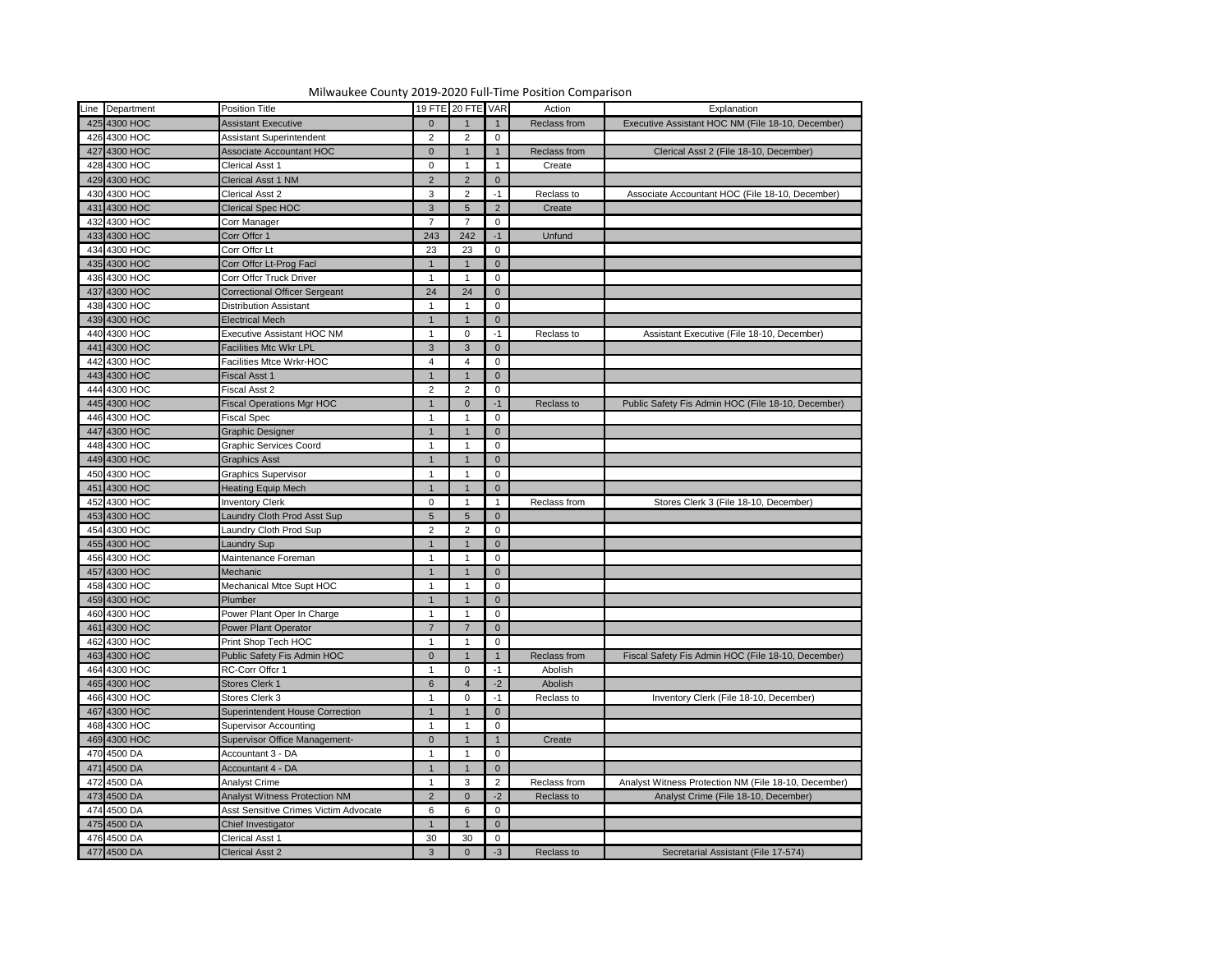

|   | Line Department | <b>Position Title</b>                        |                | 19 FTE 20 FTE VAR |                | Action       | Explanation                                          |
|---|-----------------|----------------------------------------------|----------------|-------------------|----------------|--------------|------------------------------------------------------|
|   | 425 4300 HOC    | <b>Assistant Executive</b>                   | $\overline{0}$ |                   |                | Reclass from | Executive Assistant HOC NM (File 18-10, December)    |
|   | 426 4300 HOC    | Assistant Superintendent                     | $\overline{2}$ |                   | $\mathbf 0$    |              |                                                      |
|   | 427 4300 HOC    | <b>Associate Accountant HOC</b>              | $\overline{0}$ |                   |                | Reclass from | Clerical Asst 2 (File 18-10, December)               |
|   | 428 4300 HOC    | Clerical Asst 1                              | $\mathbf 0$    |                   |                | Create       |                                                      |
|   | 429 4300 HOC    | <b>Clerical Asst 1 NM</b>                    | $2^{\circ}$    | $\mathcal{P}$     | $\overline{0}$ |              |                                                      |
|   | 430 4300 HOC    | <b>Clerical Asst 2</b>                       |                | $\mathcal{P}$     | $-1$           |              |                                                      |
|   |                 |                                              | 3              |                   |                | Reclass to   | Associate Accountant HOC (File 18-10, December)      |
|   | 431 4300 HOC    | Clerical Spec HOC                            | $\mathbf{3}$   | 5                 | $\overline{2}$ | Create       |                                                      |
|   | 432 4300 HOC    | Corr Manager                                 | $\overline{7}$ |                   | $\mathbf 0$    |              |                                                      |
|   | 433 4300 HOC    | Corr Offcr 1                                 | 243            | 242               | $-1$           | Unfund       |                                                      |
|   | 434 4300 HOC    | Corr Offcr Lt                                | 23             | 23                | $\mathbf 0$    |              |                                                      |
|   | 435 4300 HOC    | Corr Offcr Lt-Prog Facl                      | $\mathbf{1}$   |                   | $\overline{0}$ |              |                                                      |
|   | 436 4300 HOC    | Corr Offcr Truck Driver                      |                |                   | $\mathbf 0$    |              |                                                      |
|   | 437 4300 HOC    | <b>Correctional Officer Sergeant</b>         | 24             | 24                | $\overline{0}$ |              |                                                      |
|   | 438 4300 HOC    | <b>Distribution Assistant</b>                |                |                   | $\mathbf 0$    |              |                                                      |
|   | 439 4300 HOC    | <b>Electrical Mech</b>                       | $\mathbf{1}$   |                   | $\overline{0}$ |              |                                                      |
|   | 440 4300 HOC    | <b>Executive Assistant HOC NM</b>            |                | $\Omega$          | $-1$           | Reclass to   | Assistant Executive (File 18-10, December)           |
|   | 441 4300 HOC    | <b>Facilities Mtc Wkr LPL</b>                | $\mathbf{3}$   | 3                 | $\overline{0}$ |              |                                                      |
|   | 442 4300 HOC    | acilities Mtce Wrkr-HOC                      | 4              |                   | $\mathbf 0$    |              |                                                      |
|   | 443 4300 HOC    | Fiscal Asst 1                                | $\mathbf 1$    |                   | $\overline{0}$ |              |                                                      |
|   | 444 4300 HOC    | Fiscal Asst 2                                | $\overline{2}$ | 2                 | 0              |              |                                                      |
|   | 445 4300 HOC    | <b>Fiscal Operations Mgr HOC</b>             | -1             | $\Omega$          | $-1$           | Reclass to   | Public Safety Fis Admin HOC (File 18-10, December)   |
|   | 446 4300 HOC    | Fiscal Spec                                  |                |                   | 0              |              |                                                      |
|   | 447 4300 HOC    | Graphic Designer                             | $\mathbf 1$    |                   | $\overline{0}$ |              |                                                      |
|   | 448 4300 HOC    | <b>Graphic Services Coord</b>                |                |                   | $\mathbf 0$    |              |                                                      |
|   | 449 4300 HOC    | <b>Graphics Asst</b>                         | $\mathbf 1$    |                   | $\overline{0}$ |              |                                                      |
|   | 450 4300 HOC    | <b>Graphics Supervisor</b>                   |                |                   | $\mathbf 0$    |              |                                                      |
|   | 451 4300 HOC    | <b>Heating Equip Mech</b>                    | $\mathbf{1}$   |                   | $\overline{0}$ |              |                                                      |
|   | 452 4300 HOC    | <b>Inventory Clerk</b>                       | $\mathbf{0}$   |                   |                | Reclass from | Stores Clerk 3 (File 18-10, December)                |
| i | 453 4300 HOC    | Laundry Cloth Prod Asst Sup                  | 5 <sub>5</sub> | 5 <sup>5</sup>    |                |              |                                                      |
|   | 454 4300 HOC    | Laundry Cloth Prod Sup                       | $\overline{2}$ | $\mathcal{P}$     | $\overline{0}$ |              |                                                      |
|   | 455 4300 HOC    | Laundry Sup                                  | $\mathbf 1$    |                   | $\overline{0}$ |              |                                                      |
|   | 456 4300 HOC    | Maintenance Foreman                          |                |                   | 0              |              |                                                      |
|   | 457 4300 HOC    | Mechanic                                     |                |                   | $\overline{0}$ |              |                                                      |
|   | 458 4300 HOC    | Mechanical Mtce Supt HOC                     |                |                   | 0              |              |                                                      |
|   | 459 4300 HOC    | Plumber                                      |                |                   | $\overline{0}$ |              |                                                      |
|   |                 |                                              |                |                   |                |              |                                                      |
|   | 460 4300 HOC    | Power Plant Oper In Charge                   | $\overline{7}$ |                   | $\mathbf 0$    |              |                                                      |
|   | 461 4300 HOC    | Power Plant Operator                         |                |                   | $\overline{0}$ |              |                                                      |
|   | 462 4300 HOC    | Print Shop Tech HOC                          |                |                   | 0              |              |                                                      |
|   | 463 4300 HOC    | Public Safety Fis Admin HOC                  | $\overline{0}$ |                   |                | Reclass from | Fiscal Safety Fis Admin HOC (File 18-10, December)   |
|   | 464 4300 HOC    | RC-Corr Offcr 1                              |                |                   | -1             | Abolish      |                                                      |
|   | 465 4300 HOC    | Stores Clerk 1                               | 6              |                   | $-2$           | Abolish      |                                                      |
|   | 466 4300 HOC    | Stores Clerk 3                               |                |                   | $-1$           | Reclass to   | Inventory Clerk (File 18-10, December)               |
|   | 467 4300 HOC    | Superintendent House Correction              | $\mathbf 1$    |                   | $\overline{0}$ |              |                                                      |
|   | 468 4300 HOC    | <b>Supervisor Accounting</b>                 |                |                   | 0              |              |                                                      |
|   | 469 4300 HOC    | Supervisor Office Management-                | $\overline{0}$ |                   |                | Create       |                                                      |
|   | 470 4500 DA     | Accountant 3 - DA                            |                |                   | 0              |              |                                                      |
|   | 471 4500 DA     | Accountant 4 - DA                            | $\mathbf 1$    |                   | $\Omega$       |              |                                                      |
|   | 472 4500 DA     | <b>Analyst Crime</b>                         |                | 3                 | $\overline{2}$ | Reclass from | Analyst Witness Protection NM (File 18-10, December) |
|   | 473 4500 DA     | <b>Analyst Witness Protection NM</b>         | $\overline{2}$ |                   | $-2$           | Reclass to   | Analyst Crime (File 18-10, December)                 |
|   | 474 4500 DA     | <b>Asst Sensitive Crimes Victim Advocate</b> | 6              | 6                 | 0              |              |                                                      |
|   | 475 4500 DA     | Chief Investigator                           |                |                   | $\overline{0}$ |              |                                                      |
|   | 476 4500 DA     | Clerical Asst 1                              | 30             | 30                | $\mathbf 0$    |              |                                                      |
|   | 477 4500 DA     | <b>Clerical Asst 2</b>                       | 3 <sup>1</sup> | $\overline{0}$    | $-3$           | Reclass to   | Secretarial Assistant (File 17-574)                  |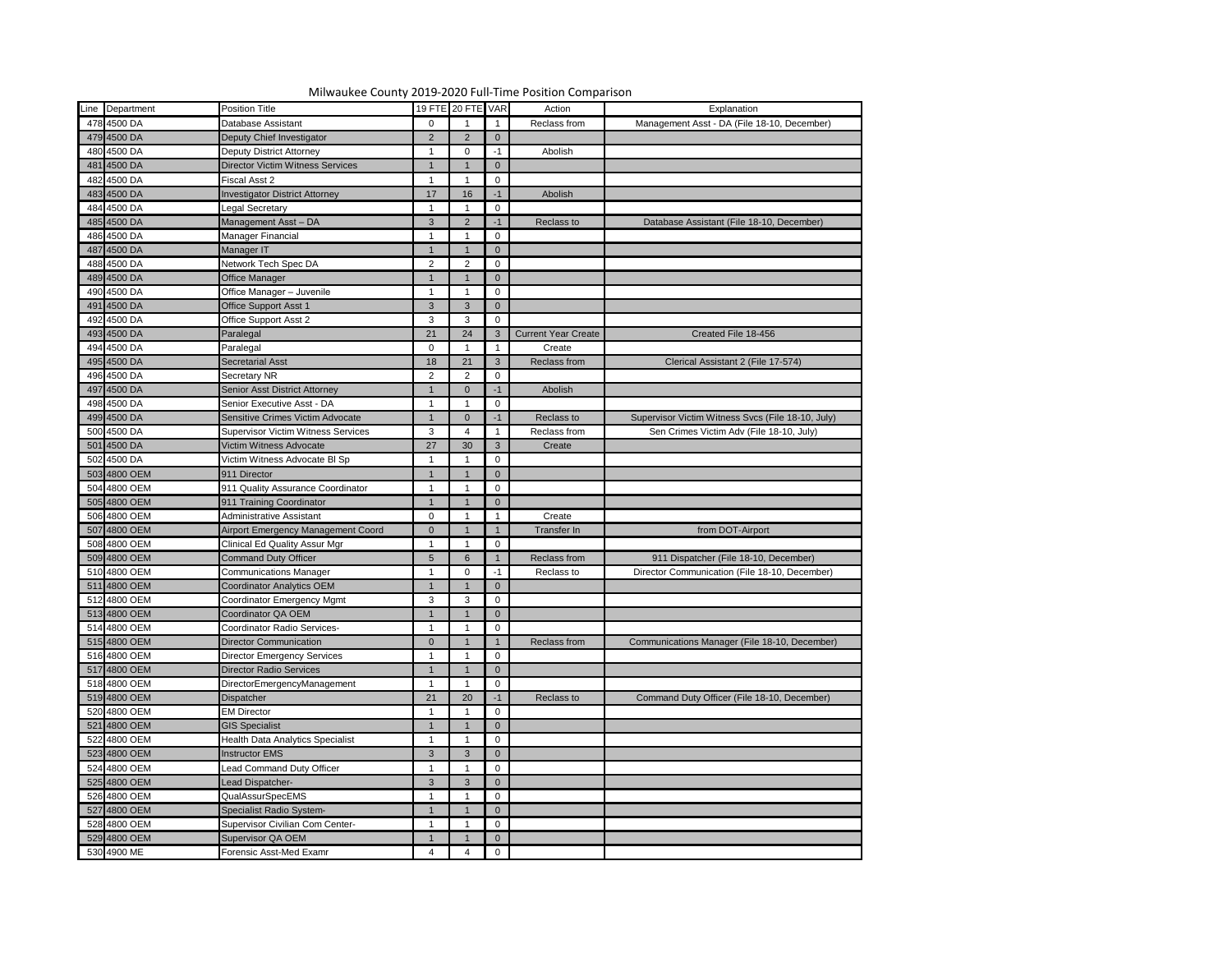| Line Department | <b>Position Title</b>                     |                 | 19 FTE 20 FTE VAR |                | Action                     | Explanation                                       |
|-----------------|-------------------------------------------|-----------------|-------------------|----------------|----------------------------|---------------------------------------------------|
| 478 4500 DA     | Database Assistant                        | $\Omega$        |                   |                | Reclass from               | Management Asst - DA (File 18-10, December)       |
| 479 4500 DA     | Deputy Chief Investigator                 | 2               | $\mathcal{P}$     | $\overline{0}$ |                            |                                                   |
| 480 4500 DA     | <b>Deputy District Attorney</b>           |                 | $\Omega$          | $-1$           | Abolish                    |                                                   |
| 481 4500 DA     | <b>Director Victim Witness Services</b>   |                 |                   | $\overline{0}$ |                            |                                                   |
| 482 4500 DA     | Fiscal Asst 2                             |                 |                   | 0              |                            |                                                   |
| 483 4500 DA     | <b>Investigator District Attorney</b>     | 17              | 16                | $-1$           | Abolish                    |                                                   |
| 484 4500 DA     | Legal Secretary                           |                 |                   | 0              |                            |                                                   |
| 485 4500 DA     | Management Asst - DA                      | 3               | $\mathcal{P}$     |                | Reclass to                 | Database Assistant (File 18-10, December)         |
| 486 4500 DA     |                                           |                 |                   | $-1$           |                            |                                                   |
|                 | Manager Financial                         |                 |                   | 0              |                            |                                                   |
| 487 4500 DA     | Manager IT                                |                 | າ                 | $\overline{0}$ |                            |                                                   |
| 488 4500 DA     | Network Tech Spec DA                      | $\overline{2}$  |                   | 0              |                            |                                                   |
| 489 4500 DA     | <b>Office Manager</b>                     |                 |                   | $\overline{0}$ |                            |                                                   |
| 490 4500 DA     | Office Manager - Juvenile                 |                 |                   | $\mathbf 0$    |                            |                                                   |
| 491 4500 DA     | <b>Office Support Asst 1</b>              | $\mathbf{3}$    | 3                 | $\overline{0}$ |                            |                                                   |
| 492 4500 DA     | Office Support Asst 2                     | 3               | 3                 | 0              |                            |                                                   |
| 493 4500 DA     | Paralegal                                 | 21              | 24                | 3              | <b>Current Year Create</b> | Created File 18-456                               |
| 494 4500 DA     | Paralegal                                 | $\Omega$        |                   |                | Create                     |                                                   |
| 495 4500 DA     | <b>Secretarial Asst</b>                   | 18              | 21                | 3 <sup>2</sup> | Reclass from               | Clerical Assistant 2 (File 17-574)                |
| 496 4500 DA     | Secretary NR                              | $\overline{2}$  | າ                 | 0              |                            |                                                   |
| 497 4500 DA     | Senior Asst District Attorney             |                 | $\Omega$          | $-1$           | Abolish                    |                                                   |
| 498 4500 DA     | Senior Executive Asst - DA                |                 |                   | 0              |                            |                                                   |
| 499 4500 DA     | Sensitive Crimes Victim Advocate          |                 | $\Omega$          | $-1$           | Reclass to                 | Supervisor Victim Witness Svcs (File 18-10, July) |
| 500 4500 DA     | <b>Supervisor Victim Witness Services</b> | $\mathbf{3}$    |                   |                | Reclass from               | Sen Crimes Victim Adv (File 18-10, July)          |
| 501 4500 DA     | Victim Witness Advocate                   | 27              | 30                | $\mathbf{3}$   | Create                     |                                                   |
| 502 4500 DA     | Victim Witness Advocate BI Sp             | $\mathbf 1$     |                   | 0              |                            |                                                   |
| 503 4800 OEM    | 911 Director                              |                 |                   | $\overline{0}$ |                            |                                                   |
| 504 4800 OEM    | 911 Quality Assurance Coordinator         | $\mathbf{1}$    |                   | 0              |                            |                                                   |
| 505 4800 OEM    | 911 Training Coordinator                  |                 |                   | $\overline{0}$ |                            |                                                   |
| 506 4800 OEM    | <b>Administrative Assistant</b>           | $\Omega$        |                   | - 1            | Create                     |                                                   |
| 507 4800 OEM    | Airport Emergency Management Coord        | $\overline{0}$  |                   |                | Transfer In                | from DOT-Airport                                  |
| 508 4800 OEM    | <b>Clinical Ed Quality Assur Mgr</b>      | $\mathbf 1$     |                   | 0              |                            |                                                   |
| 509 4800 OEM    | <b>Command Duty Officer</b>               | $5\phantom{.0}$ | 6                 |                | Reclass from               | 911 Dispatcher (File 18-10, December)             |
| 510 4800 OEM    | <b>Communications Manager</b>             |                 |                   | $-1$           | Reclass to                 | Director Communication (File 18-10, December)     |
| 511 4800 OEM    | <b>Coordinator Analytics OEM</b>          |                 |                   | $\overline{0}$ |                            |                                                   |
| 512 4800 OEM    | <b>Coordinator Emergency Mgmt</b>         | $\mathbf{3}$    | 3                 |                |                            |                                                   |
| 513 4800 OEM    |                                           |                 |                   | 0              |                            |                                                   |
|                 | Coordinator QA OEM                        |                 |                   | $\overline{0}$ |                            |                                                   |
| 514 4800 OEM    | Coordinator Radio Services-               | $\mathbf 1$     |                   | 0              |                            |                                                   |
| 515 4800 OEM    | <b>Director Communication</b>             | $\overline{0}$  |                   |                | Reclass from               | Communications Manager (File 18-10, December)     |
| 516 4800 OEM    | <b>Director Emergency Services</b>        | $\mathbf 1$     |                   | $\mathbf 0$    |                            |                                                   |
| 517 4800 OEM    | <b>Director Radio Services</b>            |                 |                   | $\overline{0}$ |                            |                                                   |
| 518 4800 OEM    | DirectorEmergencyManagement               |                 |                   | 0              |                            |                                                   |
| 519 4800 OEM    | Dispatcher                                | 21              | 20                | $-1$           | Reclass to                 | Command Duty Officer (File 18-10, December)       |
| 520 4800 OEM    | <b>EM Director</b>                        |                 |                   | 0              |                            |                                                   |
| 521 4800 OEM    | <b>GIS Specialist</b>                     |                 |                   | $\overline{0}$ |                            |                                                   |
| 522 4800 OEM    | <b>Health Data Analytics Specialist</b>   |                 |                   | 0              |                            |                                                   |
| 523 4800 OEM    | <b>Instructor EMS</b>                     | 3               | 3                 | $\mathbf{0}$   |                            |                                                   |
| 524 4800 OEM    | <b>Lead Command Duty Officer</b>          |                 |                   | 0              |                            |                                                   |
| 525 4800 OEM    | Lead Dispatcher-                          | 3               | 3                 | $\overline{0}$ |                            |                                                   |
| 526 4800 OEM    | <b>QualAssurSpecEMS</b>                   | $\mathbf 1$     |                   | 0              |                            |                                                   |
| 527 4800 OEM    | Specialist Radio System-                  |                 |                   | $\overline{0}$ |                            |                                                   |
| 528 4800 OEM    | Supervisor Civilian Com Center-           | $\overline{1}$  |                   | 0              |                            |                                                   |
| 529 4800 OEM    | Supervisor QA OEM                         |                 |                   | $\mathbf{0}$   |                            |                                                   |
| 530 4900 ME     | Forensic Asst-Med Examr                   | 4               |                   | $\mathbf 0$    |                            |                                                   |
|                 |                                           |                 |                   |                |                            |                                                   |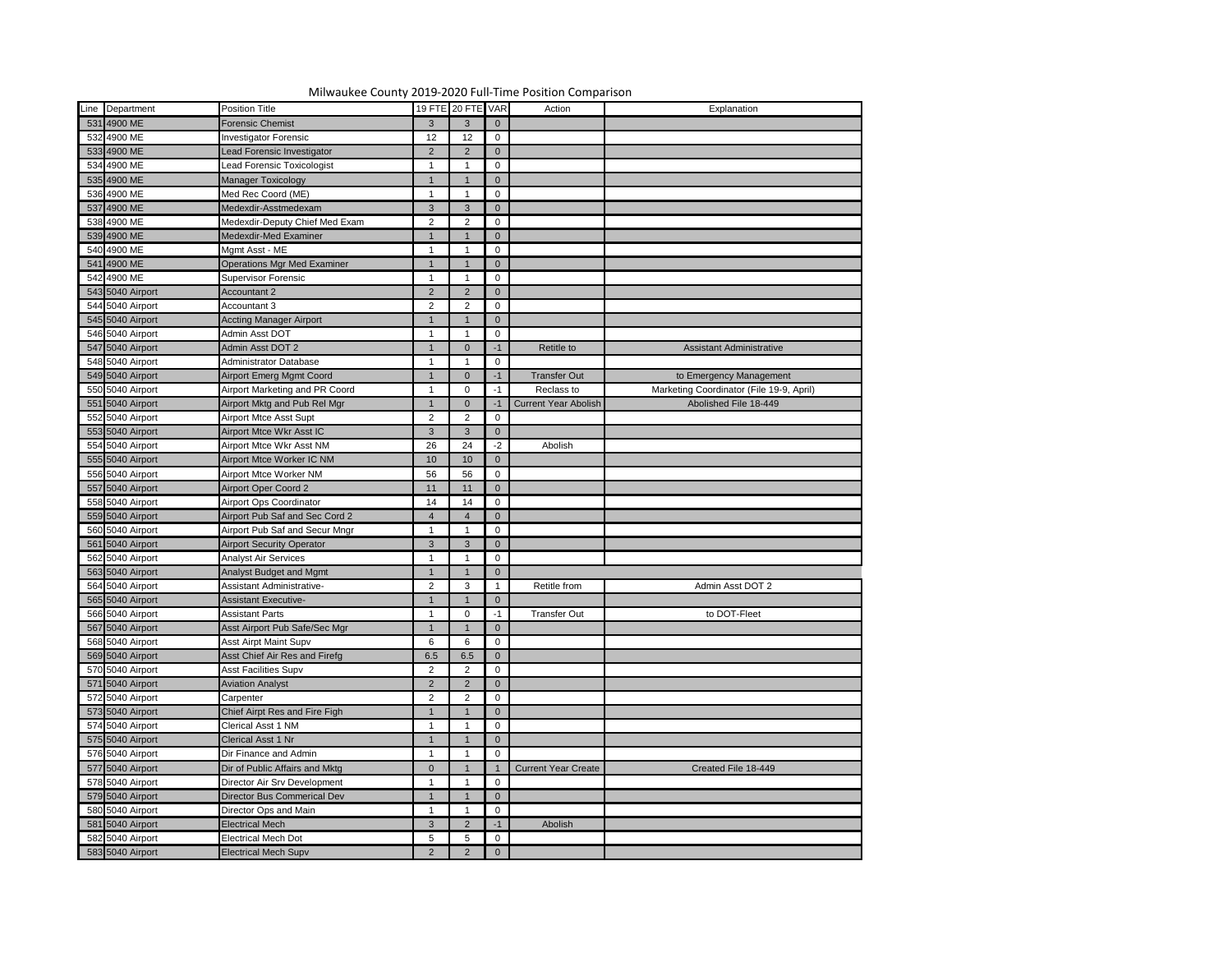

| Line Department  | <b>Position Title</b>              |                 | 19 FTE 20 FTE VAR |                | Action                      | Explanation                              |
|------------------|------------------------------------|-----------------|-------------------|----------------|-----------------------------|------------------------------------------|
|                  |                                    |                 |                   |                |                             |                                          |
| 531 4900 ME      | <b>Forensic Chemist</b>            | $\mathbf{3}$    |                   | $\overline{0}$ |                             |                                          |
| 532 4900 ME      | <b>Investigator Forensic</b>       | 12              | 12                | $\mathbf 0$    |                             |                                          |
| 533 4900 ME      | Lead Forensic Investigator         | $\overline{2}$  | 2                 | $\overline{0}$ |                             |                                          |
| 534 4900 ME      | Lead Forensic Toxicologist         |                 |                   | 0              |                             |                                          |
| 535 4900 ME      | Manager Toxicology                 | $\mathbf{1}$    |                   | $\overline{0}$ |                             |                                          |
| 536 4900 ME      | Med Rec Coord (ME)                 |                 |                   | $\mathbf 0$    |                             |                                          |
| 537 4900 ME      | Medexdir-Asstmedexam               | $\mathbf{3}$    | 3                 | $\overline{0}$ |                             |                                          |
| 538 4900 ME      | Medexdir-Deputy Chief Med Exam     | $\overline{2}$  | 2                 | $\mathbf 0$    |                             |                                          |
| 539 4900 ME      | Medexdir-Med Examiner              | $\mathbf{1}$    |                   | $\overline{0}$ |                             |                                          |
| 540 4900 ME      | Mgmt Asst - ME                     |                 |                   | $\mathbf 0$    |                             |                                          |
| 541 4900 ME      | <b>Operations Mgr Med Examiner</b> | $\mathbf 1$     |                   | $\overline{0}$ |                             |                                          |
| 542 4900 ME      | <b>Supervisor Forensic</b>         |                 |                   | $\mathbf 0$    |                             |                                          |
| 543 5040 Airport | <b>Accountant 2</b>                | $\overline{2}$  | $\mathcal{P}$     | $\overline{0}$ |                             |                                          |
| 544 5040 Airport | Accountant 3                       | $\overline{2}$  | $\mathcal{P}$     | $\mathbf 0$    |                             |                                          |
| 545 5040 Airport | <b>Accting Manager Airport</b>     | $\mathbf{1}$    |                   | $\overline{0}$ |                             |                                          |
| 546 5040 Airport | Admin Asst DOT                     |                 |                   | 0              |                             |                                          |
| 547 5040 Airport | Admin Asst DOT 2                   | $\mathbf{1}$    | $\Omega$          | $-1$           | Retitle to                  | <b>Assistant Administrative</b>          |
| 548 5040 Airport | Administrator Database             |                 |                   | 0              |                             |                                          |
| 549 5040 Airport | <b>Airport Emerg Mgmt Coord</b>    |                 | $\Omega$          | $-1$           | <b>Transfer Out</b>         | to Emergency Management                  |
| 550 5040 Airport | Airport Marketing and PR Coord     |                 | $\mathbf 0$       | -1             | Reclass to                  | Marketing Coordinator (File 19-9, April) |
| 551 5040 Airport | Airport Mktg and Pub Rel Mgr       |                 | $\Omega$          |                | <b>Current Year Abolish</b> | Abolished File 18-449                    |
| 552 5040 Airport | Airport Mtce Asst Supt             | $\overline{2}$  | $\mathcal{P}$     | $\mathbf 0$    |                             |                                          |
| 553 5040 Airport | Airport Mtce Wkr Asst IC           | 3 <sup>1</sup>  | 3                 | $\overline{0}$ |                             |                                          |
| 554 5040 Airport | Airport Mtce Wkr Asst NM           | 26              | 24                | $-2$           | Abolish                     |                                          |
| 555 5040 Airport | Airport Mtce Worker IC NM          | 10              | 10                | $\overline{0}$ |                             |                                          |
| 556 5040 Airport | Airport Mtce Worker NM             | 56              | 56                | $\mathbf 0$    |                             |                                          |
| 557 5040 Airport | <b>Airport Oper Coord 2</b>        | 11              | 11                | $\overline{0}$ |                             |                                          |
| 558 5040 Airport | Airport Ops Coordinator            | 14              | 14                | 0              |                             |                                          |
| 559 5040 Airport | Airport Pub Saf and Sec Cord 2     | $\overline{4}$  | $\overline{4}$    | $\overline{0}$ |                             |                                          |
| 560 5040 Airport | Airport Pub Saf and Secur Mngr     |                 |                   | $\overline{0}$ |                             |                                          |
| 561 5040 Airport | <b>Airport Security Operator</b>   | 3 <sup>1</sup>  | 3                 | $\overline{0}$ |                             |                                          |
| 562 5040 Airport | <b>Analyst Air Services</b>        |                 |                   | $\mathbf 0$    |                             |                                          |
| 563 5040 Airport | Analyst Budget and Mgmt            |                 |                   | $\Omega$       |                             |                                          |
| 564 5040 Airport | <b>Assistant Administrative-</b>   | $\overline{2}$  | 3                 |                | Retitle from                | Admin Asst DOT 2                         |
| 565 5040 Airport | <b>Assistant Executive-</b>        |                 |                   | $\overline{0}$ |                             |                                          |
| 566 5040 Airport | <b>Assistant Parts</b>             |                 |                   | -1             | <b>Transfer Out</b>         | to DOT-Fleet                             |
| 567 5040 Airport |                                    |                 |                   |                |                             |                                          |
|                  | Asst Airport Pub Safe/Sec Mgr      |                 |                   | $\Omega$       |                             |                                          |
| 568 5040 Airport | <b>Asst Airpt Maint Supv</b>       | $6\phantom{.}6$ |                   | $\mathbf 0$    |                             |                                          |
| 569 5040 Airport | Asst Chief Air Res and Firefg      | 6.5             | 6.5               | $\overline{0}$ |                             |                                          |
| 570 5040 Airport | <b>Asst Facilities Supv</b>        | $\overline{2}$  |                   | $\mathbf 0$    |                             |                                          |
| 571 5040 Airport | <b>Aviation Analyst</b>            | $\overline{2}$  |                   | $\overline{0}$ |                             |                                          |
| 572 5040 Airport | Carpenter                          | $\overline{2}$  |                   | 0              |                             |                                          |
| 573 5040 Airport | Chief Airpt Res and Fire Figh      |                 |                   | $\overline{0}$ |                             |                                          |
| 574 5040 Airport | Clerical Asst 1 NM                 |                 |                   | 0              |                             |                                          |
| 575 5040 Airport | Clerical Asst 1 Nr                 |                 |                   | $\Omega$       |                             |                                          |
| 576 5040 Airport | Dir Finance and Admin              |                 |                   | 0              |                             |                                          |
| 577 5040 Airport | Dir of Public Affairs and Mktg     | $\overline{0}$  |                   |                | <b>Current Year Create</b>  | Created File 18-449                      |
| 578 5040 Airport | Director Air Srv Development       |                 |                   | $\mathbf 0$    |                             |                                          |
| 579 5040 Airport | Director Bus Commerical Dev        |                 |                   | $\Omega$       |                             |                                          |
| 580 5040 Airport | Director Ops and Main              |                 |                   | 0              |                             |                                          |
| 581 5040 Airport | <b>Electrical Mech</b>             | 3 <sup>1</sup>  | 2                 | $-1$           | Abolish                     |                                          |
| 582 5040 Airport | Electrical Mech Dot                | $5\phantom{.0}$ |                   | 0              |                             |                                          |
| 583 5040 Airport | <b>Electrical Mech Supv</b>        | $2^{\circ}$     | $\overline{2}$    | $\overline{0}$ |                             |                                          |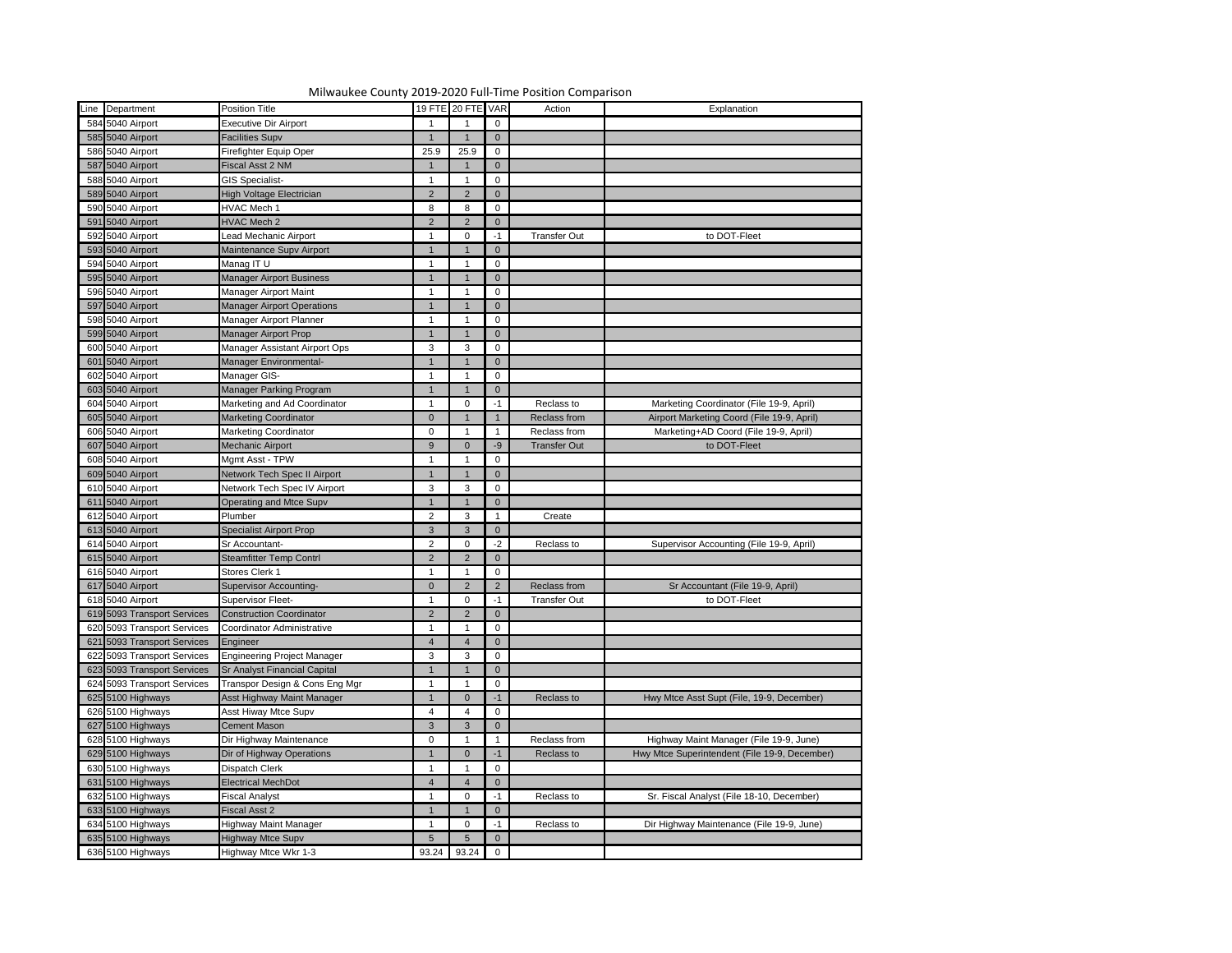|                                      | Milwaukee County 2019-2020 Full-Time Position Comparison |                 |                   |                |                     |                                               |
|--------------------------------------|----------------------------------------------------------|-----------------|-------------------|----------------|---------------------|-----------------------------------------------|
| Line Department                      | Position Title                                           |                 | 19 FTE 20 FTE VAR |                | Action              | Explanation                                   |
| 584 5040 Airport                     | <b>Executive Dir Airport</b>                             |                 |                   | $\mathbf 0$    |                     |                                               |
| 585 5040 Airport                     | <b>Facilities Supv</b>                                   |                 |                   | $\overline{0}$ |                     |                                               |
| 586 5040 Airport                     | Firefighter Equip Oper                                   | 25.9            | 25.9              | $\mathbf 0$    |                     |                                               |
| 587 5040 Airport                     | Fiscal Asst 2 NM                                         |                 |                   | $\overline{0}$ |                     |                                               |
| 588 5040 Airport                     | <b>GIS Specialist-</b>                                   |                 |                   | 0              |                     |                                               |
| 589 5040 Airport                     | High Voltage Electrician                                 | $2^{\circ}$     |                   | $\overline{0}$ |                     |                                               |
| 590 5040 Airport                     | HVAC Mech 1                                              | 8               |                   | 0              |                     |                                               |
| 591 5040 Airport                     | <b>HVAC Mech 2</b>                                       | $2^{\circ}$     |                   | $\overline{0}$ |                     |                                               |
| 592 5040 Airport                     | Lead Mechanic Airport                                    |                 |                   |                | <b>Transfer Out</b> | to DOT-Fleet                                  |
| 593 5040 Airport                     | Maintenance Supv Airport                                 |                 |                   | $\overline{0}$ |                     |                                               |
| 594 5040 Airport                     | Manag IT U                                               |                 |                   | 0              |                     |                                               |
| 595 5040 Airport                     | <b>Manager Airport Business</b>                          |                 |                   | $\overline{0}$ |                     |                                               |
| 596 5040 Airport                     | Manager Airport Maint                                    |                 |                   | 0              |                     |                                               |
| 597 5040 Airport                     | <b>Manager Airport Operations</b>                        |                 |                   | $\overline{0}$ |                     |                                               |
| 598 5040 Airport                     | Manager Airport Planner                                  |                 |                   | 0              |                     |                                               |
| 599 5040 Airport                     | Manager Airport Prop                                     |                 |                   | $\overline{0}$ |                     |                                               |
| 600 5040 Airport                     | Manager Assistant Airport Ops                            |                 | 3                 |                |                     |                                               |
|                                      |                                                          | $\mathbf{3}$    |                   | 0              |                     |                                               |
| 601 5040 Airport<br>602 5040 Airport | Manager Environmental-                                   |                 |                   | $\overline{0}$ |                     |                                               |
|                                      | Manager GIS-                                             |                 |                   | 0              |                     |                                               |
| 603 5040 Airport                     | Manager Parking Program                                  |                 |                   | $\overline{0}$ |                     |                                               |
| 604 5040 Airport                     | Marketing and Ad Coordinator                             |                 |                   | -1             | Reclass to          | Marketing Coordinator (File 19-9, April)      |
| 605 5040 Airport                     | <b>Marketing Coordinator</b>                             | $\overline{0}$  |                   |                | Reclass from        | Airport Marketing Coord (File 19-9, April)    |
| 606 5040 Airport                     | Marketing Coordinator                                    | $\mathbf 0$     |                   |                | Reclass from        | Marketing+AD Coord (File 19-9, April)         |
| 607 5040 Airport                     | Mechanic Airport                                         | 9               |                   | -9             | <b>Transfer Out</b> | to DOT-Fleet                                  |
| 608 5040 Airport                     | Mgmt Asst - TPW                                          |                 |                   | 0              |                     |                                               |
| 609 5040 Airport                     | Network Tech Spec II Airport                             |                 |                   | $\overline{0}$ |                     |                                               |
| 610 5040 Airport                     | Network Tech Spec IV Airport                             | 3               | 3                 | 0              |                     |                                               |
| 611 5040 Airport                     | Operating and Mtce Supv                                  | $\overline{1}$  | $\overline{1}$    | $\overline{0}$ |                     |                                               |
| 612 5040 Airport                     | Plumber                                                  | $\overline{2}$  | 3                 |                | Create              |                                               |
| 613 5040 Airport                     | <b>Specialist Airport Prop</b>                           | $3\phantom{.0}$ | 3                 | $\overline{0}$ |                     |                                               |
| 614 5040 Airport                     | Sr Accountant-                                           | $\overline{2}$  |                   | $-2$           | Reclass to          | Supervisor Accounting (File 19-9, April)      |
| 615 5040 Airport                     | <b>Steamfitter Temp Contrl</b>                           | 2               |                   | $\overline{0}$ |                     |                                               |
| 616 5040 Airport                     | Stores Clerk 1                                           |                 |                   | 0              |                     |                                               |
| 617 5040 Airport                     | <b>Supervisor Accounting-</b>                            | $\overline{0}$  |                   | $\overline{2}$ | Reclass from        | Sr Accountant (File 19-9, April)              |
| 618 5040 Airport                     | <b>Supervisor Fleet-</b>                                 |                 |                   |                | <b>Transfer Out</b> | to DOT-Fleet                                  |
| 619 5093 Transport Services          | <b>Construction Coordinator</b>                          | 2               |                   | $\overline{0}$ |                     |                                               |
| 620 5093 Transport Services          | Coordinator Administrative                               |                 |                   | 0              |                     |                                               |
| 621 5093 Transport Services          | Engineer                                                 | $\overline{4}$  |                   | $\overline{0}$ |                     |                                               |
| 622 5093 Transport Services          | <b>Engineering Project Manager</b>                       | $\mathbf{3}$    | 3                 | 0              |                     |                                               |
| 623 5093 Transport Services          | <b>Sr Analyst Financial Capital</b>                      |                 |                   | $\overline{0}$ |                     |                                               |
| 624 5093 Transport Services          | Transpor Design & Cons Eng Mgr                           |                 |                   | 0              |                     |                                               |
| 625 5100 Highways                    | Asst Highway Maint Manager                               |                 |                   | -1             | Reclass to          | Hwy Mtce Asst Supt (File, 19-9, December)     |
| 626 5100 Highways                    | Asst Hiway Mtce Supv                                     | 4               |                   | 0              |                     |                                               |
| 627 5100 Highways                    | Cement Mason                                             | $\mathbf{3}$    |                   | $\overline{0}$ |                     |                                               |
| 628 5100 Highways                    | Dir Highway Maintenance                                  | $\mathbf 0$     |                   |                | Reclass from        | Highway Maint Manager (File 19-9, June)       |
| 629 5100 Highways                    | Dir of Highway Operations                                |                 |                   | $-1$           | Reclass to          | Hwy Mtce Superintendent (File 19-9, December) |
| 630 5100 Highways                    | Dispatch Clerk                                           |                 |                   | 0              |                     |                                               |
| 631 5100 Highways                    | <b>Electrical MechDot</b>                                | $\overline{4}$  |                   | $\overline{0}$ |                     |                                               |
| 632 5100 Highways                    | Fiscal Analyst                                           |                 |                   |                | Reclass to          | Sr. Fiscal Analyst (File 18-10, December)     |
| 633 5100 Highways                    | Fiscal Asst 2                                            |                 |                   | $\overline{0}$ |                     |                                               |
| 634 5100 Highways                    |                                                          |                 |                   |                | Reclass to          | Dir Highway Maintenance (File 19-9, June)     |
|                                      | Highway Maint Manager                                    |                 |                   |                |                     |                                               |
| 635 5100 Highways                    | <b>Highway Mtce Supv</b>                                 | $5\overline{)}$ |                   | $\overline{0}$ |                     |                                               |
| 636 5100 Highways                    | Highway Mtce Wkr 1-3                                     |                 | 93.24 93.24       | $\overline{0}$ |                     |                                               |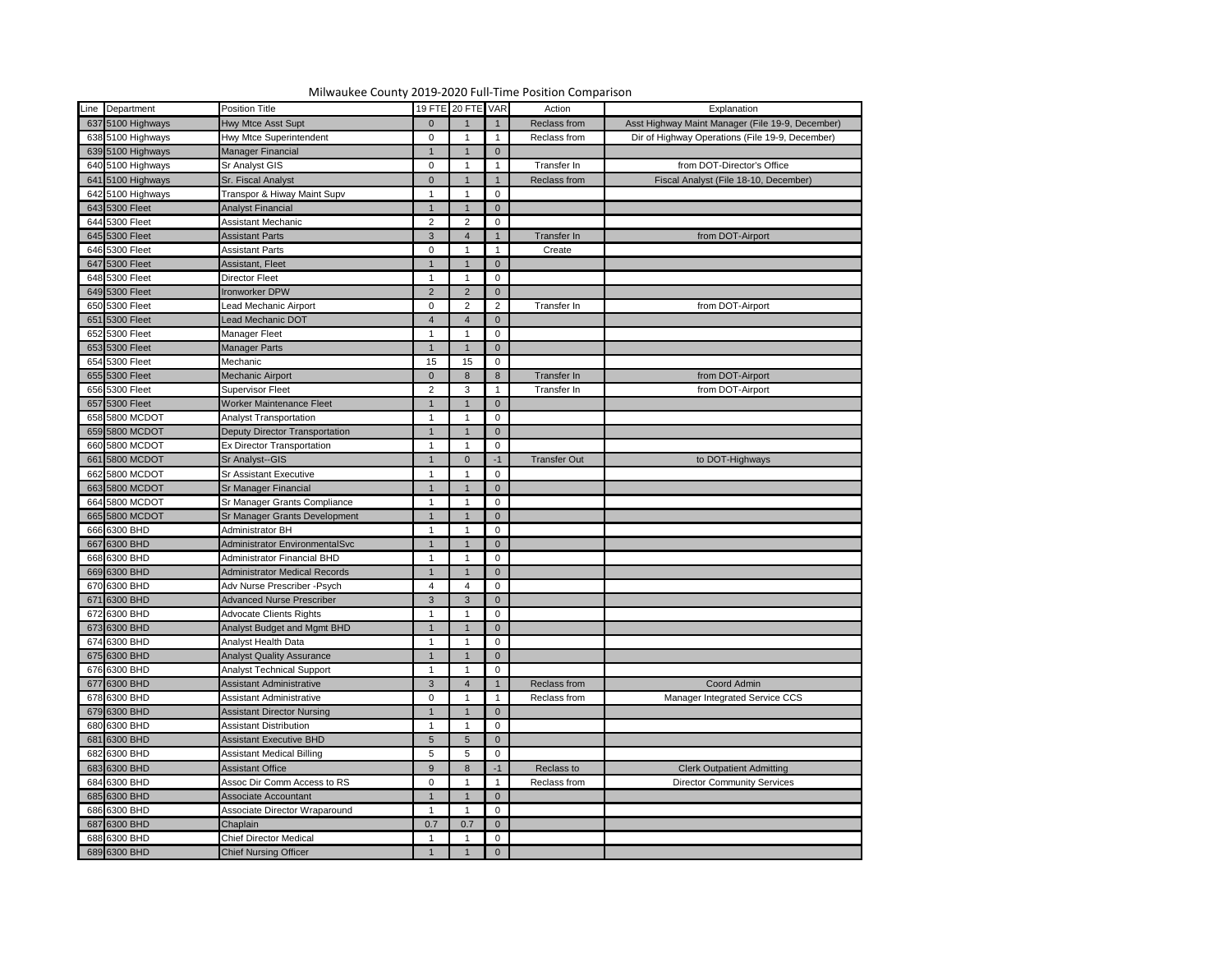|   | Line Department                  | <b>Position Title</b>                 |                            | 19 FTE 20 FTE VAR |                | Action              | Explanation                                      |
|---|----------------------------------|---------------------------------------|----------------------------|-------------------|----------------|---------------------|--------------------------------------------------|
|   | 637 5100 Highways                | <b>Hwy Mtce Asst Supt</b>             | $\overline{0}$             |                   |                | Reclass from        | Asst Highway Maint Manager (File 19-9, December) |
|   | 638 5100 Highways                | Hwy Mtce Superintendent               | $\mathbf 0$                |                   |                | Reclass from        | Dir of Highway Operations (File 19-9, December)  |
|   | 639 5100 Highways                | <b>Manager Financial</b>              |                            |                   | $\mathbf{0}$   |                     |                                                  |
|   | 640 5100 Highways                | <b>Sr Analyst GIS</b>                 | $\mathbf 0$                |                   |                | Transfer In         | from DOT-Director's Office                       |
|   | 641 5100 Highways                | Sr. Fiscal Analyst                    | $\overline{0}$             |                   |                | Reclass from        | Fiscal Analyst (File 18-10, December)            |
|   | 642 5100 Highways                | Transpor & Hiway Maint Supv           |                            |                   | $\mathbf 0$    |                     |                                                  |
|   | 643 5300 Fleet                   | <b>Analyst Financial</b>              |                            |                   | $\mathbf{0}$   |                     |                                                  |
|   | 644 5300 Fleet                   | Assistant Mechanic                    | $\overline{2}$             |                   | 0              |                     |                                                  |
|   | 645 5300 Fleet                   | <b>Assistant Parts</b>                | $\mathbf{3}$               |                   |                |                     |                                                  |
|   |                                  |                                       |                            |                   |                | Transfer In         | from DOT-Airport                                 |
|   | 646 5300 Fleet<br>647 5300 Fleet | <b>Assistant Parts</b>                | $\mathbf 0$<br>$\mathbf 1$ |                   |                | Create              |                                                  |
|   |                                  | Assistant, Fleet                      |                            |                   | $\mathbf{0}$   |                     |                                                  |
|   | 648 5300 Fleet                   | <b>Director Fleet</b>                 |                            |                   | 0              |                     |                                                  |
|   | 649 5300 Fleet                   | <b>Ironworker DPW</b>                 | 2                          | $\mathcal{P}$     | $\mathbf{0}$   |                     |                                                  |
|   | 650 5300 Fleet                   | Lead Mechanic Airport                 | $\mathbf{0}$               |                   | $\overline{2}$ | Transfer In         | from DOT-Airport                                 |
|   | 651 5300 Fleet                   | Lead Mechanic DOT                     | $\overline{4}$             |                   | $\mathbf{0}$   |                     |                                                  |
|   | 652 5300 Fleet                   | <b>Manager Fleet</b>                  |                            |                   | 0              |                     |                                                  |
|   | 653 5300 Fleet                   | <b>Manager Parts</b>                  |                            |                   | $\mathbf{0}$   |                     |                                                  |
|   | 654 5300 Fleet                   | Mechanic                              | 15                         | 15 <sub>1</sub>   | 0              |                     |                                                  |
|   | 655 5300 Fleet                   | Mechanic Airport                      | $\overline{0}$             | 8                 | 8              | Transfer In         | from DOT-Airport                                 |
|   | 656 5300 Fleet                   | <b>Supervisor Fleet</b>               | $\overline{2}$             | 3                 |                | Transfer In         | from DOT-Airport                                 |
|   | 657 5300 Fleet                   | Worker Maintenance Fleet              |                            |                   | $\overline{0}$ |                     |                                                  |
|   | 658 5800 MCDOT                   | <b>Analyst Transportation</b>         |                            |                   | 0              |                     |                                                  |
|   | 659 5800 MCDOT                   | Deputy Director Transportation        |                            |                   | 0              |                     |                                                  |
|   | 660 5800 MCDOT                   | <b>Ex Director Transportation</b>     |                            |                   | 0              |                     |                                                  |
|   | 661 5800 MCDOT                   | Sr Analyst--GIS                       |                            | $\Omega$          | $-1$           | <b>Transfer Out</b> | to DOT-Highways                                  |
|   | 662 5800 MCDOT                   | <b>Sr Assistant Executive</b>         |                            |                   | $\mathbf 0$    |                     |                                                  |
|   | 663 5800 MCDOT                   | <b>Sr Manager Financial</b>           |                            |                   | $\mathbf{0}$   |                     |                                                  |
|   | 664 5800 MCDOT                   | Sr Manager Grants Compliance          |                            |                   | $\mathbf 0$    |                     |                                                  |
| i | 665 5800 MCDOT                   | Sr Manager Grants Development         | $\overline{1}$             | $\overline{1}$    | $\overline{0}$ |                     |                                                  |
|   | 666 6300 BHD                     | Administrator BH                      |                            |                   | 0              |                     |                                                  |
|   | 667 6300 BHD                     | <b>Administrator EnvironmentalSvc</b> |                            |                   | $\overline{0}$ |                     |                                                  |
|   | 668 6300 BHD                     | <b>Administrator Financial BHD</b>    |                            |                   | 0              |                     |                                                  |
|   | 669 6300 BHD                     | Administrator Medical Records         |                            |                   | $\mathbf 0$    |                     |                                                  |
|   | 670 6300 BHD                     | Adv Nurse Prescriber - Psych          | 4                          |                   | $\mathbf 0$    |                     |                                                  |
|   | 671 6300 BHD                     | <b>Advanced Nurse Prescriber</b>      | $\mathbf{3}$               | 3                 | $\overline{0}$ |                     |                                                  |
|   | 672 6300 BHD                     | <b>Advocate Clients Rights</b>        |                            |                   | $\mathbf 0$    |                     |                                                  |
|   | 673 6300 BHD                     | Analyst Budget and Mgmt BHD           |                            |                   | $\mathbf{0}$   |                     |                                                  |
|   | 674 6300 BHD                     | <b>Analyst Health Data</b>            |                            |                   | 0              |                     |                                                  |
|   | 675 6300 BHD                     | <b>Analyst Quality Assurance</b>      |                            |                   | $\mathbf 0$    |                     |                                                  |
|   | 676 6300 BHD                     | <b>Analyst Technical Support</b>      |                            |                   | 0              |                     |                                                  |
|   | 677 6300 BHD                     | <b>Assistant Administrative</b>       | $\mathbf{3}$               |                   |                | Reclass from        | Coord Admin                                      |
|   | 678 6300 BHD                     | <b>Assistant Administrative</b>       | $\mathbf 0$                |                   |                | Reclass from        | Manager Integrated Service CCS                   |
|   | 679 6300 BHD                     | <b>Assistant Director Nursing</b>     |                            |                   | $\overline{0}$ |                     |                                                  |
|   | 680 6300 BHD                     | <b>Assistant Distribution</b>         |                            |                   | $\mathbf 0$    |                     |                                                  |
|   | 681 6300 BHD                     | <b>Assistant Executive BHD</b>        | $5\phantom{.}$             |                   | $\mathbf 0$    |                     |                                                  |
|   | 682 6300 BHD                     | <b>Assistant Medical Billing</b>      | $5\phantom{.0}$            |                   | 0              |                     |                                                  |
|   | 683 6300 BHD                     | <b>Assistant Office</b>               | 9                          | 8                 | $-1$           | Reclass to          | <b>Clerk Outpatient Admitting</b>                |
|   | 684 6300 BHD                     | Assoc Dir Comm Access to RS           | $\mathbf 0$                |                   |                | Reclass from        | <b>Director Community Services</b>               |
|   | 685 6300 BHD                     | Associate Accountant                  |                            |                   | $\overline{0}$ |                     |                                                  |
|   | 686 6300 BHD                     | Associate Director Wraparound         |                            |                   | $\Omega$       |                     |                                                  |
|   | 687 6300 BHD                     | Chaplain                              | 0.7                        | 0.7               | $\mathbf{0}$   |                     |                                                  |
|   | 688 6300 BHD                     | <b>Chief Director Medical</b>         |                            |                   | 0              |                     |                                                  |
|   | 689 6300 BHD                     | Chief Nursing Officer                 |                            |                   | $\overline{0}$ |                     |                                                  |
|   |                                  |                                       |                            |                   |                |                     |                                                  |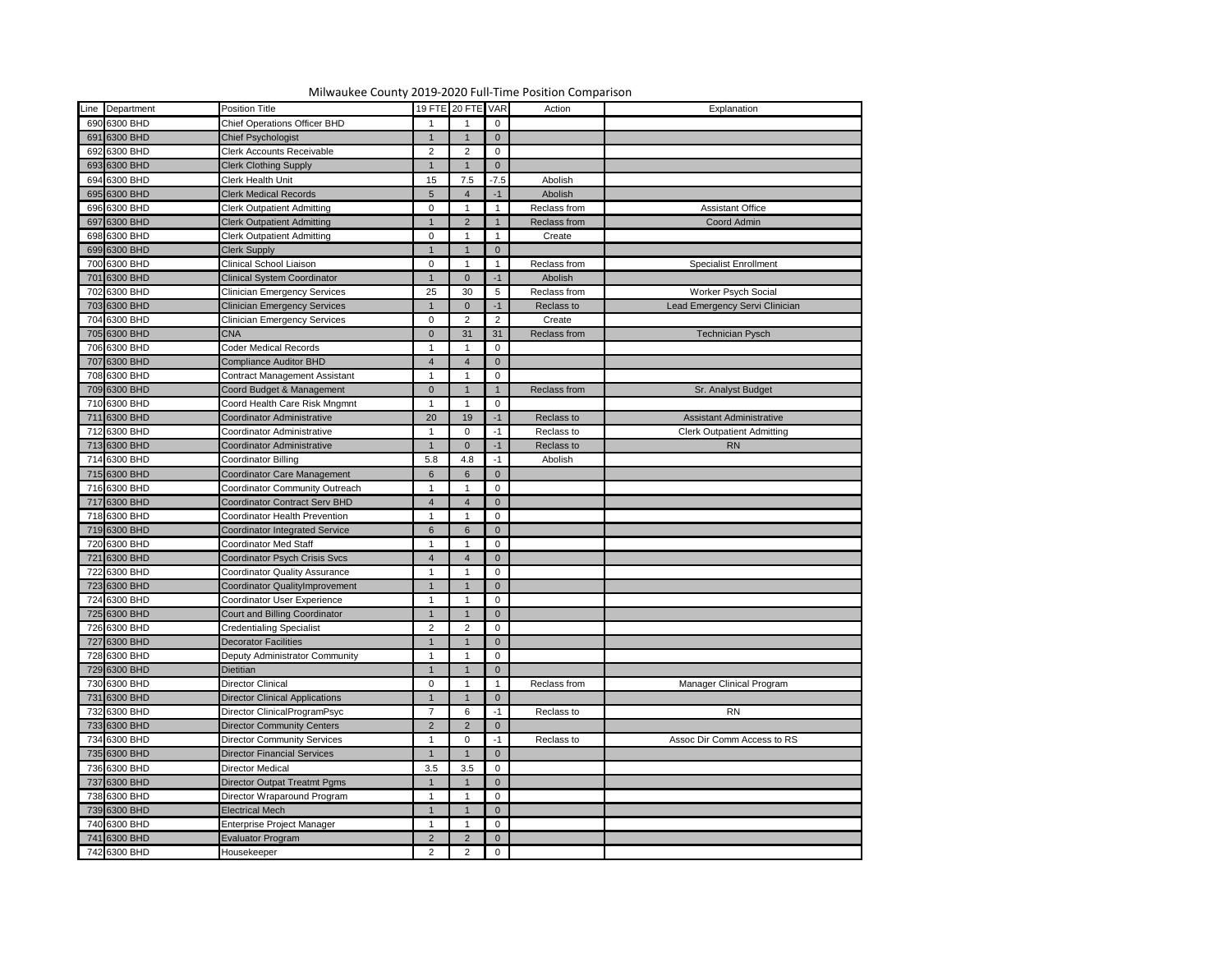| Line Department              | <b>Position Title</b>                 |                                  | 19 FTE 20 FTE VAR       |                 | Action       | Explanation                       |
|------------------------------|---------------------------------------|----------------------------------|-------------------------|-----------------|--------------|-----------------------------------|
| 690 6300 BHD                 | <b>Chief Operations Officer BHD</b>   |                                  |                         | $\mathbf 0$     |              |                                   |
| 691 6300 BHD                 | <b>Chief Psychologist</b>             | $\mathbf 1$                      |                         | $\overline{0}$  |              |                                   |
| 692 6300 BHD                 | <b>Clerk Accounts Receivable</b>      | $\overline{2}$                   | 2                       | 0               |              |                                   |
| 693 6300 BHD                 | <b>Clerk Clothing Supply</b>          |                                  |                         | $\overline{0}$  |              |                                   |
| 694 6300 BHD                 | <b>Clerk Health Unit</b>              | 15                               | 7.5                     | $-7.5$          | Abolish      |                                   |
| 695 6300 BHD                 | <b>Clerk Medical Records</b>          | $5\phantom{.0}$                  |                         | $-1$            | Abolish      |                                   |
| 696 6300 BHD                 | <b>Clerk Outpatient Admitting</b>     | $\overline{0}$                   |                         |                 | Reclass from | <b>Assistant Office</b>           |
| 697 6300 BHD                 | <b>Clerk Outpatient Admitting</b>     |                                  | $\mathcal{P}$           |                 | Reclass from | Coord Admin                       |
| 698 6300 BHD                 | <b>Clerk Outpatient Admitting</b>     | $\Omega$                         |                         |                 | Create       |                                   |
| 699 6300 BHD                 | <b>Clerk Supply</b>                   |                                  |                         | $\overline{0}$  |              |                                   |
| 700 6300 BHD                 | Clinical School Liaison               | $\Omega$                         |                         |                 | Reclass from | <b>Specialist Enrollment</b>      |
| 701 6300 BHD                 | <b>Clinical System Coordinator</b>    |                                  | $\Omega$                | $-1$            | Abolish      |                                   |
| 702 6300 BHD                 | <b>Clinician Emergency Services</b>   | 25                               | 30                      | $5\phantom{.0}$ | Reclass from | Worker Psych Social               |
| 703 6300 BHD                 | <b>Clinician Emergency Services</b>   |                                  | $\Omega$                | $-1$            | Reclass to   | Lead Emergency Servi Clinician    |
| 704 6300 BHD                 | <b>Clinician Emergency Services</b>   | $\overline{0}$                   | 2                       | $\overline{2}$  | Create       |                                   |
| 705 6300 BHD                 | <b>CNA</b>                            | $\Omega$                         | 31                      | 31              | Reclass from | <b>Technician Pysch</b>           |
| 706 6300 BHD                 | Coder Medical Records                 |                                  |                         | 0               |              |                                   |
| 707 6300 BHD                 | <b>Compliance Auditor BHD</b>         | $\overline{4}$                   |                         | $\overline{0}$  |              |                                   |
| 708 6300 BHD                 | <b>Contract Management Assistant</b>  | $\mathbf 1$                      |                         | 0               |              |                                   |
| 709 6300 BHD                 | Coord Budget & Management             | $\overline{0}$                   |                         |                 | Reclass from | Sr. Analyst Budget                |
| 710 6300 BHD                 | Coord Health Care Risk Mngmnt         | $\mathbf 1$                      |                         | 0               |              |                                   |
| 711 6300 BHD                 | Coordinator Administrative            | 20                               | 19                      | -1              | Reclass to   | <b>Assistant Administrative</b>   |
| 712 6300 BHD                 | Coordinator Administrative            |                                  | $\Omega$                | $-1$            | Reclass to   | <b>Clerk Outpatient Admitting</b> |
| 713 6300 BHD                 | Coordinator Administrative            |                                  | $\Omega$                | $-1$            | Reclass to   | <b>RN</b>                         |
| 714 6300 BHD                 | Coordinator Billing                   | 5.8                              | 4.8                     | -1              | Abolish      |                                   |
| 715 6300 BHD                 | Coordinator Care Management           | 6                                | 6                       | $\overline{0}$  |              |                                   |
| 716 6300 BHD                 | <b>Coordinator Community Outreach</b> | $\mathbf 1$                      |                         |                 |              |                                   |
| 717 6300 BHD                 | Coordinator Contract Serv BHD         |                                  |                         | 0               |              |                                   |
|                              |                                       | $\overline{4}$<br>$\overline{1}$ | $\overline{\mathbf{A}}$ | $\overline{0}$  |              |                                   |
| 718 6300 BHD<br>719 6300 BHD | <b>Coordinator Health Prevention</b>  |                                  |                         | $\overline{0}$  |              |                                   |
|                              | <b>Coordinator Integrated Service</b> | $6\phantom{1}$                   | 6                       | $\overline{0}$  |              |                                   |
| 720 6300 BHD                 | <b>Coordinator Med Staff</b>          |                                  |                         | 0               |              |                                   |
| 721 6300 BHD                 | Coordinator Psych Crisis Svcs         | $\boldsymbol{\Delta}$            |                         | $\overline{0}$  |              |                                   |
| 722 6300 BHD                 | <b>Coordinator Quality Assurance</b>  |                                  |                         | 0               |              |                                   |
| 723 6300 BHD                 | Coordinator QualityImprovement        |                                  |                         | $\overline{0}$  |              |                                   |
| 724 6300 BHD                 | <b>Coordinator User Experience</b>    | $\mathbf 1$                      |                         | $\mathbf 0$     |              |                                   |
| 725 6300 BHD                 | <b>Court and Billing Coordinator</b>  |                                  |                         | $\overline{0}$  |              |                                   |
| 726 6300 BHD                 | <b>Credentialing Specialist</b>       | $\overline{2}$                   | $\mathcal{P}$           | 0               |              |                                   |
| 727 6300 BHD                 | <b>Decorator Facilities</b>           | 1                                |                         | $\overline{0}$  |              |                                   |
| 728 6300 BHD                 | Deputy Administrator Community        |                                  |                         | 0               |              |                                   |
| 729 6300 BHD                 | <b>Dietitian</b>                      |                                  |                         | $\overline{0}$  |              |                                   |
| 730 6300 BHD                 | <b>Director Clinical</b>              | $\Omega$                         |                         |                 | Reclass from | Manager Clinical Program          |
| 731 6300 BHD                 | <b>Director Clinical Applications</b> |                                  |                         | $\overline{0}$  |              |                                   |
| 732 6300 BHD                 | Director ClinicalProgramPsyc          | $\overline{7}$                   | 6                       | $-1$            | Reclass to   | <b>RN</b>                         |
| 733 6300 BHD                 | <b>Director Community Centers</b>     | $\overline{2}$                   | $\mathcal{D}$           | $\overline{0}$  |              |                                   |
| 734 6300 BHD                 | <b>Director Community Services</b>    |                                  | $\Omega$                | -1              | Reclass to   | Assoc Dir Comm Access to RS       |
| 735 6300 BHD                 | <b>Director Financial Services</b>    |                                  |                         | $\overline{0}$  |              |                                   |
| 736 6300 BHD                 | <b>Director Medical</b>               | 3.5                              | 3.5                     | 0               |              |                                   |
| 737 6300 BHD                 | <b>Director Outpat Treatmt Pgms</b>   |                                  |                         | $\overline{0}$  |              |                                   |
| 738 6300 BHD                 | Director Wraparound Program           |                                  |                         | 0               |              |                                   |
| 739 6300 BHD                 | <b>Electrical Mech</b>                | $\overline{1}$                   |                         | $\overline{0}$  |              |                                   |
| 740 6300 BHD                 | Enterprise Project Manager            |                                  |                         | 0               |              |                                   |
| 741 6300 BHD                 | <b>Evaluator Program</b>              | $\overline{2}$                   | $\mathcal{P}$           | $\overline{0}$  |              |                                   |
| 742 6300 BHD                 | Housekeeper                           | $2^{\circ}$                      | $\overline{2}$          | $\mathbf 0$     |              |                                   |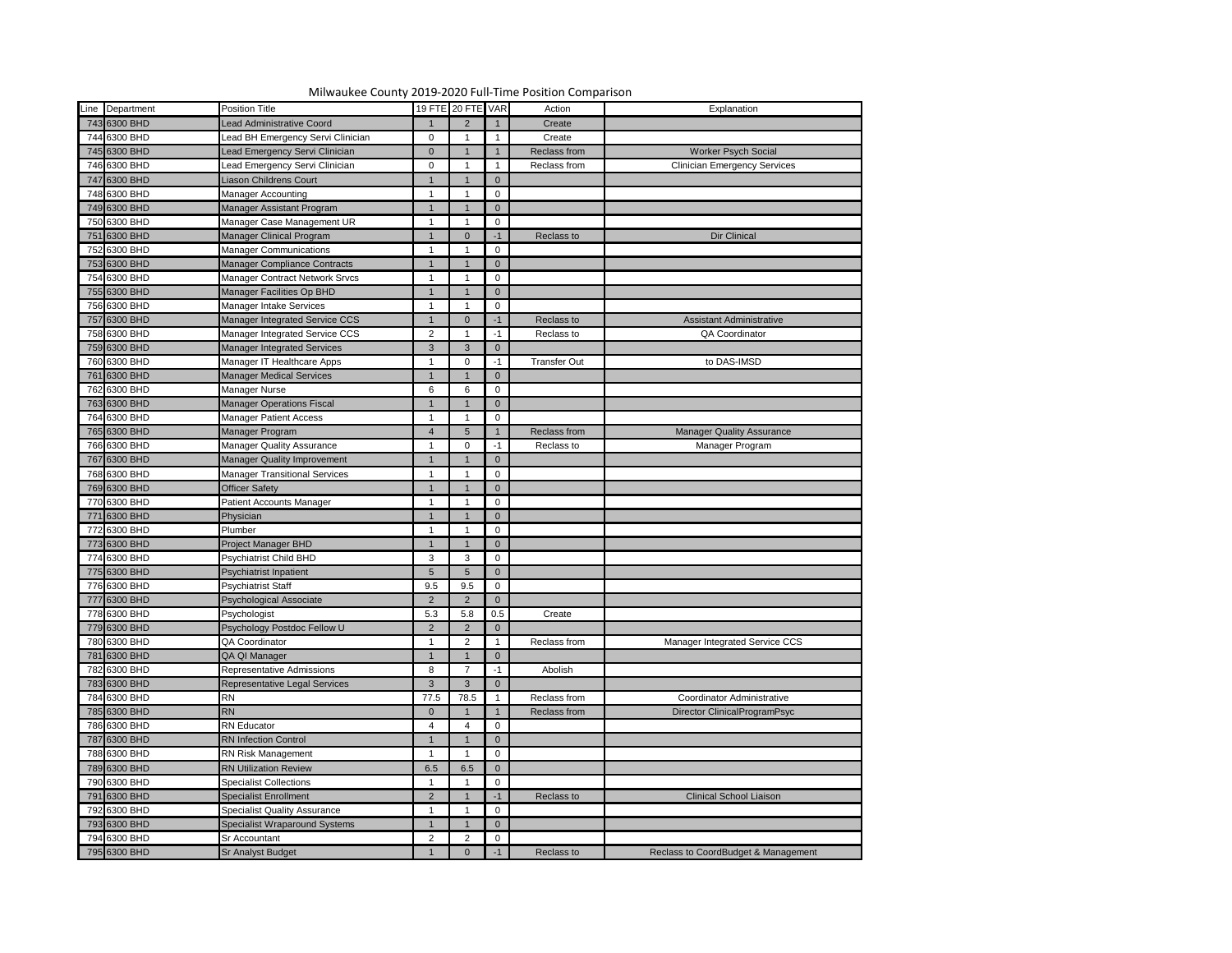

| Line Department | <b>Position Title</b>                |                 | 19 FTE 20 FTE VAR    |                | Action              | Explanation                         |
|-----------------|--------------------------------------|-----------------|----------------------|----------------|---------------------|-------------------------------------|
| 743 6300 BHD    | <b>Lead Administrative Coord</b>     |                 |                      |                | Create              |                                     |
| 744 6300 BHD    | ead BH Emergency Servi Clinician     | $\overline{0}$  |                      |                | Create              |                                     |
| 745 6300 BHD    | Lead Emergency Servi Clinician       | $\overline{0}$  |                      |                | Reclass from        | <b>Worker Psych Social</b>          |
| 746 6300 BHD    | ead Emergency Servi Clinician        | $\mathbf 0$     |                      |                | Reclass from        | <b>Clinician Emergency Services</b> |
| 747 6300 BHD    | Liason Childrens Court               | $\mathbf{1}$    |                      | $\overline{0}$ |                     |                                     |
| 748 6300 BHD    | Manager Accounting                   |                 |                      | $\mathbf 0$    |                     |                                     |
| 749 6300 BHD    | Manager Assistant Program            |                 |                      | $\overline{0}$ |                     |                                     |
| 750 6300 BHD    | Manager Case Management UR           |                 |                      | $\mathbf 0$    |                     |                                     |
| 751 6300 BHD    | Manager Clinical Program             | $\mathbf{1}$    | $\Omega$             | $-1$           | Reclass to          | <b>Dir Clinical</b>                 |
| 752 6300 BHD    | <b>Manager Communications</b>        |                 |                      | $\mathbf 0$    |                     |                                     |
| 753 6300 BHD    | <b>Manager Compliance Contracts</b>  | $\mathbf{1}$    |                      | $\overline{0}$ |                     |                                     |
| 754 6300 BHD    | Manager Contract Network Srvcs       |                 |                      | $\mathbf 0$    |                     |                                     |
| 755 6300 BHD    | Manager Facilities Op BHD            | $\mathbf{1}$    |                      | $\mathbf 0$    |                     |                                     |
| 756 6300 BHD    | Manager Intake Services              |                 |                      | 0              |                     |                                     |
| 757 6300 BHD    | Manager Integrated Service CCS       | $\mathbf{1}$    |                      | $-1$           | Reclass to          | <b>Assistant Administrative</b>     |
| 758 6300 BHD    | Manager Integrated Service CCS       | $\overline{2}$  |                      | $-1$           | Reclass to          | QA Coordinator                      |
| 759 6300 BHD    | Manager Integrated Services          | $\mathbf{3}$    | 3                    | $\overline{0}$ |                     |                                     |
| 760 6300 BHD    | Manager IT Healthcare Apps           |                 | $\Omega$             | $-1$           | <b>Transfer Out</b> | to DAS-IMSD                         |
| 761 6300 BHD    | <b>Manager Medical Services</b>      | $\mathbf{1}$    |                      | $\overline{0}$ |                     |                                     |
| 762 6300 BHD    | Manager Nurse                        | $6\phantom{.}6$ | 6                    | 0              |                     |                                     |
| 763 6300 BHD    | <b>Manager Operations Fiscal</b>     | $\mathbf{1}$    |                      | $\overline{0}$ |                     |                                     |
| 764 6300 BHD    | <b>Manager Patient Access</b>        |                 |                      | $\mathbf 0$    |                     |                                     |
| 765 6300 BHD    | Manager Program                      | $\overline{4}$  | 5                    |                | Reclass from        | <b>Manager Quality Assurance</b>    |
| 766 6300 BHD    | <b>Manager Quality Assurance</b>     |                 | $\Omega$             | $-1$           | Reclass to          | Manager Program                     |
| 767 6300 BHD    | <b>Manager Quality Improvement</b>   | $\mathbf{1}$    |                      | $\overline{0}$ |                     |                                     |
| 768 6300 BHD    | <b>Manager Transitional Services</b> |                 |                      | $\mathbf 0$    |                     |                                     |
| 769 6300 BHD    | <b>Officer Safety</b>                | $\overline{1}$  |                      | $\overline{0}$ |                     |                                     |
| 770 6300 BHD    | Patient Accounts Manager             |                 |                      | 0              |                     |                                     |
| 771 6300 BHD    | Physician                            | $\overline{1}$  | $\overline{1}$       | $\overline{0}$ |                     |                                     |
| 772 6300 BHD    | Plumber                              |                 |                      | $\overline{0}$ |                     |                                     |
| 773 6300 BHD    | Project Manager BHD                  | $\mathbf{1}$    |                      | $\overline{0}$ |                     |                                     |
| 774 6300 BHD    | <b>Psychiatrist Child BHD</b>        | $\mathbf{3}$    | 3                    | $\mathbf 0$    |                     |                                     |
| 775 6300 BHD    | Psychiatrist Inpatient               | $5\overline{)}$ | $\overline{5}$       | $\overline{0}$ |                     |                                     |
| 776 6300 BHD    |                                      |                 |                      |                |                     |                                     |
|                 | <b>Psychiatrist Staff</b>            | 9.5             | 9.5<br>$\mathcal{P}$ | $\mathbf 0$    |                     |                                     |
| 777 6300 BHD    | <b>Psychological Associate</b>       | $2^{\circ}$     |                      | $\overline{0}$ |                     |                                     |
| 778 6300 BHD    | Psychologist                         | 5.3             | 5.8                  | 0.5            | Create              |                                     |
| 779 6300 BHD    | Psychology Postdoc Fellow U          | $\overline{2}$  |                      | $\overline{0}$ |                     |                                     |
| 780 6300 BHD    | QA Coordinator                       |                 | 2                    |                | Reclass from        | Manager Integrated Service CCS      |
| 781 6300 BHD    | QA QI Manager                        | $\mathbf{1}$    |                      | $\overline{0}$ |                     |                                     |
| 782 6300 BHD    | <b>Representative Admissions</b>     | 8               |                      | $-1$           | Abolish             |                                     |
| 783 6300 BHD    | Representative Legal Services        | $\mathbf{3}$    | 3                    | $\overline{0}$ |                     |                                     |
| 784 6300 BHD    | <b>RN</b>                            | 77.5            | 78.5                 |                | Reclass from        | <b>Coordinator Administrative</b>   |
| 785 6300 BHD    | <b>RN</b>                            | $\overline{0}$  |                      |                | Reclass from        | Director ClinicalProgramPsyc        |
| 786 6300 BHD    | <b>RN</b> Educator                   | 4               |                      | $\mathbf 0$    |                     |                                     |
| 787 6300 BHD    | <b>RN</b> Infection Control          | $\mathbf 1$     |                      | $\overline{0}$ |                     |                                     |
| 788 6300 BHD    | <b>RN Risk Management</b>            |                 |                      | $\mathbf 0$    |                     |                                     |
| 789 6300 BHD    | <b>RN Utilization Review</b>         | 6.5             | 6.5                  | $\overline{0}$ |                     |                                     |
| 790 6300 BHD    | <b>Specialist Collections</b>        |                 |                      | $\mathbf 0$    |                     |                                     |
| 791 6300 BHD    | <b>Specialist Enrollment</b>         | $2^{\circ}$     |                      | $-1$           | Reclass to          | <b>Clinical School Liaison</b>      |
| 792 6300 BHD    | <b>Specialist Quality Assurance</b>  |                 |                      | 0              |                     |                                     |
| 793 6300 BHD    | <b>Specialist Wraparound Systems</b> | $\mathbf{1}$    |                      | $\overline{0}$ |                     |                                     |
| 794 6300 BHD    | Sr Accountant                        | $\overline{2}$  | 2                    | $\mathbf 0$    |                     |                                     |
| 795 6300 BHD    | <b>Sr Analyst Budget</b>             |                 |                      | $-1$           | Reclass to          | Reclass to CoordBudget & Management |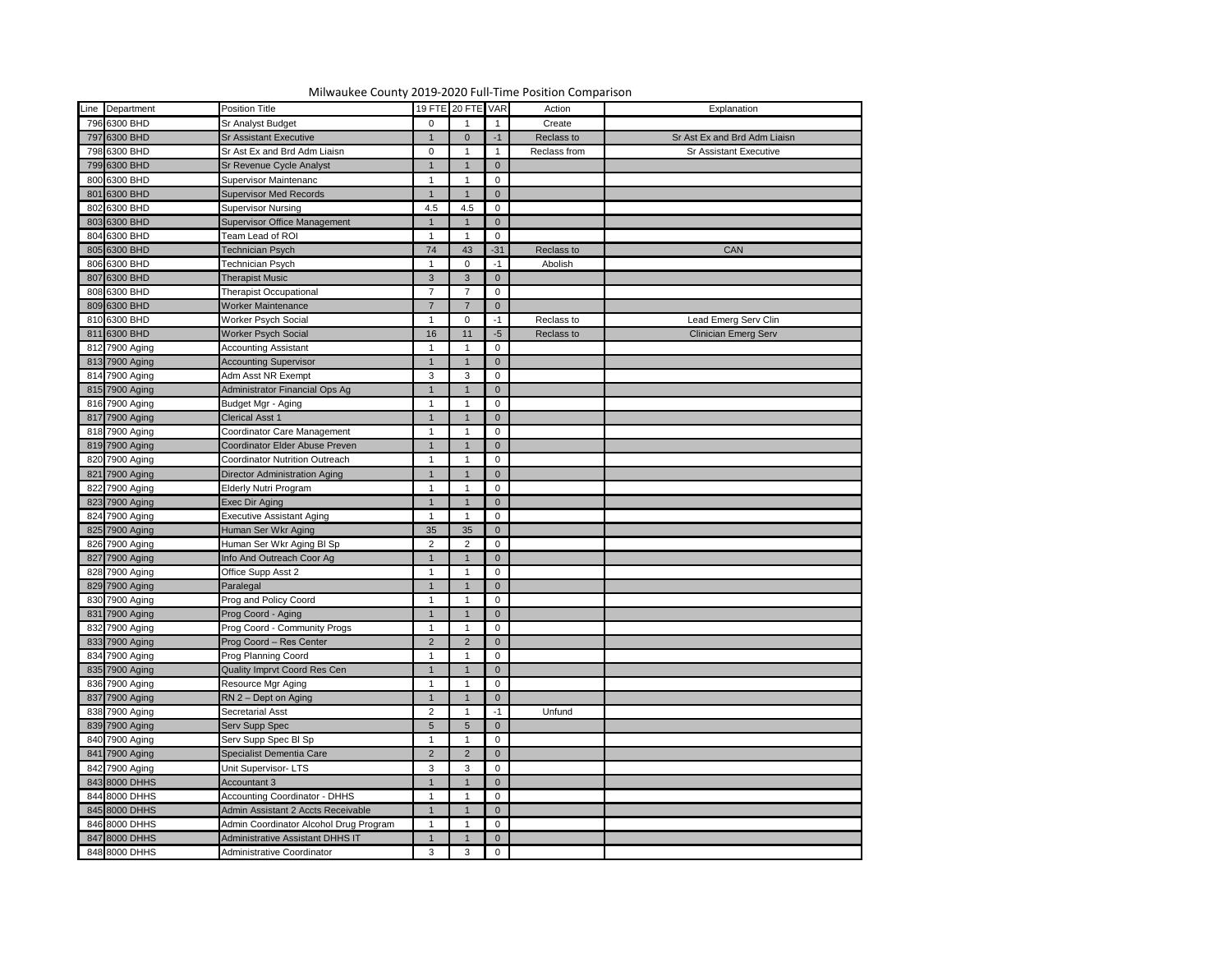| Line Department |                                        |                 | 19 FTE 20 FTE VAR |                |              |                               |
|-----------------|----------------------------------------|-----------------|-------------------|----------------|--------------|-------------------------------|
|                 | Position Title                         |                 |                   |                | Action       | Explanation                   |
| 796 6300 BHD    | <b>Sr Analyst Budget</b>               | $\mathbf 0$     |                   |                | Create       |                               |
| 797 6300 BHD    | <b>Sr Assistant Executive</b>          |                 |                   | $-1$           | Reclass to   | Sr Ast Ex and Brd Adm Liaisn  |
| 798 6300 BHD    | Sr Ast Ex and Brd Adm Liaisn           | $\mathbf 0$     |                   |                | Reclass from | <b>Sr Assistant Executive</b> |
| 799 6300 BHD    | Sr Revenue Cycle Analyst               |                 |                   | $\Omega$       |              |                               |
| 800 6300 BHD    | <b>Supervisor Maintenanc</b>           |                 |                   | 0              |              |                               |
| 801 6300 BHD    | <b>Supervisor Med Records</b>          |                 |                   | $\overline{0}$ |              |                               |
| 802 6300 BHD    | <b>Supervisor Nursing</b>              | 4.5             | 4.5               | 0              |              |                               |
| 803 6300 BHD    | <b>Supervisor Office Management</b>    |                 |                   | $\overline{0}$ |              |                               |
| 804 6300 BHD    | Team Lead of ROI                       |                 |                   | 0              |              |                               |
| 805 6300 BHD    | Technician Psych                       | 74              | 43                | $-31$          | Reclass to   | CAN                           |
| 806 6300 BHD    | Technician Psych                       |                 | $\Omega$          | $-1$           | Abolish      |                               |
| 807 6300 BHD    | <b>Therapist Music</b>                 | $\mathbf{3}$    | 3                 | $\overline{0}$ |              |                               |
| 808 6300 BHD    | Therapist Occupational                 | $\overline{7}$  |                   | $\mathbf 0$    |              |                               |
| 809 6300 BHD    | Worker Maintenance                     | $\overline{7}$  |                   | $\overline{0}$ |              |                               |
| 810 6300 BHD    | Worker Psych Social                    |                 | $\Omega$          | $-1$           | Reclass to   | Lead Emerg Serv Clin          |
| 811 6300 BHD    | <b>Worker Psych Social</b>             | 16              | $\blacksquare$    | $-5$           | Reclass to   | <b>Clinician Emerg Serv</b>   |
| 812 7900 Aging  | <b>Accounting Assistant</b>            |                 |                   | 0              |              |                               |
| 813 7900 Aging  | <b>Accounting Supervisor</b>           |                 |                   | $\overline{0}$ |              |                               |
| 814 7900 Aging  | Adm Asst NR Exempt                     | $\mathbf{3}$    | 3                 | 0              |              |                               |
| 815 7900 Aging  | Administrator Financial Ops Ag         |                 |                   | $\overline{0}$ |              |                               |
| 816 7900 Aging  | Budget Mgr - Aging                     |                 |                   | 0              |              |                               |
| 817 7900 Aging  | <b>Clerical Asst 1</b>                 |                 |                   | $\overline{0}$ |              |                               |
| 818 7900 Aging  | Coordinator Care Management            |                 |                   | 0              |              |                               |
| 819 7900 Aging  | Coordinator Elder Abuse Preven         |                 |                   | $\mathbf 0$    |              |                               |
| 820 7900 Aging  | <b>Coordinator Nutrition Outreach</b>  |                 |                   | 0              |              |                               |
| 821 7900 Aging  | <b>Director Administration Aging</b>   |                 |                   | $\mathbf 0$    |              |                               |
| 822 7900 Aging  | <b>Elderly Nutri Program</b>           |                 |                   | 0              |              |                               |
| 823 7900 Aging  | Exec Dir Aging                         |                 |                   | $\overline{0}$ |              |                               |
| 824 7900 Aging  | <b>Executive Assistant Aging</b>       | $\overline{ }$  |                   | $\mathbf 0$    |              |                               |
| 825 7900 Aging  | Human Ser Wkr Aging                    | 35              | 35                | $\overline{0}$ |              |                               |
|                 |                                        |                 |                   |                |              |                               |
| 826 7900 Aging  | Human Ser Wkr Aging BI Sp              | $\overline{2}$  | $\overline{2}$    | $\mathbf 0$    |              |                               |
| 827 7900 Aging  | Info And Outreach Coor Ag              |                 |                   | $\overline{0}$ |              |                               |
| 828 7900 Aging  | Office Supp Asst 2                     |                 |                   | $\mathbf 0$    |              |                               |
| 829 7900 Aging  | Paralegal                              |                 |                   | $\overline{0}$ |              |                               |
| 830 7900 Aging  | Prog and Policy Coord                  |                 |                   | $\mathbf 0$    |              |                               |
| 831 7900 Aging  | Prog Coord - Aging                     |                 |                   | $\overline{0}$ |              |                               |
| 832 7900 Aging  | Prog Coord - Community Progs           |                 |                   | 0              |              |                               |
| 833 7900 Aging  | Prog Coord - Res Center                | $\overline{2}$  |                   | $\overline{0}$ |              |                               |
| 834 7900 Aging  | Prog Planning Coord                    |                 |                   | $\mathbf 0$    |              |                               |
| 835 7900 Aging  | <b>Quality Imprvt Coord Res Cen</b>    |                 |                   | $\mathbf 0$    |              |                               |
| 836 7900 Aging  | Resource Mgr Aging                     |                 |                   | $\mathbf 0$    |              |                               |
| 837 7900 Aging  | RN 2 - Dept on Aging                   |                 |                   | $\mathbf 0$    |              |                               |
| 838 7900 Aging  | <b>Secretarial Asst</b>                | $\overline{2}$  |                   | $-1$           | Unfund       |                               |
| 839 7900 Aging  | Serv Supp Spec                         | $5\overline{)}$ |                   | $\overline{0}$ |              |                               |
| 840 7900 Aging  | Serv Supp Spec Bl Sp                   |                 |                   | $\mathbf 0$    |              |                               |
| 841 7900 Aging  | Specialist Dementia Care               | $\overline{2}$  |                   | $\overline{0}$ |              |                               |
| 842 7900 Aging  | Unit Supervisor-LTS                    | $\mathbf{3}$    | 3                 | $\mathbf 0$    |              |                               |
| 843 8000 DHHS   | Accountant 3                           |                 |                   | $\overline{0}$ |              |                               |
| 844 8000 DHHS   | <b>Accounting Coordinator - DHHS</b>   |                 |                   | 0              |              |                               |
| 845 8000 DHHS   | Admin Assistant 2 Accts Receivable     |                 |                   | $\overline{0}$ |              |                               |
| 846 8000 DHHS   | Admin Coordinator Alcohol Drug Program |                 |                   | 0              |              |                               |
| 847 8000 DHHS   | Administrative Assistant DHHS IT       |                 |                   | $\overline{0}$ |              |                               |
| 848 8000 DHHS   | Administrative Coordinator             | $\mathbf{3}$    | 3                 | $\mathbf 0$    |              |                               |
|                 |                                        |                 |                   |                |              |                               |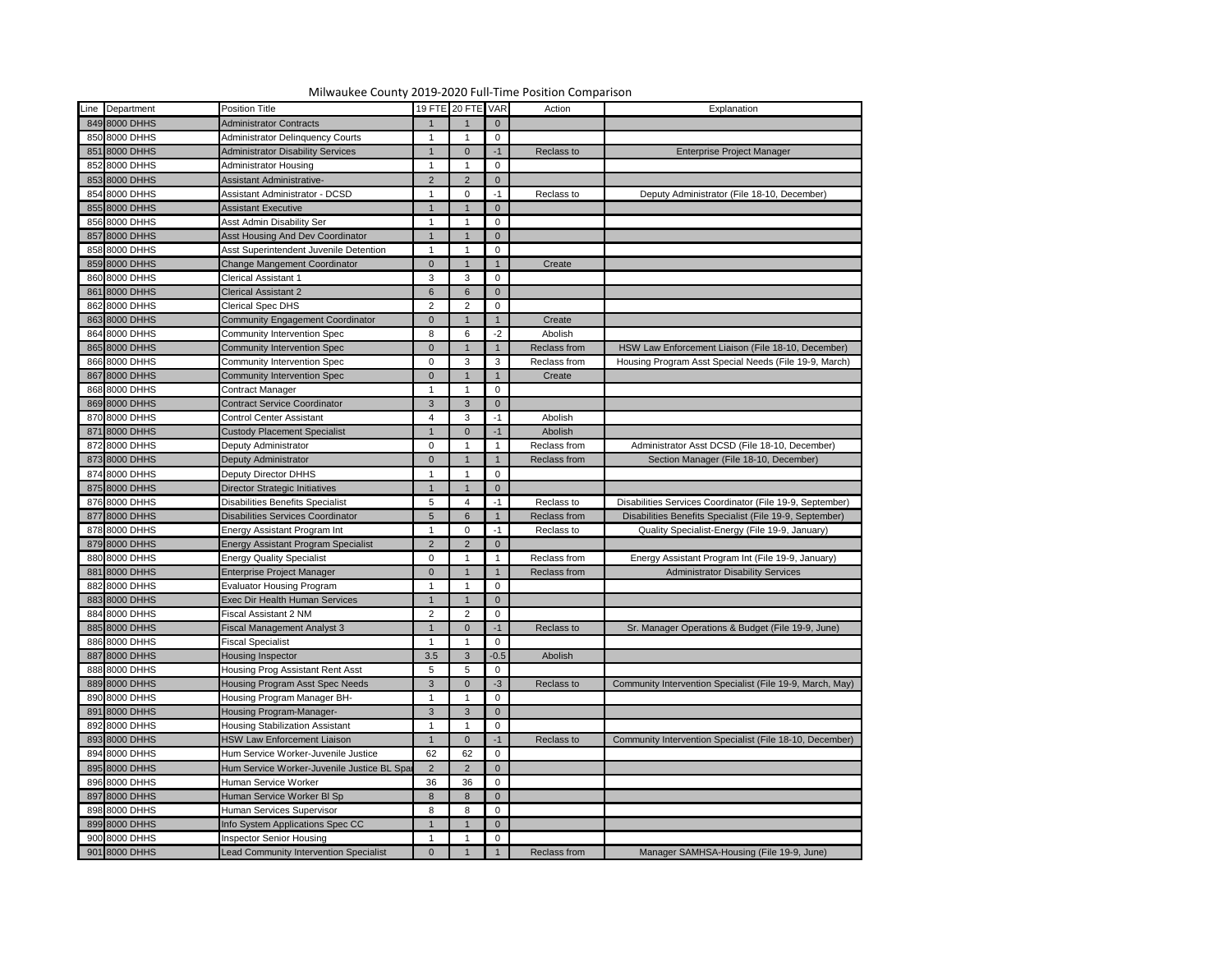| Milwaukee County 2019-2020 Full-Time Position Comparison |                                             |                 |                   |                |              |                                                           |  |  |  |  |  |
|----------------------------------------------------------|---------------------------------------------|-----------------|-------------------|----------------|--------------|-----------------------------------------------------------|--|--|--|--|--|
| Line Department                                          | <b>Position Title</b>                       |                 | 19 FTE 20 FTE VAR |                | Action       | Explanation                                               |  |  |  |  |  |
| 849 8000 DHHS                                            | <b>Administrator Contracts</b>              |                 |                   | $\overline{0}$ |              |                                                           |  |  |  |  |  |
| 850 8000 DHHS                                            | <b>Administrator Delinquency Courts</b>     |                 |                   | 0              |              |                                                           |  |  |  |  |  |
| 851 8000 DHHS                                            | <b>Administrator Disability Services</b>    |                 | $\Omega$          | $-1$           | Reclass to   | <b>Enterprise Project Manager</b>                         |  |  |  |  |  |
| 852 8000 DHHS                                            | <b>Administrator Housing</b>                |                 |                   | 0              |              |                                                           |  |  |  |  |  |
| 853 8000 DHHS                                            | <b>Assistant Administrative-</b>            | $\overline{2}$  | $\mathcal{P}$     | $\overline{0}$ |              |                                                           |  |  |  |  |  |
| 854 8000 DHHS                                            | <b>Assistant Administrator - DCSD</b>       |                 | $\Omega$          | -1             | Reclass to   | Deputy Administrator (File 18-10, December)               |  |  |  |  |  |
| 855 8000 DHHS                                            | <b>Assistant Executive</b>                  |                 |                   | $\overline{0}$ |              |                                                           |  |  |  |  |  |
| 856 8000 DHHS                                            | <b>Asst Admin Disability Ser</b>            | -1              |                   | 0              |              |                                                           |  |  |  |  |  |
| 857 8000 DHHS                                            | <b>Asst Housing And Dev Coordinator</b>     |                 |                   | $\overline{0}$ |              |                                                           |  |  |  |  |  |
| 858 8000 DHHS                                            | Asst Superintendent Juvenile Detention      |                 |                   | 0              |              |                                                           |  |  |  |  |  |
| 859 8000 DHHS                                            | Change Mangement Coordinator                | $\overline{0}$  |                   |                | Create       |                                                           |  |  |  |  |  |
| 860 8000 DHHS                                            | <b>Clerical Assistant 1</b>                 | $\mathbf{3}$    | 3                 | 0              |              |                                                           |  |  |  |  |  |
| 861 8000 DHHS                                            | <b>Clerical Assistant 2</b>                 | 6               | 6                 | $\overline{0}$ |              |                                                           |  |  |  |  |  |
| 862 8000 DHHS                                            | <b>Clerical Spec DHS</b>                    | $\overline{2}$  | 2                 | 0              |              |                                                           |  |  |  |  |  |
| 863 8000 DHHS                                            | <b>Community Engagement Coordinator</b>     | $\overline{0}$  |                   |                | Create       |                                                           |  |  |  |  |  |
| 864 8000 DHHS                                            | Community Intervention Spec                 | 8               | 6                 | $-2$           | Abolish      |                                                           |  |  |  |  |  |
| 865 8000 DHHS                                            | Community Intervention Spec                 | $\overline{0}$  |                   |                | Reclass from | HSW Law Enforcement Liaison (File 18-10, December)        |  |  |  |  |  |
| 866 8000 DHHS                                            | <b>Community Intervention Spec</b>          | $\Omega$        | 3                 | 3              | Reclass from | Housing Program Asst Special Needs (File 19-9, March)     |  |  |  |  |  |
| 867 8000 DHHS                                            | Community Intervention Spec                 | $\overline{0}$  |                   |                | Create       |                                                           |  |  |  |  |  |
| 868 8000 DHHS                                            | <b>Contract Manager</b>                     | $\mathbf 1$     |                   | 0              |              |                                                           |  |  |  |  |  |
| 869 8000 DHHS                                            | <b>Contract Service Coordinator</b>         | $\mathbf{3}$    | 3                 | $\overline{0}$ |              |                                                           |  |  |  |  |  |
| 870 8000 DHHS                                            | <b>Control Center Assistant</b>             | 4               | 3                 | -1             | Abolish      |                                                           |  |  |  |  |  |
| 871 8000 DHHS                                            | <b>Custody Placement Specialist</b>         |                 | $\Omega$          | $-1$           | Abolish      |                                                           |  |  |  |  |  |
| 872 8000 DHHS                                            | Deputy Administrator                        | $\Omega$        |                   |                | Reclass from | Administrator Asst DCSD (File 18-10, December)            |  |  |  |  |  |
| 873 8000 DHHS                                            | Deputy Administrator                        | $\Omega$        |                   |                | Reclass from | Section Manager (File 18-10, December)                    |  |  |  |  |  |
| 874 8000 DHHS                                            | <b>Deputy Director DHHS</b>                 |                 |                   | 0              |              |                                                           |  |  |  |  |  |
| 875 8000 DHHS                                            | <b>Director Strategic Initiatives</b>       |                 |                   | $\overline{0}$ |              |                                                           |  |  |  |  |  |
| 876 8000 DHHS                                            | Disabilities Benefits Specialist            | Б.              |                   | $-1$           | Reclass to   | Disabilities Services Coordinator (File 19-9, September)  |  |  |  |  |  |
| 877 8000 DHHS                                            | <b>Disabilities Services Coordinator</b>    | $5\overline{)}$ | 6                 |                | Reclass from | Disabilities Benefits Specialist (File 19-9, September)   |  |  |  |  |  |
| 878 8000 DHHS                                            | <b>Energy Assistant Program Int</b>         |                 |                   | $-1$           | Reclass to   | Quality Specialist-Energy (File 19-9, January)            |  |  |  |  |  |
| 879 8000 DHHS                                            | <b>Energy Assistant Program Specialist</b>  | $\overline{2}$  |                   | $\overline{0}$ |              |                                                           |  |  |  |  |  |
| 880 8000 DHHS                                            | <b>Energy Quality Specialist</b>            | $\Omega$        |                   |                | Reclass from | Energy Assistant Program Int (File 19-9, January)         |  |  |  |  |  |
| 881 8000 DHHS                                            | Enterprise Project Manager                  | $\Omega$        |                   |                | Reclass from | <b>Administrator Disability Services</b>                  |  |  |  |  |  |
| 882 8000 DHHS                                            | <b>Evaluator Housing Program</b>            |                 |                   | 0              |              |                                                           |  |  |  |  |  |
| 883 8000 DHHS                                            | <b>Exec Dir Health Human Services</b>       |                 |                   | $\overline{0}$ |              |                                                           |  |  |  |  |  |
| 884 8000 DHHS                                            | Fiscal Assistant 2 NM                       | $\overline{2}$  | 2                 | 0              |              |                                                           |  |  |  |  |  |
| 885 8000 DHHS                                            | <b>Fiscal Management Analyst 3</b>          |                 |                   | $-1$           | Reclass to   | Sr. Manager Operations & Budget (File 19-9, June)         |  |  |  |  |  |
| 886 8000 DHHS                                            | Fiscal Specialist                           |                 |                   | 0              |              |                                                           |  |  |  |  |  |
| 887 8000 DHHS                                            | Housing Inspector                           | 3.5             |                   | $-0.5$         | Abolish      |                                                           |  |  |  |  |  |
| 888 8000 DHHS                                            | Housing Prog Assistant Rent Asst            | $5\phantom{.0}$ | 5                 | 0              |              |                                                           |  |  |  |  |  |
| 889 8000 DHHS                                            | Housing Program Asst Spec Needs             | 3               |                   | -3             | Reclass to   | Community Intervention Specialist (File 19-9, March, May) |  |  |  |  |  |
| 890 8000 DHHS                                            | Housing Program Manager BH-                 |                 |                   | 0              |              |                                                           |  |  |  |  |  |
| 891 8000 DHHS                                            | <b>Housing Program-Manager-</b>             | 3               |                   | $\overline{0}$ |              |                                                           |  |  |  |  |  |
| 892 8000 DHHS                                            | <b>Housing Stabilization Assistant</b>      |                 |                   | 0              |              |                                                           |  |  |  |  |  |
| 893 8000 DHHS                                            | <b>HSW Law Enforcement Liaison</b>          |                 |                   |                | Reclass to   | Community Intervention Specialist (File 18-10, December)  |  |  |  |  |  |
| 894 8000 DHHS                                            | Hum Service Worker-Juvenile Justice         | 62              | 62                | 0              |              |                                                           |  |  |  |  |  |
| 895 8000 DHHS                                            | Hum Service Worker-Juvenile Justice BL Spar | $\overline{2}$  |                   | $\overline{0}$ |              |                                                           |  |  |  |  |  |
| 896 8000 DHHS                                            | Human Service Worker                        | 36              | 36                | 0              |              |                                                           |  |  |  |  |  |
| 897 8000 DHHS                                            | Human Service Worker BI Sp                  | 8               |                   | $\overline{0}$ |              |                                                           |  |  |  |  |  |
| 898 8000 DHHS                                            | Human Services Supervisor                   | 8               | 8                 | 0              |              |                                                           |  |  |  |  |  |
| 899 8000 DHHS                                            | Info System Applications Spec CC            |                 |                   | $\Omega$       |              |                                                           |  |  |  |  |  |
| 900 8000 DHHS                                            | <b>Inspector Senior Housing</b>             |                 |                   | 0              |              |                                                           |  |  |  |  |  |
| 901 8000 DHHS                                            | Lead Community Intervention Specialist      | $\Omega$        |                   |                | Reclass from | Manager SAMHSA-Housing (File 19-9, June)                  |  |  |  |  |  |

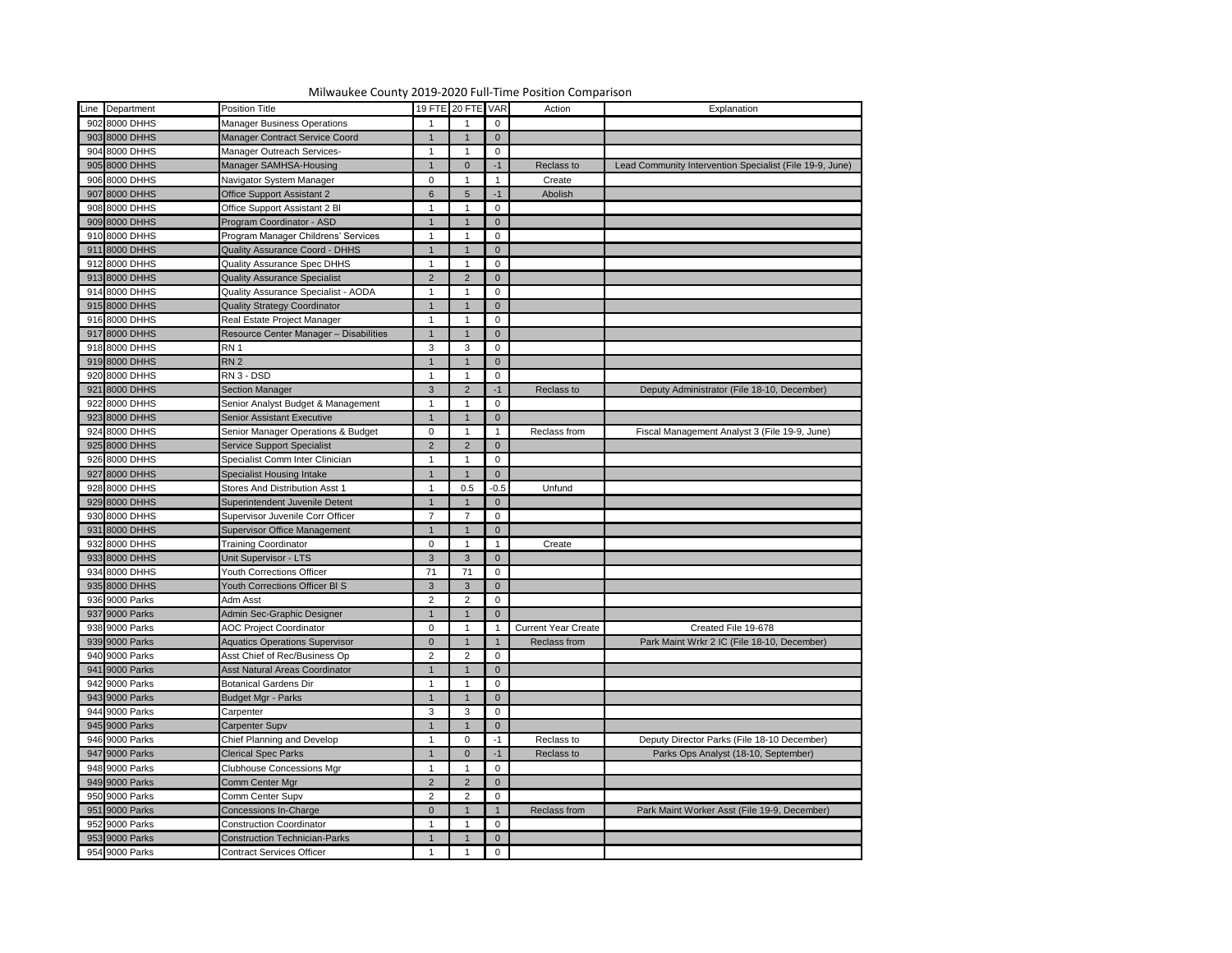|                 | Milwaukee County 2019-2020 Full-Time Position Comparison |                 |                   |                |                            |                                                          |
|-----------------|----------------------------------------------------------|-----------------|-------------------|----------------|----------------------------|----------------------------------------------------------|
| Line Department | Position Title                                           |                 | 19 FTE 20 FTE VAR |                | Action                     | Explanation                                              |
| 902 8000 DHHS   | <b>Manager Business Operations</b>                       |                 |                   | $\mathbf 0$    |                            |                                                          |
| 903 8000 DHHS   | Manager Contract Service Coord                           |                 |                   | $\overline{0}$ |                            |                                                          |
| 904 8000 DHHS   | Manager Outreach Services-                               |                 |                   | $\mathbf 0$    |                            |                                                          |
| 905 8000 DHHS   | Manager SAMHSA-Housing                                   |                 |                   | -1             | Reclass to                 | Lead Community Intervention Specialist (File 19-9, June) |
| 906 8000 DHHS   | Navigator System Manager                                 | $\mathbf 0$     |                   |                | Create                     |                                                          |
| 907 8000 DHHS   | <b>Office Support Assistant 2</b>                        | $6\phantom{1}6$ |                   | $-1$           | Abolish                    |                                                          |
| 908 8000 DHHS   | Office Support Assistant 2 Bl                            |                 |                   | 0              |                            |                                                          |
| 909 8000 DHHS   | Program Coordinator - ASD                                |                 |                   | $\overline{0}$ |                            |                                                          |
| 910 8000 DHHS   | Program Manager Childrens' Services                      |                 |                   | $\mathbf 0$    |                            |                                                          |
| 911 8000 DHHS   |                                                          |                 |                   |                |                            |                                                          |
| 912 8000 DHHS   | Quality Assurance Coord - DHHS                           |                 |                   | $\overline{0}$ |                            |                                                          |
|                 | <b>Quality Assurance Spec DHHS</b>                       |                 |                   | $\mathbf 0$    |                            |                                                          |
| 913 8000 DHHS   | <b>Quality Assurance Specialist</b>                      | $\overline{2}$  |                   | $\overline{0}$ |                            |                                                          |
| 914 8000 DHHS   | Quality Assurance Specialist - AODA                      |                 |                   | $\mathbf 0$    |                            |                                                          |
| 915 8000 DHHS   | <b>Quality Strategy Coordinator</b>                      |                 |                   | $\overline{0}$ |                            |                                                          |
| 916 8000 DHHS   | Real Estate Project Manager                              |                 |                   | 0              |                            |                                                          |
| 917 8000 DHHS   | Resource Center Manager - Disabilities                   |                 |                   | $\overline{0}$ |                            |                                                          |
| 918 8000 DHHS   | RN <sub>1</sub>                                          | $\mathbf{3}$    |                   | 0              |                            |                                                          |
| 919 8000 DHHS   | RN <sub>2</sub>                                          |                 |                   | $\overline{0}$ |                            |                                                          |
| 920 8000 DHHS   | RN 3 - DSD                                               |                 |                   | $\mathbf 0$    |                            |                                                          |
| 921 8000 DHHS   | <b>Section Manager</b>                                   | $\mathbf{3}$    |                   | -1             | Reclass to                 | Deputy Administrator (File 18-10, December)              |
| 922 8000 DHHS   | Senior Analyst Budget & Management                       |                 |                   | 0              |                            |                                                          |
| 923 8000 DHHS   | <b>Senior Assistant Executive</b>                        |                 |                   | $\mathbf 0$    |                            |                                                          |
| 924 8000 DHHS   | Senior Manager Operations & Budget                       | $\mathbf 0$     |                   |                | Reclass from               | Fiscal Management Analyst 3 (File 19-9, June)            |
| 925 8000 DHHS   | Service Support Specialist                               | $\overline{2}$  |                   | $\overline{0}$ |                            |                                                          |
| 926 8000 DHHS   | Specialist Comm Inter Clinician                          |                 |                   | 0              |                            |                                                          |
| 927 8000 DHHS   | <b>Specialist Housing Intake</b>                         |                 |                   | $\overline{0}$ |                            |                                                          |
| 928 8000 DHHS   | <b>Stores And Distribution Asst 1</b>                    |                 | 0.5               | $-0.5$         | Unfund                     |                                                          |
| 929 8000 DHHS   | Superintendent Juvenile Detent                           | $\overline{1}$  |                   | $\overline{0}$ |                            |                                                          |
| 930 8000 DHHS   | Supervisor Juvenile Corr Officer                         | $\overline{7}$  |                   | 0              |                            |                                                          |
| 931 8000 DHHS   | Supervisor Office Management                             |                 |                   | $\overline{0}$ |                            |                                                          |
| 932 8000 DHHS   | <b>Training Coordinator</b>                              | $\mathbf 0$     |                   |                | Create                     |                                                          |
| 933 8000 DHHS   | Unit Supervisor - LTS                                    | $\mathbf{3}$    |                   | $\overline{0}$ |                            |                                                          |
| 934 8000 DHHS   | <b>Youth Corrections Officer</b>                         | 71              | -71               | 0              |                            |                                                          |
| 935 8000 DHHS   | Youth Corrections Officer BI S                           | $\mathbf{3}$    |                   | $\overline{0}$ |                            |                                                          |
| 936 9000 Parks  | Adm Asst                                                 | $\overline{2}$  | ົ                 | 0              |                            |                                                          |
| 937 9000 Parks  | Admin Sec-Graphic Designer                               |                 |                   | $\mathbf 0$    |                            |                                                          |
| 938 9000 Parks  | <b>AOC Project Coordinator</b>                           | $\overline{0}$  |                   |                | <b>Current Year Create</b> | Created File 19-678                                      |
| 939 9000 Parks  | <b>Aquatics Operations Supervisor</b>                    | $\overline{0}$  |                   |                | Reclass from               | Park Maint Wrkr 2 IC (File 18-10, December)              |
| 940 9000 Parks  | Asst Chief of Rec/Business Op                            | $\overline{2}$  |                   | 0              |                            |                                                          |
| 941 9000 Parks  | Asst Natural Areas Coordinator                           |                 |                   | $\overline{0}$ |                            |                                                          |
| 942 9000 Parks  | <b>Botanical Gardens Dir</b>                             |                 |                   | 0              |                            |                                                          |
| 943 9000 Parks  | <b>Budget Mgr - Parks</b>                                | $\mathbf{1}$    |                   | $\overline{0}$ |                            |                                                          |
| 944 9000 Parks  | Carpenter                                                | $\mathbf{3}$    |                   | 0              |                            |                                                          |
| 945 9000 Parks  | Carpenter Supv                                           |                 |                   | $\overline{0}$ |                            |                                                          |
| 946 9000 Parks  | Chief Planning and Develop                               |                 |                   | $-1$           | Reclass to                 | Deputy Director Parks (File 18-10 December)              |
| 947 9000 Parks  |                                                          |                 |                   |                |                            |                                                          |
|                 | <b>Clerical Spec Parks</b>                               |                 |                   | $-1$           | Reclass to                 | Parks Ops Analyst (18-10, September)                     |
| 948 9000 Parks  | <b>Clubhouse Concessions Mgr</b>                         |                 |                   | 0              |                            |                                                          |
| 949 9000 Parks  | Comm Center Mgr                                          | $\overline{2}$  |                   | $\overline{0}$ |                            |                                                          |
| 950 9000 Parks  | Comm Center Supv                                         | $\overline{2}$  | $\mathcal{P}$     | 0              |                            |                                                          |
| 951 9000 Parks  | <b>Concessions In-Charge</b>                             | $\overline{0}$  |                   |                | Reclass from               | Park Maint Worker Asst (File 19-9, December)             |
| 952 9000 Parks  | <b>Construction Coordinator</b>                          |                 |                   | 0              |                            |                                                          |
| 953 9000 Parks  | <b>Construction Technician-Parks</b>                     |                 |                   | $\overline{0}$ |                            |                                                          |
| 954 9000 Parks  | <b>Contract Services Officer</b>                         |                 |                   | $\Omega$       |                            |                                                          |

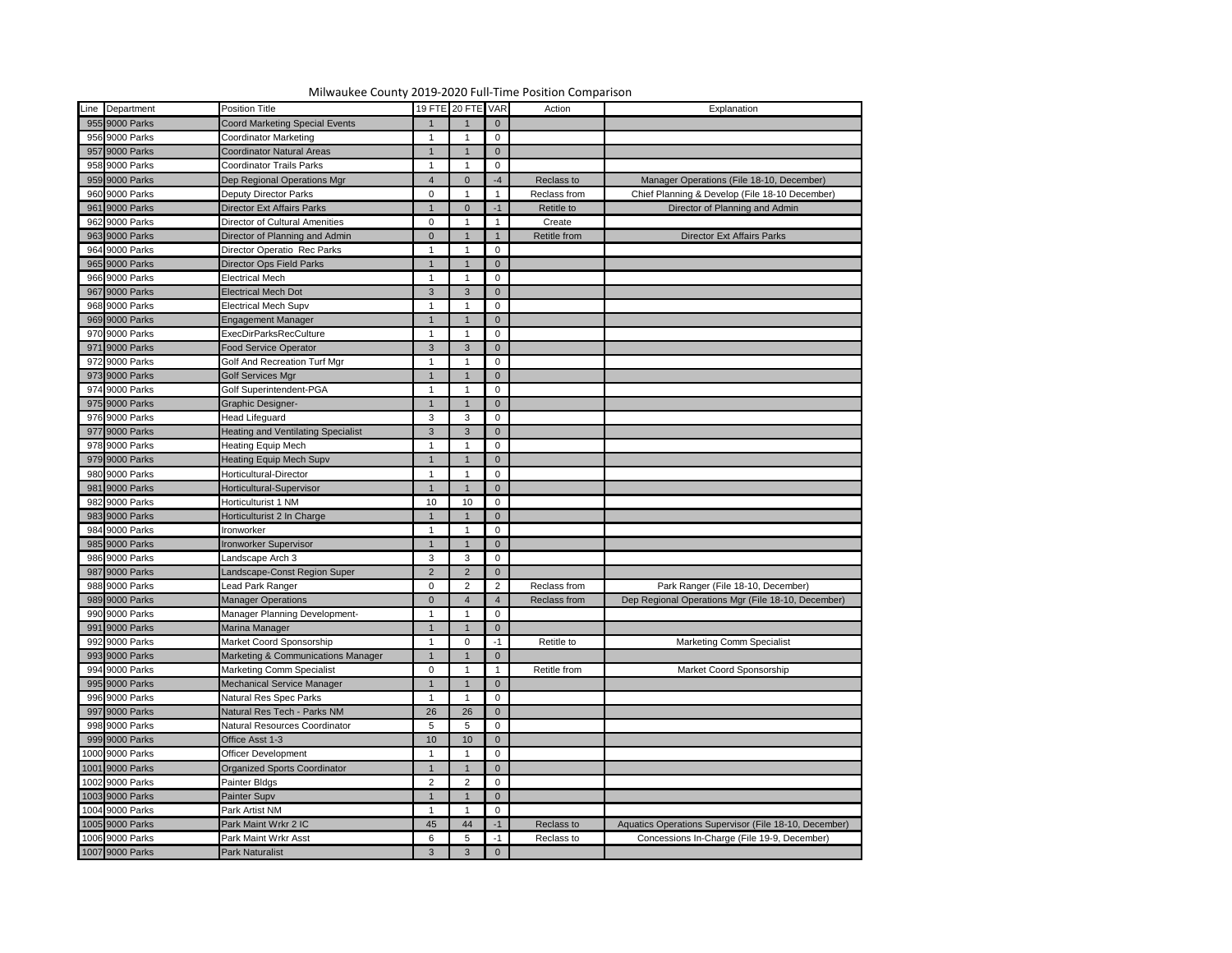|                 | Milwaukee County 2019-2020 Full-Time Position Comparison |                   |              |                |                   |                                                       |
|-----------------|----------------------------------------------------------|-------------------|--------------|----------------|-------------------|-------------------------------------------------------|
| Line Department | <b>Position Title</b>                                    | 19 FTE 20 FTE VAR |              |                | Action            | Explanation                                           |
| 955 9000 Parks  | <b>Coord Marketing Special Events</b>                    |                   |              | $\overline{0}$ |                   |                                                       |
| 956 9000 Parks  | Coordinator Marketing                                    |                   |              | 0              |                   |                                                       |
| 957 9000 Parks  | <b>Coordinator Natural Areas</b>                         |                   |              | $\overline{0}$ |                   |                                                       |
| 958 9000 Parks  | <b>Coordinator Trails Parks</b>                          |                   |              | 0              |                   |                                                       |
| 959 9000 Parks  | Dep Regional Operations Mgr                              | $\overline{4}$    |              | $-4$           | Reclass to        | Manager Operations (File 18-10, December)             |
| 960 9000 Parks  | <b>Deputy Director Parks</b>                             | $\mathbf{0}$      |              |                | Reclass from      | Chief Planning & Develop (File 18-10 December)        |
| 961 9000 Parks  | <b>Director Ext Affairs Parks</b>                        |                   | $\Omega$     | -1             | <b>Retitle to</b> | Director of Planning and Admin                        |
| 962 9000 Parks  | <b>Director of Cultural Amenities</b>                    | $\mathbf 0$       |              |                | Create            |                                                       |
| 963 9000 Parks  | Director of Planning and Admin                           | $\overline{0}$    |              |                | Retitle from      | <b>Director Ext Affairs Parks</b>                     |
| 964 9000 Parks  | Director Operatio Rec Parks                              |                   |              | 0              |                   |                                                       |
| 965 9000 Parks  | Director Ops Field Parks                                 |                   |              | $\overline{0}$ |                   |                                                       |
| 966 9000 Parks  | <b>Electrical Mech</b>                                   |                   |              | 0              |                   |                                                       |
| 967 9000 Parks  | <b>Electrical Mech Dot</b>                               | $\mathbf{3}$      | 3            | $\overline{0}$ |                   |                                                       |
| 968 9000 Parks  | <b>Electrical Mech Supv</b>                              |                   |              | $\mathbf 0$    |                   |                                                       |
| 969 9000 Parks  | <b>Engagement Manager</b>                                |                   |              | $\overline{0}$ |                   |                                                       |
| 970 9000 Parks  | <b>ExecDirParksRecCulture</b>                            |                   |              | 0              |                   |                                                       |
| 971 9000 Parks  | Food Service Operator                                    | $\mathbf{3}$      | 3            | $\overline{0}$ |                   |                                                       |
| 972 9000 Parks  | <b>Golf And Recreation Turf Mgr</b>                      |                   |              | 0              |                   |                                                       |
| 973 9000 Parks  | <b>Golf Services Mgr</b>                                 |                   |              | $\overline{0}$ |                   |                                                       |
| 974 9000 Parks  | <b>Golf Superintendent-PGA</b>                           |                   |              | 0              |                   |                                                       |
| 975 9000 Parks  | <b>Graphic Designer-</b>                                 |                   |              | $\overline{0}$ |                   |                                                       |
| 976 9000 Parks  | <b>Head Lifeguard</b>                                    | 3                 | 3            | 0              |                   |                                                       |
| 977 9000 Parks  | <b>Heating and Ventilating Specialist</b>                | 3                 | 3            | $\mathbf{0}$   |                   |                                                       |
| 978 9000 Parks  | <b>Heating Equip Mech</b>                                |                   |              | 0              |                   |                                                       |
| 979 9000 Parks  | <b>Heating Equip Mech Supv</b>                           |                   |              | $\overline{0}$ |                   |                                                       |
| 980 9000 Parks  | Horticultural-Director                                   |                   |              | 0              |                   |                                                       |
| 981 9000 Parks  | Horticultural-Supervisor                                 |                   |              | $\overline{0}$ |                   |                                                       |
| 982 9000 Parks  | Horticulturist 1 NM                                      | 10                | 10           | $\overline{0}$ |                   |                                                       |
| 983 9000 Parks  | Horticulturist 2 In Charge                               | $\mathbf 1$       |              | $\overline{0}$ |                   |                                                       |
| 984 9000 Parks  | Ironworker                                               |                   |              | 0              |                   |                                                       |
| 985 9000 Parks  | <b>Ironworker Supervisor</b>                             |                   |              | $\Omega$       |                   |                                                       |
| 986 9000 Parks  | Landscape Arch 3                                         | 3                 | 3            | 0              |                   |                                                       |
| 987 9000 Parks  | Landscape-Const Region Super                             | $\overline{2}$    |              | $\mathbf 0$    |                   |                                                       |
| 988 9000 Parks  | Lead Park Ranger                                         | $\mathbf 0$       | 2            | $\overline{2}$ | Reclass from      | Park Ranger (File 18-10, December)                    |
| 989 9000 Parks  | <b>Manager Operations</b>                                | $\Omega$          |              |                | Reclass from      | Dep Regional Operations Mgr (File 18-10, December)    |
| 990 9000 Parks  | Manager Planning Development-                            |                   |              | 0              |                   |                                                       |
| 991 9000 Parks  | Marina Manager                                           |                   |              | $\mathbf 0$    |                   |                                                       |
| 992 9000 Parks  | Market Coord Sponsorship                                 |                   |              | $-1$           | Retitle to        | <b>Marketing Comm Specialist</b>                      |
| 993 9000 Parks  | Marketing & Communications Manager                       |                   |              | $\overline{0}$ |                   |                                                       |
| 994 9000 Parks  | <b>Marketing Comm Specialist</b>                         | $\overline{0}$    |              |                | Retitle from      | Market Coord Sponsorship                              |
| 995 9000 Parks  | Mechanical Service Manager                               |                   |              | $\overline{0}$ |                   |                                                       |
| 996 9000 Parks  | <b>Natural Res Spec Parks</b>                            |                   |              | $\mathbf 0$    |                   |                                                       |
| 997 9000 Parks  | Natural Res Tech - Parks NM                              | 26                | 26           | $\overline{0}$ |                   |                                                       |
| 998 9000 Parks  | Natural Resources Coordinator                            | $5\phantom{.0}$   | 5            | $\mathbf 0$    |                   |                                                       |
| 999 9000 Parks  | Office Asst 1-3                                          | 10                | 10.          | $\overline{0}$ |                   |                                                       |
| 1000 9000 Parks | Officer Development                                      |                   |              | $\mathbf 0$    |                   |                                                       |
| 1001 9000 Parks | <b>Organized Sports Coordinator</b>                      |                   |              | $\Omega$       |                   |                                                       |
| 1002 9000 Parks | Painter Bldgs                                            | $\overline{2}$    | 2            | 0              |                   |                                                       |
| 1003 9000 Parks | Painter Supv                                             |                   |              | $\mathbf 0$    |                   |                                                       |
| 1004 9000 Parks | Park Artist NM                                           |                   |              | 0              |                   |                                                       |
| 1005 9000 Parks | Park Maint Wrkr 2 IC                                     | 45                | 44           | -1             | Reclass to        | Aquatics Operations Supervisor (File 18-10, December) |
| 1006 9000 Parks | Park Maint Wrkr Asst                                     | 6                 |              | $-1$           | Reclass to        | Concessions In-Charge (File 19-9, December)           |
| 1007 9000 Parks | Park Naturalist                                          | $\mathbf{3}$      | $\mathbf{3}$ | $\overline{0}$ |                   |                                                       |

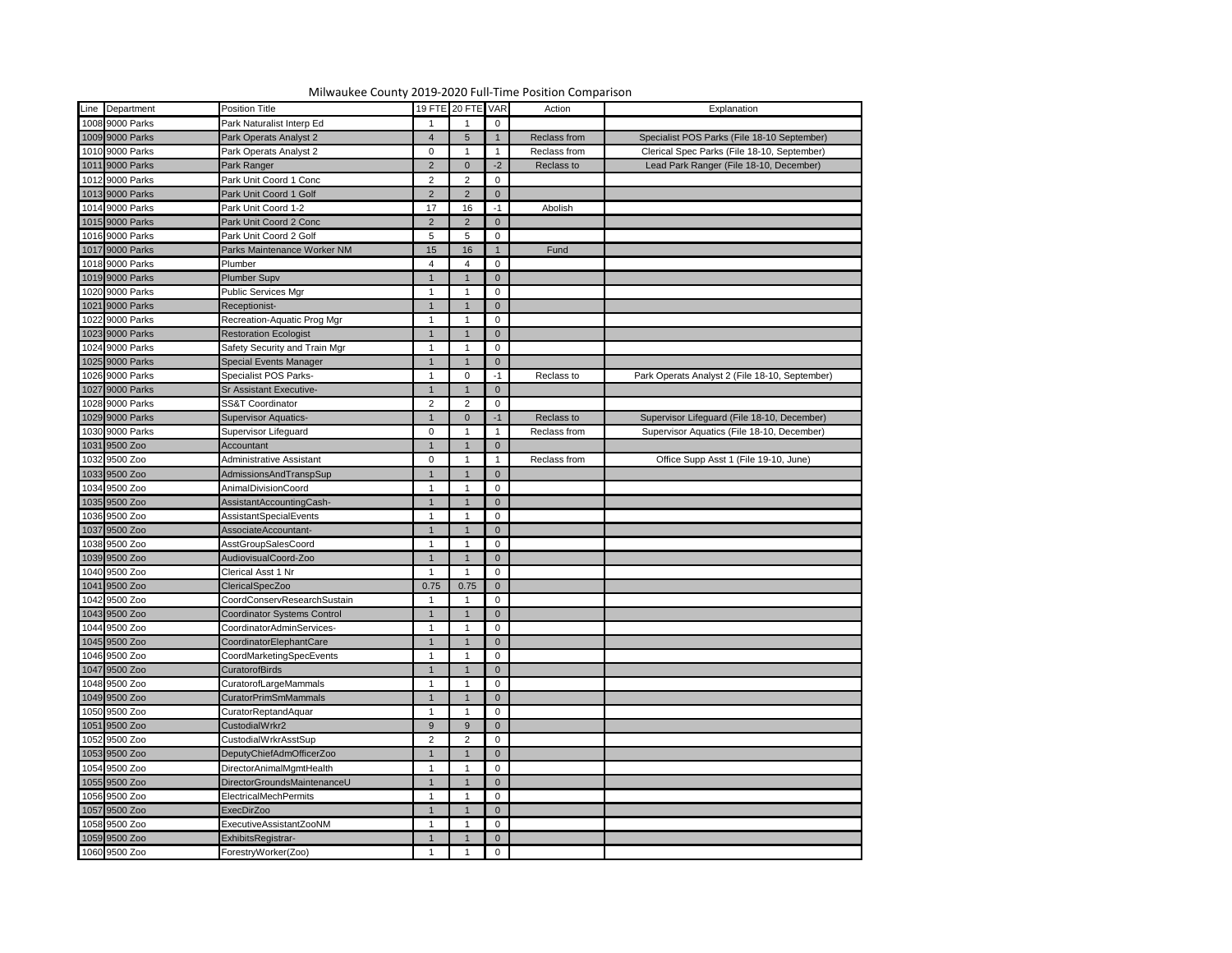| Milwaukee County 2019-2020 Full-Time Position Comparison |                                    |                 |                   |                |              |                                                |  |  |  |  |
|----------------------------------------------------------|------------------------------------|-----------------|-------------------|----------------|--------------|------------------------------------------------|--|--|--|--|
| Line Department                                          | Position Title                     |                 | 19 FTE 20 FTE VAR |                | Action       | Explanation                                    |  |  |  |  |
| 1008 9000 Parks                                          | Park Naturalist Interp Ed          |                 |                   | $\mathbf 0$    |              |                                                |  |  |  |  |
| 1009 9000 Parks                                          | Park Operats Analyst 2             | 4               | 5                 |                | Reclass from | Specialist POS Parks (File 18-10 September)    |  |  |  |  |
| 1010 9000 Parks                                          | Park Operats Analyst 2             | $\mathbf 0$     |                   |                | Reclass from | Clerical Spec Parks (File 18-10, September)    |  |  |  |  |
| 1011 9000 Parks                                          | Park Ranger                        | $\overline{2}$  |                   | $-2$           | Reclass to   | Lead Park Ranger (File 18-10, December)        |  |  |  |  |
| 1012 9000 Parks                                          | Park Unit Coord 1 Conc             | $\overline{2}$  |                   | 0              |              |                                                |  |  |  |  |
| 1013 9000 Parks                                          | Park Unit Coord 1 Golf             | $2^{\circ}$     |                   | $\overline{0}$ |              |                                                |  |  |  |  |
| 1014 9000 Parks                                          | Park Unit Coord 1-2                | 17              | 16                | $-1$           | Abolish      |                                                |  |  |  |  |
| 1015 9000 Parks                                          | Park Unit Coord 2 Conc             | $\overline{2}$  |                   | $\overline{0}$ |              |                                                |  |  |  |  |
| 1016 9000 Parks                                          | Park Unit Coord 2 Golf             | $5\phantom{.0}$ | 5                 | 0              |              |                                                |  |  |  |  |
| 1017 9000 Parks                                          | Parks Maintenance Worker NM        | 15              | 16                |                | Fund         |                                                |  |  |  |  |
| 1018 9000 Parks                                          | Plumber                            | 4               |                   | 0              |              |                                                |  |  |  |  |
| 1019 9000 Parks                                          | <b>Plumber Supv</b>                |                 |                   | $\overline{0}$ |              |                                                |  |  |  |  |
| 1020 9000 Parks                                          | <b>Public Services Mgr</b>         |                 |                   | $\mathbf 0$    |              |                                                |  |  |  |  |
| 1021 9000 Parks                                          | Receptionist-                      |                 |                   | $\overline{0}$ |              |                                                |  |  |  |  |
| 1022 9000 Parks                                          | Recreation-Aquatic Prog Mgr        |                 |                   | 0              |              |                                                |  |  |  |  |
| 1023 9000 Parks                                          | <b>Restoration Ecologist</b>       | -1              |                   |                |              |                                                |  |  |  |  |
|                                                          |                                    |                 |                   | $\overline{0}$ |              |                                                |  |  |  |  |
| 1024 9000 Parks                                          | Safety Security and Train Mgr      |                 |                   | 0              |              |                                                |  |  |  |  |
| 1025 9000 Parks                                          | <b>Special Events Manager</b>      |                 |                   | $\overline{0}$ |              |                                                |  |  |  |  |
| 1026 9000 Parks                                          | <b>Specialist POS Parks-</b>       |                 | $\Omega$          | $-1$           | Reclass to   | Park Operats Analyst 2 (File 18-10, September) |  |  |  |  |
| 1027 9000 Parks                                          | <b>Sr Assistant Executive-</b>     | $\mathbf 1$     |                   | $\overline{0}$ |              |                                                |  |  |  |  |
| 1028 9000 Parks                                          | <b>SS&amp;T Coordinator</b>        | $\overline{2}$  | 2                 | $\mathbf 0$    |              |                                                |  |  |  |  |
| 1029 9000 Parks                                          | <b>Supervisor Aquatics-</b>        |                 |                   | $-1$           | Reclass to   | Supervisor Lifeguard (File 18-10, December)    |  |  |  |  |
| 1030 9000 Parks                                          | Supervisor Lifeguard               | $\overline{0}$  |                   |                | Reclass from | Supervisor Aquatics (File 18-10, December)     |  |  |  |  |
| 1031 9500 Zoo                                            | Accountant                         | -1              |                   | $\overline{0}$ |              |                                                |  |  |  |  |
| 1032 9500 Zoo                                            | Administrative Assistant           | $\overline{0}$  |                   |                | Reclass from | Office Supp Asst 1 (File 19-10, June)          |  |  |  |  |
| 1033 9500 Zoo                                            | AdmissionsAndTranspSup             |                 |                   | $\overline{0}$ |              |                                                |  |  |  |  |
| 1034 9500 Zoo<br>1035 9500 Zoo                           | AnimalDivisionCoord                |                 |                   | 0              |              |                                                |  |  |  |  |
|                                                          | AssistantAccountingCash-           | $\overline{1}$  | -1                | $\overline{0}$ |              |                                                |  |  |  |  |
| 1036 9500 Zoo                                            | AssistantSpecialEvents             |                 |                   | $\mathbf 0$    |              |                                                |  |  |  |  |
| 1037 9500 Zoo                                            | AssociateAccountant-               |                 |                   | $\overline{0}$ |              |                                                |  |  |  |  |
| 1038 9500 Zoo                                            | AsstGroupSalesCoord                |                 |                   | 0              |              |                                                |  |  |  |  |
| 1039 9500 Zoo                                            | AudiovisualCoord-Zoo               |                 |                   | $\overline{0}$ |              |                                                |  |  |  |  |
| 1040 9500 Zoo                                            | Clerical Asst 1 Nr                 |                 |                   | 0              |              |                                                |  |  |  |  |
| 1041 9500 Zoo                                            | ClericalSpecZoo                    | 0.75            | 0.75              | $\overline{0}$ |              |                                                |  |  |  |  |
| 1042 9500 Zoo                                            | CoordConservResearchSustain        |                 |                   | 0              |              |                                                |  |  |  |  |
| 1043 9500 Zoo                                            | <b>Coordinator Systems Control</b> |                 |                   | $\overline{0}$ |              |                                                |  |  |  |  |
| 1044 9500 Zoo                                            | CoordinatorAdminServices-          |                 |                   | 0              |              |                                                |  |  |  |  |
| 1045 9500 Zoo                                            | CoordinatorElephantCare            | $\mathbf{1}$    |                   | $\overline{0}$ |              |                                                |  |  |  |  |
| 1046 9500 Zoo                                            | CoordMarketingSpecEvents           |                 |                   | 0              |              |                                                |  |  |  |  |
| 1047 9500 Zoo                                            | <b>CuratorofBirds</b>              |                 |                   | $\overline{0}$ |              |                                                |  |  |  |  |
| 1048 9500 Zoo                                            | CuratorofLargeMammals              |                 |                   | 0              |              |                                                |  |  |  |  |
| 1049 9500 Zoo                                            | <b>CuratorPrimSmMammals</b>        | $\mathbf 1$     |                   | $\overline{0}$ |              |                                                |  |  |  |  |
| 1050 9500 Zoo                                            | CuratorReptandAquar                |                 |                   | 0              |              |                                                |  |  |  |  |
| 1051 9500 Zoo                                            | CustodialWrkr2                     | 9               |                   | $\overline{0}$ |              |                                                |  |  |  |  |
| 1052 9500 Zoo                                            | CustodialWrkrAsstSup               | $\overline{2}$  | ົ                 | $\mathbf 0$    |              |                                                |  |  |  |  |
| 1053 9500 Zoo                                            | DeputyChiefAdmOfficerZoo           | $\mathbf 1$     |                   | $\overline{0}$ |              |                                                |  |  |  |  |
| 1054 9500 Zoo                                            | DirectorAnimalMgmtHealth           |                 |                   | 0              |              |                                                |  |  |  |  |
| 1055 9500 Zoo                                            | DirectorGroundsMaintenanceU        |                 |                   | $\overline{0}$ |              |                                                |  |  |  |  |
| 1056 9500 Zoo                                            | <b>ElectricalMechPermits</b>       |                 |                   | 0              |              |                                                |  |  |  |  |
|                                                          | <b>ExecDirZoo</b>                  |                 |                   |                |              |                                                |  |  |  |  |
| 1057 9500 Zoo<br>1058 9500 Zoo                           | ExecutiveAssistantZooNM            |                 |                   | $\overline{0}$ |              |                                                |  |  |  |  |
| 1059 9500 Zoo                                            |                                    |                 |                   | 0              |              |                                                |  |  |  |  |
|                                                          | ExhibitsRegistrar-                 |                 |                   | $\overline{0}$ |              |                                                |  |  |  |  |
| 1060 9500 Zoo                                            | ForestryWorker(Zoo)                |                 |                   | $\mathbf 0$    |              |                                                |  |  |  |  |